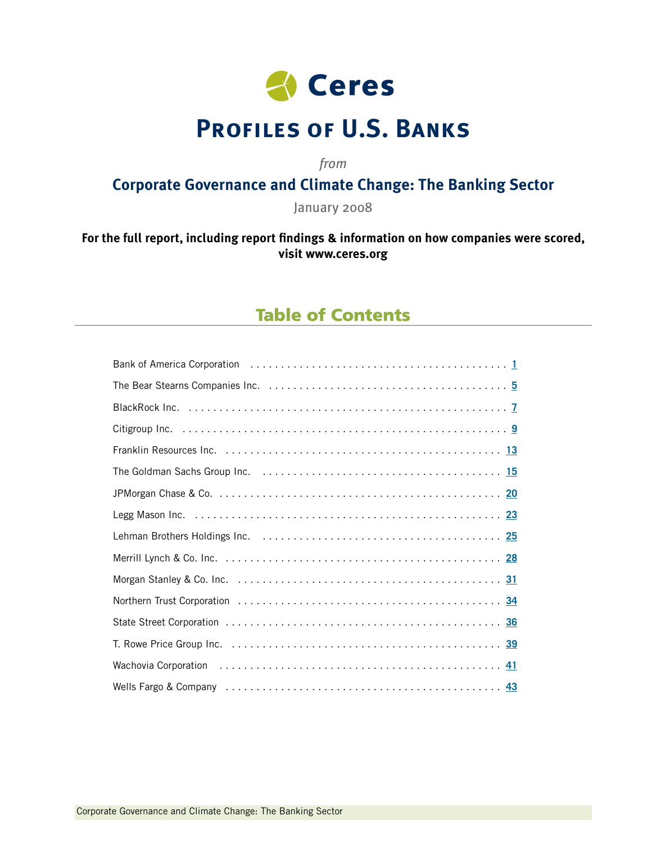

# **Profiles of U.S. Banks**

*from*

### **Corporate Governance and Climate Change: The Banking Sector**

January 2008

### **For the full report, including report findings & information on how companies were scored, visit [www.ceres.org](http://www.ceres.org)**

### Table of Contents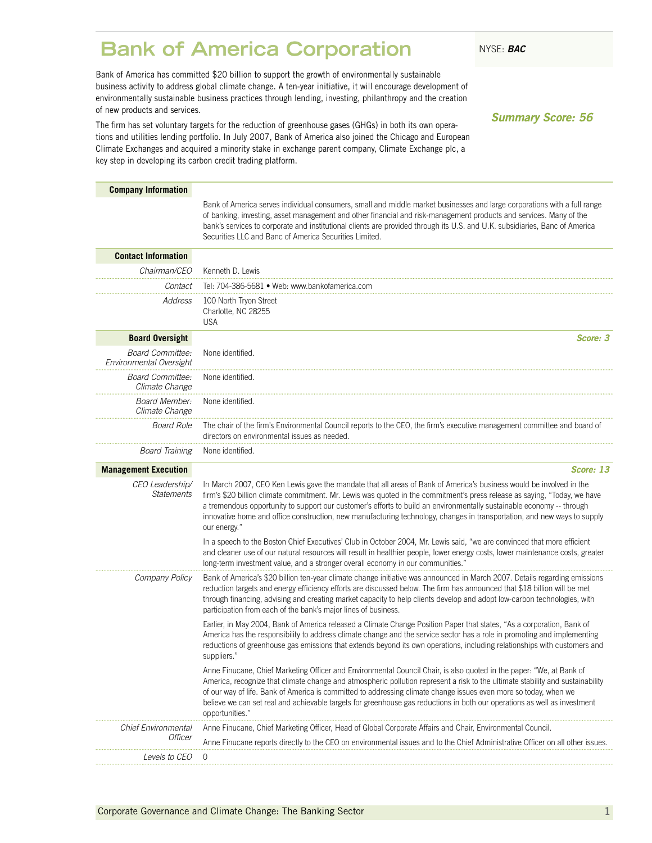### <span id="page-2-0"></span>**Bank of America Corporation** NYSE: BAC

Bank of America has committed \$20 billion to support the growth of environmentally sustainable business activity to address global climate change. A ten-year initiative, it will encourage development of environmentally sustainable business practices through lending, investing, philanthropy and the creation of new products and services.

The firm has set voluntary targets for the reduction of greenhouse gases (GHGs) in both its own operations and utilities lending portfolio. In July 2007, Bank of America also joined the Chicago and European Climate Exchanges and acquired a minority stake in exchange parent company, Climate Exchange plc, a key step in developing its carbon credit trading platform.

*Summary Score: 56*

| <b>Company Information</b>                         |                                                                                                                                                                                                                                                                                                                                                                                                                                                                                                                            |
|----------------------------------------------------|----------------------------------------------------------------------------------------------------------------------------------------------------------------------------------------------------------------------------------------------------------------------------------------------------------------------------------------------------------------------------------------------------------------------------------------------------------------------------------------------------------------------------|
|                                                    | Bank of America serves individual consumers, small and middle market businesses and large corporations with a full range<br>of banking, investing, asset management and other financial and risk-management products and services. Many of the<br>bank's services to corporate and institutional clients are provided through its U.S. and U.K. subsidiaries, Banc of America<br>Securities LLC and Banc of America Securities Limited.                                                                                    |
| <b>Contact Information</b>                         |                                                                                                                                                                                                                                                                                                                                                                                                                                                                                                                            |
| Chairman/CEO                                       | Kenneth D. Lewis                                                                                                                                                                                                                                                                                                                                                                                                                                                                                                           |
| Contact                                            | Tel: 704-386-5681 • Web: www.bankofamerica.com                                                                                                                                                                                                                                                                                                                                                                                                                                                                             |
| Address                                            | 100 North Tryon Street<br>Charlotte, NC 28255<br><b>USA</b>                                                                                                                                                                                                                                                                                                                                                                                                                                                                |
| <b>Board Oversight</b>                             | Score: 3                                                                                                                                                                                                                                                                                                                                                                                                                                                                                                                   |
| <b>Board Committee:</b><br>Environmental Oversight | None identified.                                                                                                                                                                                                                                                                                                                                                                                                                                                                                                           |
| Board Committee:<br>Climate Change                 | None identified.                                                                                                                                                                                                                                                                                                                                                                                                                                                                                                           |
| Board Member:<br>Climate Change                    | None identified.                                                                                                                                                                                                                                                                                                                                                                                                                                                                                                           |
| <b>Board Role</b>                                  | The chair of the firm's Environmental Council reports to the CEO, the firm's executive management committee and board of<br>directors on environmental issues as needed.                                                                                                                                                                                                                                                                                                                                                   |
| <b>Board Training</b>                              | None identified.                                                                                                                                                                                                                                                                                                                                                                                                                                                                                                           |
| <b>Management Execution</b>                        | Score: 13                                                                                                                                                                                                                                                                                                                                                                                                                                                                                                                  |
| CEO Leadership/<br><b>Statements</b>               | In March 2007, CEO Ken Lewis gave the mandate that all areas of Bank of America's business would be involved in the<br>firm's \$20 billion climate commitment. Mr. Lewis was quoted in the commitment's press release as saying, "Today, we have<br>a tremendous opportunity to support our customer's efforts to build an environmentally sustainable economy -- through<br>innovative home and office construction, new manufacturing technology, changes in transportation, and new ways to supply<br>our energy."      |
|                                                    | In a speech to the Boston Chief Executives' Club in October 2004, Mr. Lewis said, "we are convinced that more efficient<br>and cleaner use of our natural resources will result in healthier people, lower energy costs, lower maintenance costs, greater<br>long-term investment value, and a stronger overall economy in our communities."                                                                                                                                                                               |
| Company Policy                                     | Bank of America's \$20 billion ten-year climate change initiative was announced in March 2007. Details regarding emissions<br>reduction targets and energy efficiency efforts are discussed below. The firm has announced that \$18 billion will be met<br>through financing, advising and creating market capacity to help clients develop and adopt low-carbon technologies, with<br>participation from each of the bank's major lines of business.                                                                      |
|                                                    | Earlier, in May 2004, Bank of America released a Climate Change Position Paper that states, "As a corporation, Bank of<br>America has the responsibility to address climate change and the service sector has a role in promoting and implementing<br>reductions of greenhouse gas emissions that extends beyond its own operations, including relationships with customers and<br>suppliers."                                                                                                                             |
|                                                    | Anne Finucane, Chief Marketing Officer and Environmental Council Chair, is also quoted in the paper: "We, at Bank of<br>America, recognize that climate change and atmospheric pollution represent a risk to the ultimate stability and sustainability<br>of our way of life. Bank of America is committed to addressing climate change issues even more so today, when we<br>believe we can set real and achievable targets for greenhouse gas reductions in both our operations as well as investment<br>opportunities." |
| <b>Chief Environmental</b>                         | Anne Finucane, Chief Marketing Officer, Head of Global Corporate Affairs and Chair, Environmental Council.                                                                                                                                                                                                                                                                                                                                                                                                                 |
| <i>Officer</i>                                     | Anne Finucane reports directly to the CEO on environmental issues and to the Chief Administrative Officer on all other issues.                                                                                                                                                                                                                                                                                                                                                                                             |
| <i>Levels to CEO</i>                               | 0                                                                                                                                                                                                                                                                                                                                                                                                                                                                                                                          |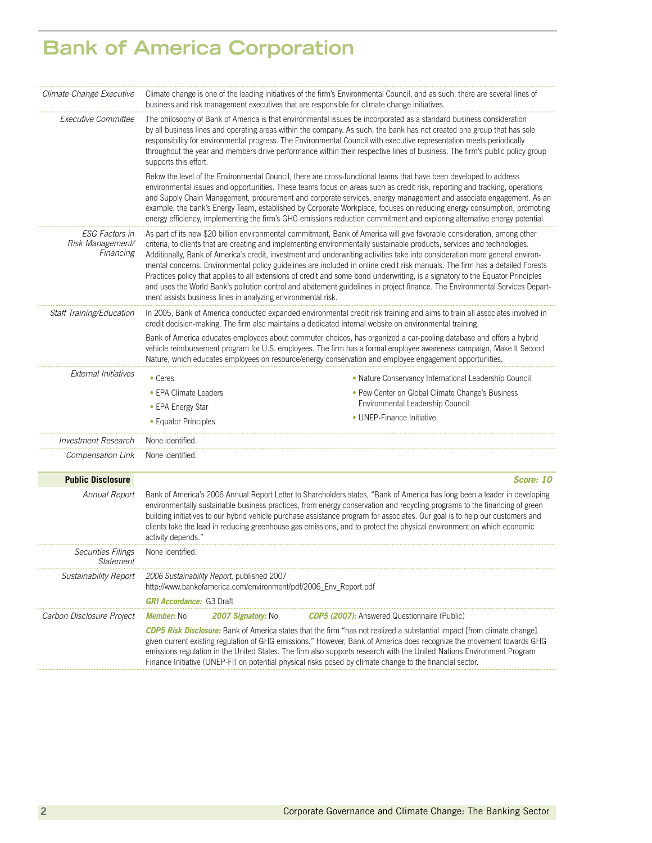# **Bank of America Corporation**

| Climate Change Executive                               | business and risk management executives that are responsible for climate change initiatives.                   | Climate change is one of the leading initiatives of the firm's Environmental Council, and as such, there are several lines of                                                                                                                                                                                                                                                                                                                                                                                                                                                                                                                                                                                                                                                         |
|--------------------------------------------------------|----------------------------------------------------------------------------------------------------------------|---------------------------------------------------------------------------------------------------------------------------------------------------------------------------------------------------------------------------------------------------------------------------------------------------------------------------------------------------------------------------------------------------------------------------------------------------------------------------------------------------------------------------------------------------------------------------------------------------------------------------------------------------------------------------------------------------------------------------------------------------------------------------------------|
| <i>Executive Committee</i>                             | supports this effort.                                                                                          | The philosophy of Bank of America is that environmental issues be incorporated as a standard business consideration<br>by all business lines and operating areas within the company. As such, the bank has not created one group that has sole<br>responsibility for environmental progress. The Environmental Council with executive representation meets periodically<br>throughout the year and members drive performance within their respective lines of business. The firm's public policy group                                                                                                                                                                                                                                                                                |
|                                                        |                                                                                                                | Below the level of the Environmental Council, there are cross-functional teams that have been developed to address<br>environmental issues and opportunities. These teams focus on areas such as credit risk, reporting and tracking, operations<br>and Supply Chain Management, procurement and corporate services, energy management and associate engagement. As an<br>example, the bank's Energy Team, established by Corporate Workplace, focuses on reducing energy consumption, promoting<br>energy efficiency, implementing the firm's GHG emissions reduction commitment and exploring alternative energy potential.                                                                                                                                                         |
| <b>ESG Factors in</b><br>Risk Management/<br>Financing | ment assists business lines in analyzing environmental risk.                                                   | As part of its new \$20 billion environmental commitment, Bank of America will give favorable consideration, among other<br>criteria, to clients that are creating and implementing environmentally sustainable products, services and technologies.<br>Additionally, Bank of America's credit, investment and underwriting activities take into consideration more general environ-<br>mental concerns. Environmental policy guidelines are included in online credit risk manuals. The firm has a detailed Forests<br>Practices policy that applies to all extensions of credit and some bond underwriting, is a signatory to the Equator Principles<br>and uses the World Bank's pollution control and abatement guidelines in project finance. The Environmental Services Depart- |
| Staff Training/Education                               |                                                                                                                | In 2005, Bank of America conducted expanded environmental credit risk training and aims to train all associates involved in<br>credit decision-making. The firm also maintains a dedicated internal website on environmental training.                                                                                                                                                                                                                                                                                                                                                                                                                                                                                                                                                |
|                                                        |                                                                                                                | Bank of America educates employees about commuter choices, has organized a car-pooling database and offers a hybrid<br>vehicle reimbursement program for U.S. employees. The firm has a formal employee awareness campaign, Make It Second<br>Nature, which educates employees on resource/energy conservation and employee engagement opportunities.                                                                                                                                                                                                                                                                                                                                                                                                                                 |
| <b>External Initiatives</b>                            | • Ceres                                                                                                        | • Nature Conservancy International Leadership Council                                                                                                                                                                                                                                                                                                                                                                                                                                                                                                                                                                                                                                                                                                                                 |
|                                                        | • EPA Climate Leaders                                                                                          | • Pew Center on Global Climate Change's Business                                                                                                                                                                                                                                                                                                                                                                                                                                                                                                                                                                                                                                                                                                                                      |
|                                                        | • EPA Energy Star                                                                                              | Environmental Leadership Council                                                                                                                                                                                                                                                                                                                                                                                                                                                                                                                                                                                                                                                                                                                                                      |
|                                                        | • Equator Principles                                                                                           | • UNEP-Finance Initiative                                                                                                                                                                                                                                                                                                                                                                                                                                                                                                                                                                                                                                                                                                                                                             |
| Investment Research                                    | None identified.                                                                                               |                                                                                                                                                                                                                                                                                                                                                                                                                                                                                                                                                                                                                                                                                                                                                                                       |
| Compensation Link                                      | None identified.                                                                                               |                                                                                                                                                                                                                                                                                                                                                                                                                                                                                                                                                                                                                                                                                                                                                                                       |
| <b>Public Disclosure</b>                               |                                                                                                                | Score: 10                                                                                                                                                                                                                                                                                                                                                                                                                                                                                                                                                                                                                                                                                                                                                                             |
| Annual Report                                          | activity depends."                                                                                             | Bank of America's 2006 Annual Report Letter to Shareholders states, "Bank of America has long been a leader in developing<br>environmentally sustainable business practices, from energy conservation and recycling programs to the financing of green<br>building initiatives to our hybrid vehicle purchase assistance program for associates. Our goal is to help our customers and<br>clients take the lead in reducing greenhouse gas emissions, and to protect the physical environment on which economic                                                                                                                                                                                                                                                                       |
| <b>Securities Filings</b><br>Statement                 | None identified.                                                                                               |                                                                                                                                                                                                                                                                                                                                                                                                                                                                                                                                                                                                                                                                                                                                                                                       |
| Sustainability Report                                  | 2006 Sustainability Report, published 2007<br>http://www.bankofamerica.com/environment/pdf/2006_Env_Report.pdf |                                                                                                                                                                                                                                                                                                                                                                                                                                                                                                                                                                                                                                                                                                                                                                                       |
|                                                        | <b>GRI Accordance: G3 Draft</b>                                                                                |                                                                                                                                                                                                                                                                                                                                                                                                                                                                                                                                                                                                                                                                                                                                                                                       |
| Carbon Disclosure Project                              | 2007 Signatory: No<br><b>Member: No</b>                                                                        | <b>CDP5 (2007):</b> Answered Questionnaire (Public)                                                                                                                                                                                                                                                                                                                                                                                                                                                                                                                                                                                                                                                                                                                                   |
|                                                        |                                                                                                                | CDP5 Risk Disclosure: Bank of America states that the firm "has not realized a substantial impact [from climate change]<br>given current existing regulation of GHG emissions." However, Bank of America does recognize the movement towards GHG<br>emissions regulation in the United States. The firm also supports research with the United Nations Environment Program<br>Finance Initiative (UNEP-FI) on potential physical risks posed by climate change to the financial sector.                                                                                                                                                                                                                                                                                               |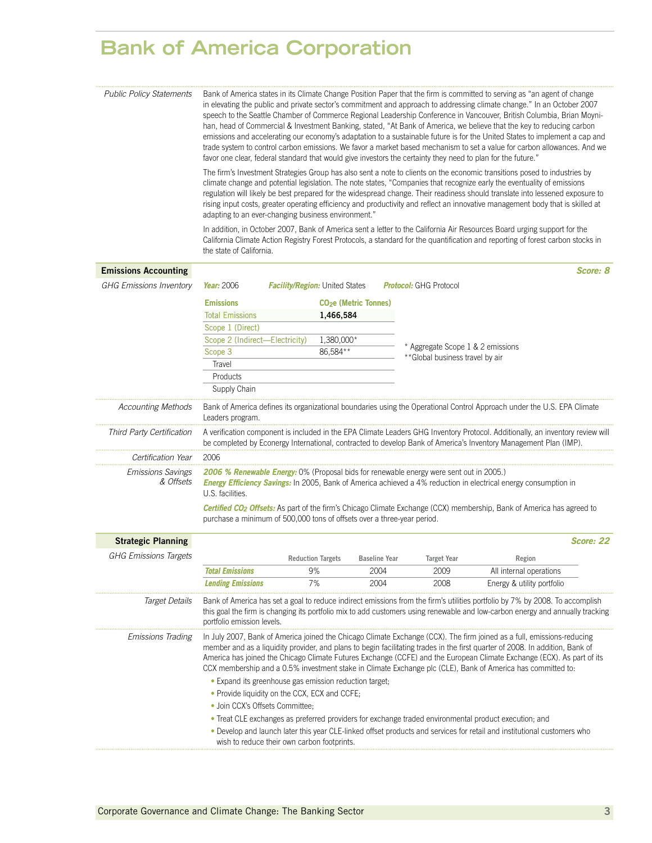# **Bank of America Corporation**

| <b>Public Policy Statements</b>       |                                                                         |                                                        |                              | favor one clear, federal standard that would give investors the certainty they need to plan for the future." | Bank of America states in its Climate Change Position Paper that the firm is committed to serving as "an agent of change<br>in elevating the public and private sector's commitment and approach to addressing climate change." In an October 2007<br>speech to the Seattle Chamber of Commerce Regional Leadership Conference in Vancouver, British Columbia, Brian Moyni-<br>han, head of Commercial & Investment Banking, stated, "At Bank of America, we believe that the key to reducing carbon<br>emissions and accelerating our economy's adaptation to a sustainable future is for the United States to implement a cap and<br>trade system to control carbon emissions. We favor a market based mechanism to set a value for carbon allowances. And we |
|---------------------------------------|-------------------------------------------------------------------------|--------------------------------------------------------|------------------------------|--------------------------------------------------------------------------------------------------------------|-----------------------------------------------------------------------------------------------------------------------------------------------------------------------------------------------------------------------------------------------------------------------------------------------------------------------------------------------------------------------------------------------------------------------------------------------------------------------------------------------------------------------------------------------------------------------------------------------------------------------------------------------------------------------------------------------------------------------------------------------------------------|
|                                       | adapting to an ever-changing business environment."                     |                                                        |                              |                                                                                                              | The firm's Investment Strategies Group has also sent a note to clients on the economic transitions posed to industries by<br>climate change and potential legislation. The note states, "Companies that recognize early the eventuality of emissions<br>regulation will likely be best prepared for the widespread change. Their readiness should translate into lessened exposure to<br>rising input costs, greater operating efficiency and productivity and reflect an innovative management body that is skilled at                                                                                                                                                                                                                                         |
|                                       | the state of California.                                                |                                                        |                              |                                                                                                              | In addition, in October 2007, Bank of America sent a letter to the California Air Resources Board urging support for the<br>California Climate Action Registry Forest Protocols, a standard for the quantification and reporting of forest carbon stocks in                                                                                                                                                                                                                                                                                                                                                                                                                                                                                                     |
| <b>Emissions Accounting</b>           |                                                                         |                                                        |                              |                                                                                                              | Score: 8                                                                                                                                                                                                                                                                                                                                                                                                                                                                                                                                                                                                                                                                                                                                                        |
| <b>GHG Emissions Inventory</b>        | Year: 2006                                                              | <b>Facility/Region:</b> United States                  |                              | <b>Protocol:</b> GHG Protocol                                                                                |                                                                                                                                                                                                                                                                                                                                                                                                                                                                                                                                                                                                                                                                                                                                                                 |
|                                       | <b>Emissions</b>                                                        | CO <sub>2</sub> e (Metric Tonnes)                      |                              |                                                                                                              |                                                                                                                                                                                                                                                                                                                                                                                                                                                                                                                                                                                                                                                                                                                                                                 |
|                                       | <b>Total Emissions</b>                                                  | 1,466,584                                              |                              |                                                                                                              |                                                                                                                                                                                                                                                                                                                                                                                                                                                                                                                                                                                                                                                                                                                                                                 |
|                                       | Scope 1 (Direct)                                                        |                                                        |                              |                                                                                                              |                                                                                                                                                                                                                                                                                                                                                                                                                                                                                                                                                                                                                                                                                                                                                                 |
|                                       | Scope 2 (Indirect-Electricity)                                          | 1,380,000*                                             |                              |                                                                                                              |                                                                                                                                                                                                                                                                                                                                                                                                                                                                                                                                                                                                                                                                                                                                                                 |
|                                       | Scope 3                                                                 | 86,584**                                               |                              | Aggregate Scope 1 & 2 emissions                                                                              |                                                                                                                                                                                                                                                                                                                                                                                                                                                                                                                                                                                                                                                                                                                                                                 |
|                                       | Travel                                                                  |                                                        |                              | ** Global business travel by air                                                                             |                                                                                                                                                                                                                                                                                                                                                                                                                                                                                                                                                                                                                                                                                                                                                                 |
|                                       | Products                                                                |                                                        |                              |                                                                                                              |                                                                                                                                                                                                                                                                                                                                                                                                                                                                                                                                                                                                                                                                                                                                                                 |
|                                       | Supply Chain                                                            |                                                        |                              |                                                                                                              |                                                                                                                                                                                                                                                                                                                                                                                                                                                                                                                                                                                                                                                                                                                                                                 |
| Accounting Methods                    | Leaders program.                                                        |                                                        |                              |                                                                                                              | Bank of America defines its organizational boundaries using the Operational Control Approach under the U.S. EPA Climate                                                                                                                                                                                                                                                                                                                                                                                                                                                                                                                                                                                                                                         |
| Third Party Certification             |                                                                         |                                                        |                              |                                                                                                              | A verification component is included in the EPA Climate Leaders GHG Inventory Protocol. Additionally, an inventory review will<br>be completed by Econergy International, contracted to develop Bank of America's Inventory Management Plan (IMP).                                                                                                                                                                                                                                                                                                                                                                                                                                                                                                              |
| Certification Year                    | 2006                                                                    |                                                        |                              |                                                                                                              |                                                                                                                                                                                                                                                                                                                                                                                                                                                                                                                                                                                                                                                                                                                                                                 |
| <b>Emissions Savings</b><br>& Offsets | U.S. facilities.                                                        |                                                        |                              | 2006 % Renewable Energy: 0% (Proposal bids for renewable energy were sent out in 2005.)                      | Energy Efficiency Savings: In 2005, Bank of America achieved a 4% reduction in electrical energy consumption in                                                                                                                                                                                                                                                                                                                                                                                                                                                                                                                                                                                                                                                 |
|                                       | purchase a minimum of 500,000 tons of offsets over a three-year period. |                                                        |                              |                                                                                                              | Certified CO <sub>2</sub> Offsets: As part of the firm's Chicago Climate Exchange (CCX) membership, Bank of America has agreed to                                                                                                                                                                                                                                                                                                                                                                                                                                                                                                                                                                                                                               |
| <b>Strategic Planning</b>             |                                                                         |                                                        |                              |                                                                                                              | Score: 22                                                                                                                                                                                                                                                                                                                                                                                                                                                                                                                                                                                                                                                                                                                                                       |
| <b>GHG Emissions Targets</b>          |                                                                         |                                                        |                              |                                                                                                              |                                                                                                                                                                                                                                                                                                                                                                                                                                                                                                                                                                                                                                                                                                                                                                 |
|                                       |                                                                         | <b>Reduction Targets</b><br>9%                         | <b>Baseline Year</b><br>2004 | <b>Target Year</b><br>2009                                                                                   | Region                                                                                                                                                                                                                                                                                                                                                                                                                                                                                                                                                                                                                                                                                                                                                          |
|                                       | <b>Total Emissions</b><br><b>Lending Emissions</b>                      | 7%                                                     | 2004                         | 2008                                                                                                         | All internal operations<br>Energy & utility portfolio                                                                                                                                                                                                                                                                                                                                                                                                                                                                                                                                                                                                                                                                                                           |
|                                       |                                                                         |                                                        |                              |                                                                                                              |                                                                                                                                                                                                                                                                                                                                                                                                                                                                                                                                                                                                                                                                                                                                                                 |
| <b>Target Details</b>                 | portfolio emission levels.                                              |                                                        |                              |                                                                                                              | Bank of America has set a goal to reduce indirect emissions from the firm's utilities portfolio by 7% by 2008. To accomplish<br>this goal the firm is changing its portfolio mix to add customers using renewable and low-carbon energy and annually tracking                                                                                                                                                                                                                                                                                                                                                                                                                                                                                                   |
| Emissions Trading                     |                                                                         |                                                        |                              |                                                                                                              | In July 2007, Bank of America joined the Chicago Climate Exchange (CCX). The firm joined as a full, emissions-reducing<br>member and as a liquidity provider, and plans to begin facilitating trades in the first quarter of 2008. In addition, Bank of<br>America has joined the Chicago Climate Futures Exchange (CCFE) and the European Climate Exchange (ECX). As part of its<br>CCX membership and a 0.5% investment stake in Climate Exchange plc (CLE), Bank of America has committed to:                                                                                                                                                                                                                                                                |
|                                       |                                                                         | • Expand its greenhouse gas emission reduction target; |                              |                                                                                                              |                                                                                                                                                                                                                                                                                                                                                                                                                                                                                                                                                                                                                                                                                                                                                                 |
|                                       | • Provide liquidity on the CCX, ECX and CCFE;                           |                                                        |                              |                                                                                                              |                                                                                                                                                                                                                                                                                                                                                                                                                                                                                                                                                                                                                                                                                                                                                                 |
|                                       | · Join CCX's Offsets Committee;                                         |                                                        |                              |                                                                                                              |                                                                                                                                                                                                                                                                                                                                                                                                                                                                                                                                                                                                                                                                                                                                                                 |
|                                       | wish to reduce their own carbon footprints.                             |                                                        |                              |                                                                                                              | • Treat CLE exchanges as preferred providers for exchange traded environmental product execution; and<br>. Develop and launch later this year CLE-linked offset products and services for retail and institutional customers who                                                                                                                                                                                                                                                                                                                                                                                                                                                                                                                                |
|                                       |                                                                         |                                                        |                              |                                                                                                              |                                                                                                                                                                                                                                                                                                                                                                                                                                                                                                                                                                                                                                                                                                                                                                 |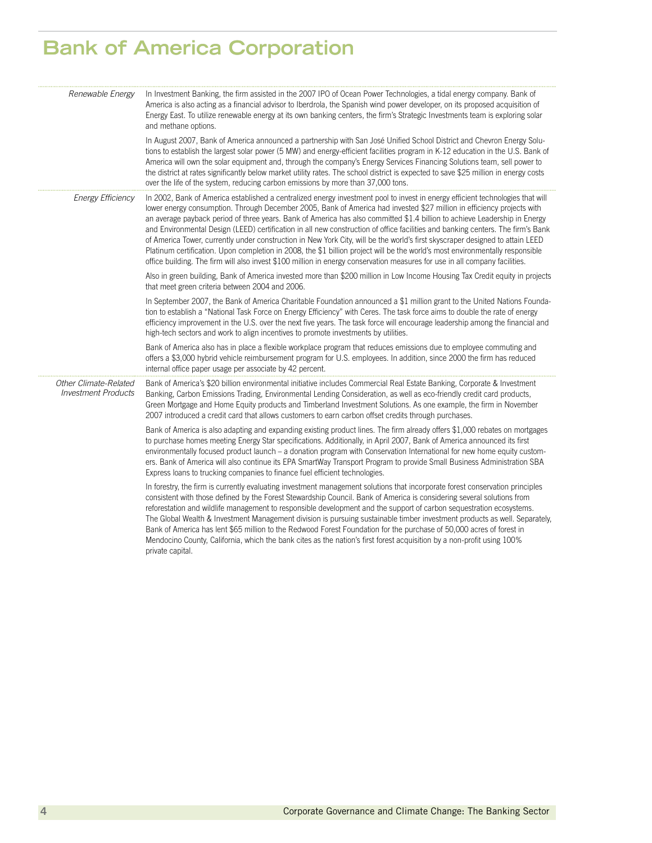# **Bank of America Corporation**

| Renewable Energy                                    | In Investment Banking, the firm assisted in the 2007 IPO of Ocean Power Technologies, a tidal energy company. Bank of<br>America is also acting as a financial advisor to Iberdrola, the Spanish wind power developer, on its proposed acquisition of<br>Energy East. To utilize renewable energy at its own banking centers, the firm's Strategic Investments team is exploring solar<br>and methane options.                                                                                                                                                                                                                                                                                                                                                                                                                                                                                                             |
|-----------------------------------------------------|----------------------------------------------------------------------------------------------------------------------------------------------------------------------------------------------------------------------------------------------------------------------------------------------------------------------------------------------------------------------------------------------------------------------------------------------------------------------------------------------------------------------------------------------------------------------------------------------------------------------------------------------------------------------------------------------------------------------------------------------------------------------------------------------------------------------------------------------------------------------------------------------------------------------------|
|                                                     | In August 2007, Bank of America announced a partnership with San José Unified School District and Chevron Energy Solu-<br>tions to establish the largest solar power (5 MW) and energy-efficient facilities program in K-12 education in the U.S. Bank of<br>America will own the solar equipment and, through the company's Energy Services Financing Solutions team, sell power to<br>the district at rates significantly below market utility rates. The school district is expected to save \$25 million in energy costs<br>over the life of the system, reducing carbon emissions by more than 37,000 tons.                                                                                                                                                                                                                                                                                                           |
| <b>Energy Efficiency</b>                            | In 2002, Bank of America established a centralized energy investment pool to invest in energy efficient technologies that will<br>lower energy consumption. Through December 2005, Bank of America had invested \$27 million in efficiency projects with<br>an average payback period of three years. Bank of America has also committed \$1.4 billion to achieve Leadership in Energy<br>and Environmental Design (LEED) certification in all new construction of office facilities and banking centers. The firm's Bank<br>of America Tower, currently under construction in New York City, will be the world's first skyscraper designed to attain LEED<br>Platinum certification. Upon completion in 2008, the \$1 billion project will be the world's most environmentally responsible<br>office building. The firm will also invest \$100 million in energy conservation measures for use in all company facilities. |
|                                                     | Also in green building, Bank of America invested more than \$200 million in Low Income Housing Tax Credit equity in projects<br>that meet green criteria between 2004 and 2006.                                                                                                                                                                                                                                                                                                                                                                                                                                                                                                                                                                                                                                                                                                                                            |
|                                                     | In September 2007, the Bank of America Charitable Foundation announced a \$1 million grant to the United Nations Founda-<br>tion to establish a "National Task Force on Energy Efficiency" with Ceres. The task force aims to double the rate of energy<br>efficiency improvement in the U.S. over the next five years. The task force will encourage leadership among the financial and<br>high-tech sectors and work to align incentives to promote investments by utilities.                                                                                                                                                                                                                                                                                                                                                                                                                                            |
|                                                     | Bank of America also has in place a flexible workplace program that reduces emissions due to employee commuting and<br>offers a \$3,000 hybrid vehicle reimbursement program for U.S. employees. In addition, since 2000 the firm has reduced<br>internal office paper usage per associate by 42 percent.                                                                                                                                                                                                                                                                                                                                                                                                                                                                                                                                                                                                                  |
| Other Climate-Related<br><b>Investment Products</b> | Bank of America's \$20 billion environmental initiative includes Commercial Real Estate Banking, Corporate & Investment<br>Banking, Carbon Emissions Trading, Environmental Lending Consideration, as well as eco-friendly credit card products,<br>Green Mortgage and Home Equity products and Timberland Investment Solutions. As one example, the firm in November<br>2007 introduced a credit card that allows customers to earn carbon offset credits through purchases.                                                                                                                                                                                                                                                                                                                                                                                                                                              |
|                                                     | Bank of America is also adapting and expanding existing product lines. The firm already offers \$1,000 rebates on mortgages<br>to purchase homes meeting Energy Star specifications. Additionally, in April 2007, Bank of America announced its first<br>environmentally focused product launch – a donation program with Conservation International for new home equity custom-<br>ers. Bank of America will also continue its EPA SmartWay Transport Program to provide Small Business Administration SBA<br>Express loans to trucking companies to finance fuel efficient technologies.                                                                                                                                                                                                                                                                                                                                 |
|                                                     | In forestry, the firm is currently evaluating investment management solutions that incorporate forest conservation principles<br>consistent with those defined by the Forest Stewardship Council. Bank of America is considering several solutions from<br>reforestation and wildlife management to responsible development and the support of carbon sequestration ecosystems.<br>The Global Wealth & Investment Management division is pursuing sustainable timber investment products as well. Separately,<br>Bank of America has lent \$65 million to the Redwood Forest Foundation for the purchase of 50,000 acres of forest in<br>Mendocino County, California, which the bank cites as the nation's first forest acquisition by a non-profit using 100%<br>private capital.                                                                                                                                        |
|                                                     |                                                                                                                                                                                                                                                                                                                                                                                                                                                                                                                                                                                                                                                                                                                                                                                                                                                                                                                            |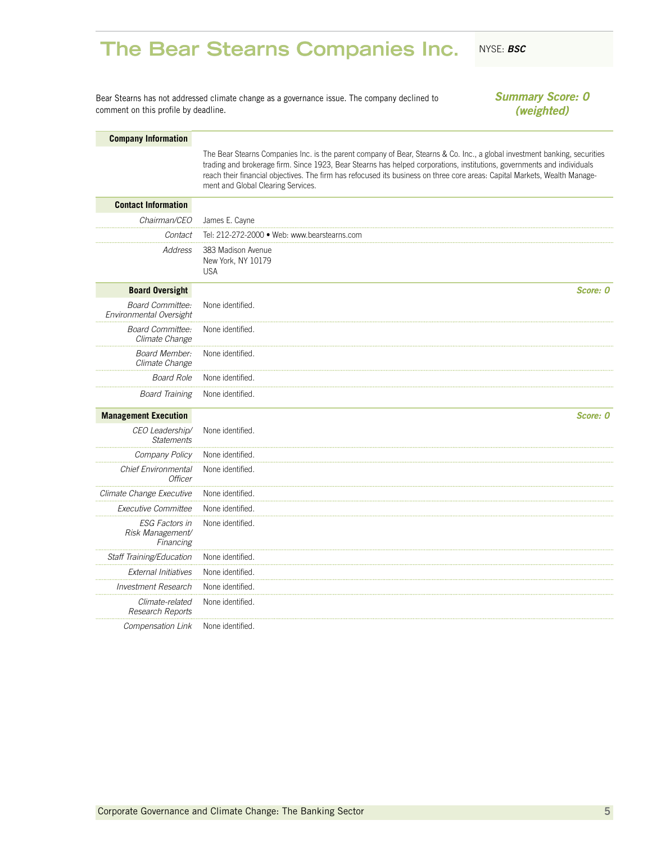### <span id="page-6-0"></span>**The Bear Stearns Companies Inc.** NYSE: BSC

Bear Stearns has not addressed climate change as a governance issue. The company declined to comment on this profile by deadline.

*Summary Score: 0 (weighted)*

### **Company Information**

The Bear Stearns Companies Inc. is the parent company of Bear, Stearns & Co. Inc., a global investment banking, securities trading and brokerage firm. Since 1923, Bear Stearns has helped corporations, institutions, governments and individuals reach their financial objectives. The firm has refocused its business on three core areas: Capital Markets, Wealth Management and Global Clearing Services.

| <b>Contact Information</b>                         |                                                        |
|----------------------------------------------------|--------------------------------------------------------|
| Chairman/CEO                                       | James E. Cayne                                         |
| Contact                                            | Tel: 212-272-2000 · Web: www.bearstearns.com           |
| <b>Address</b>                                     | 383 Madison Avenue<br>New York, NY 10179<br><b>USA</b> |
| <b>Board Oversight</b>                             | Score: 0                                               |
| <b>Board Committee:</b><br>Environmental Oversight | None identified.                                       |
| <b>Board Committee:</b><br>Climate Change          | None identified.                                       |
| <b>Board Member:</b><br>Climate Change             | None identified                                        |
| <b>Board Role</b>                                  | None identified                                        |
| <b>Board Training</b>                              | None identified.                                       |
| <b>Management Execution</b>                        | Score: 0                                               |
| CEO Leadership/<br><b>Statements</b>               | None identified.                                       |
| Company Policy                                     | None identified.                                       |
| <b>Chief Environmental</b><br><b>Officer</b>       | None identified.                                       |
| Climate Change Executive                           | None identified                                        |
| <b>Executive Committee</b>                         | None identified                                        |
| ESG Factors in<br>Risk Management/<br>Financing    | None identified.                                       |
| Staff Training/Education                           | None identified                                        |
| <b>External Initiatives</b>                        | None identified.                                       |
| Investment Research                                | None identified.                                       |
| Climate-related<br>Research Reports                | None identified.                                       |
|                                                    |                                                        |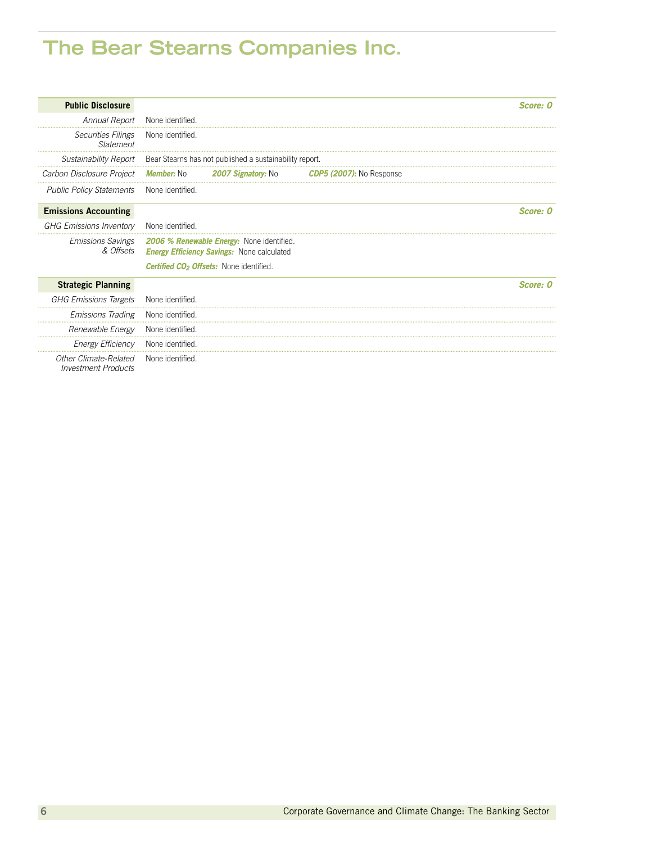# **The Bear Stearns Companies Inc.**

| <b>Public Disclosure</b>                            |                   |                                                                                                |                                 | Score: 0 |
|-----------------------------------------------------|-------------------|------------------------------------------------------------------------------------------------|---------------------------------|----------|
| Annual Report                                       | None identified.  |                                                                                                |                                 |          |
| <b>Securities Filings</b><br>Statement              | None identified.  |                                                                                                |                                 |          |
|                                                     |                   | Sustainability Report Bear Stearns has not published a sustainability report.                  |                                 |          |
| Carbon Disclosure Project                           | <b>Member:</b> No | <b>2007 Signatory: No</b>                                                                      | <b>CDP5 (2007):</b> No Response |          |
| <b>Public Policy Statements</b>                     | None identified.  |                                                                                                |                                 |          |
| <b>Emissions Accounting</b>                         |                   |                                                                                                |                                 | Score: 0 |
| <b>GHG Emissions Inventory</b>                      | None identified   |                                                                                                |                                 |          |
| <b>Emissions Savings</b><br>& Offsets               |                   | 2006 % Renewable Energy: None identified.<br><b>Energy Efficiency Savings: None calculated</b> |                                 |          |
|                                                     |                   | <b>Certified CO<sub>2</sub> Offsets:</b> None identified.                                      |                                 |          |
| <b>Strategic Planning</b>                           |                   |                                                                                                |                                 | Score: 0 |
| <b>GHG Emissions Targets</b>                        | None identified   |                                                                                                |                                 |          |
| <b>Emissions Trading</b>                            | None identified.  |                                                                                                |                                 |          |
| Renewable Energy                                    | None identified.  |                                                                                                |                                 |          |
| <b>Energy Efficiency</b>                            | None identified   |                                                                                                |                                 |          |
| Other Climate-Related<br><b>Investment Products</b> | None identified   |                                                                                                |                                 |          |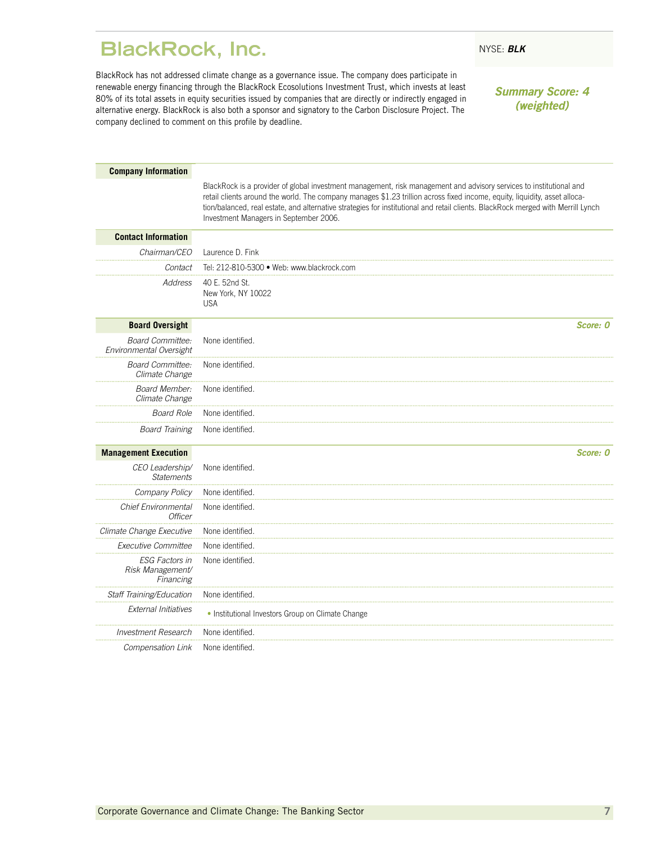### <span id="page-8-0"></span>**BlackRock, Inc.** NYSE: BLK

BlackRock has not addressed climate change as a governance issue. The company does participate in renewable energy financing through the BlackRock Ecosolutions Investment Trust, which invests at least 80% of its total assets in equity securities issued by companies that are directly or indirectly engaged in alternative energy. BlackRock is also both a sponsor and signatory to the Carbon Disclosure Project. The company declined to comment on this profile by deadline.

*Summary Score: 4 (weighted)*

| <b>Company Information</b>                             |                                                                                                                                                                                                                                                                                                                                                                                                                                 |
|--------------------------------------------------------|---------------------------------------------------------------------------------------------------------------------------------------------------------------------------------------------------------------------------------------------------------------------------------------------------------------------------------------------------------------------------------------------------------------------------------|
|                                                        | BlackRock is a provider of global investment management, risk management and advisory services to institutional and<br>retail clients around the world. The company manages \$1.23 trillion across fixed income, equity, liquidity, asset alloca-<br>tion/balanced, real estate, and alternative strategies for institutional and retail clients. BlackRock merged with Merrill Lynch<br>Investment Managers in September 2006. |
| <b>Contact Information</b>                             |                                                                                                                                                                                                                                                                                                                                                                                                                                 |
| Chairman/CEO                                           | Laurence D. Fink                                                                                                                                                                                                                                                                                                                                                                                                                |
| Contact                                                | Tel: 212-810-5300 · Web: www.blackrock.com                                                                                                                                                                                                                                                                                                                                                                                      |
| Address                                                | 40 E. 52nd St.<br>New York, NY 10022<br><b>USA</b>                                                                                                                                                                                                                                                                                                                                                                              |
| <b>Board Oversight</b>                                 | Score: 0                                                                                                                                                                                                                                                                                                                                                                                                                        |
| <b>Board Committee:</b><br>Environmental Oversight     | None identified.                                                                                                                                                                                                                                                                                                                                                                                                                |
| <b>Board Committee:</b><br>Climate Change              | None identified.                                                                                                                                                                                                                                                                                                                                                                                                                |
| <b>Board Member:</b><br>Climate Change                 | None identified.                                                                                                                                                                                                                                                                                                                                                                                                                |
| <b>Board Role</b>                                      | None identified.                                                                                                                                                                                                                                                                                                                                                                                                                |
| <b>Board Training</b>                                  | None identified.                                                                                                                                                                                                                                                                                                                                                                                                                |
| <b>Management Execution</b>                            | Score: 0                                                                                                                                                                                                                                                                                                                                                                                                                        |
| CEO Leadership/<br><b>Statements</b>                   | None identified.                                                                                                                                                                                                                                                                                                                                                                                                                |
| Company Policy                                         | None identified.                                                                                                                                                                                                                                                                                                                                                                                                                |
| Chief Environmental<br>Officer                         | None identified.                                                                                                                                                                                                                                                                                                                                                                                                                |
| Climate Change Executive                               | None identified.                                                                                                                                                                                                                                                                                                                                                                                                                |
| Executive Committee                                    | None identified.                                                                                                                                                                                                                                                                                                                                                                                                                |
| <b>ESG Factors in</b><br>Risk Management/<br>Financing | None identified.                                                                                                                                                                                                                                                                                                                                                                                                                |
| Staff Training/Education                               | None identified.                                                                                                                                                                                                                                                                                                                                                                                                                |
| <b>External Initiatives</b>                            | • Institutional Investors Group on Climate Change                                                                                                                                                                                                                                                                                                                                                                               |
| <b>Investment Research</b>                             | None identified.                                                                                                                                                                                                                                                                                                                                                                                                                |
| Compensation Link                                      | None identified.                                                                                                                                                                                                                                                                                                                                                                                                                |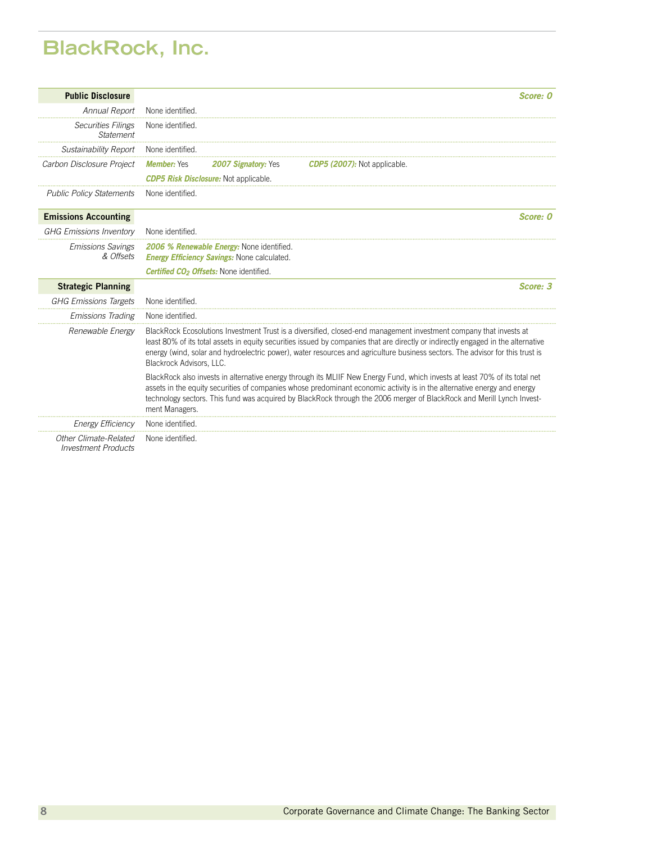# **BlackRock, Inc.**

| <b>Public Disclosure</b>                            | Score: 0                                                                                                                                                                                                                                                                                                                                                                                                             |  |  |  |
|-----------------------------------------------------|----------------------------------------------------------------------------------------------------------------------------------------------------------------------------------------------------------------------------------------------------------------------------------------------------------------------------------------------------------------------------------------------------------------------|--|--|--|
| Annual Report                                       | None identified.                                                                                                                                                                                                                                                                                                                                                                                                     |  |  |  |
| <b>Securities Filings</b><br>Statement              | None identified.                                                                                                                                                                                                                                                                                                                                                                                                     |  |  |  |
| Sustainability Report                               | None identified                                                                                                                                                                                                                                                                                                                                                                                                      |  |  |  |
| Carbon Disclosure Project                           | <b>Member: Yes</b><br><b>2007 Signatory: Yes</b><br><b>CDP5 (2007):</b> Not applicable.<br><b>CDP5 Risk Disclosure:</b> Not applicable.                                                                                                                                                                                                                                                                              |  |  |  |
| <b>Public Policy Statements</b>                     | None identified.                                                                                                                                                                                                                                                                                                                                                                                                     |  |  |  |
| <b>Emissions Accounting</b>                         | Score: 0                                                                                                                                                                                                                                                                                                                                                                                                             |  |  |  |
| <b>GHG Emissions Inventory</b>                      | None identified.                                                                                                                                                                                                                                                                                                                                                                                                     |  |  |  |
| <b>Emissions Savings</b><br>& Offsets               | 2006 % Renewable Energy: None identified.<br><b>Energy Efficiency Savings: None calculated.</b>                                                                                                                                                                                                                                                                                                                      |  |  |  |
|                                                     | Certified CO <sub>2</sub> Offsets: None identified.                                                                                                                                                                                                                                                                                                                                                                  |  |  |  |
| <b>Strategic Planning</b>                           | Score: 3                                                                                                                                                                                                                                                                                                                                                                                                             |  |  |  |
| <b>GHG Emissions Targets</b>                        | None identified.                                                                                                                                                                                                                                                                                                                                                                                                     |  |  |  |
| <b>Emissions Trading</b>                            | None identified                                                                                                                                                                                                                                                                                                                                                                                                      |  |  |  |
| Renewable Energy                                    | BlackRock Ecosolutions Investment Trust is a diversified, closed-end management investment company that invests at<br>least 80% of its total assets in equity securities issued by companies that are directly or indirectly engaged in the alternative<br>energy (wind, solar and hydroelectric power), water resources and agriculture business sectors. The advisor for this trust is<br>Blackrock Advisors, LLC. |  |  |  |
|                                                     | BlackRock also invests in alternative energy through its MLIIF New Energy Fund, which invests at least 70% of its total net<br>assets in the equity securities of companies whose predominant economic activity is in the alternative energy and energy<br>technology sectors. This fund was acquired by BlackRock through the 2006 merger of BlackRock and Merill Lynch Invest-<br>ment Managers.                   |  |  |  |
| <b>Energy Efficiency</b>                            | None identified                                                                                                                                                                                                                                                                                                                                                                                                      |  |  |  |
| Other Climate-Related<br><b>Investment Products</b> | None identified.                                                                                                                                                                                                                                                                                                                                                                                                     |  |  |  |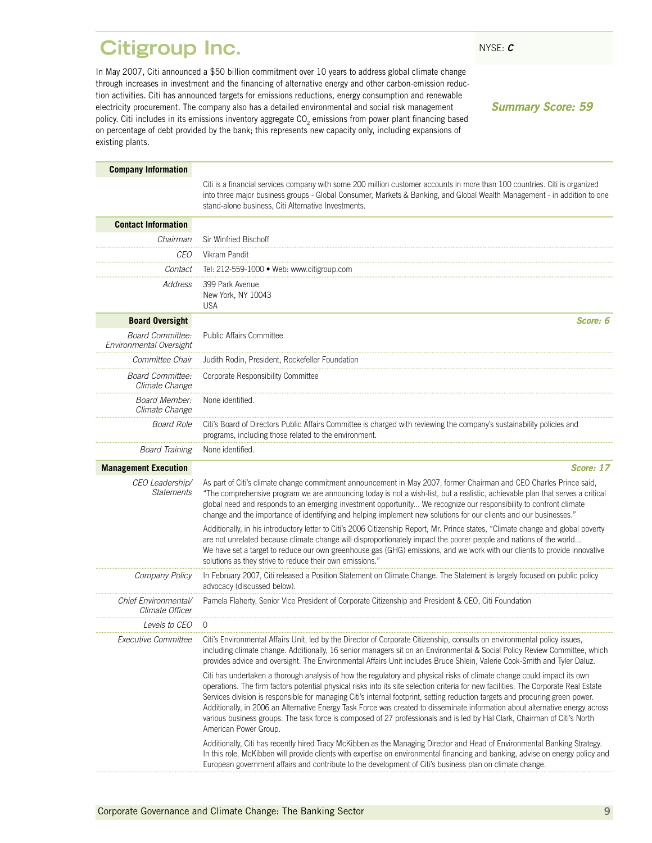### <span id="page-10-0"></span>**Citigroup Inc.** NYSE: C

In May 2007, Citi announced a \$50 billion commitment over 10 years to address global climate change through increases in investment and the financing of alternative energy and other carbon-emission reduction activities. Citi has announced targets for emissions reductions, energy consumption and renewable electricity procurement. The company also has a detailed environmental and social risk management policy. Citi includes in its emissions inventory aggregate  $CO<sub>2</sub>$  emissions from power plant financing based on percentage of debt provided by the bank; this represents new capacity only, including expansions of existing plants.

*Summary Score: 59*

| <b>Company Information</b>                         |                                                                                                                                                                                                                                                                                                                                                                                                                                                                                                                                                                                                                                                                                         |
|----------------------------------------------------|-----------------------------------------------------------------------------------------------------------------------------------------------------------------------------------------------------------------------------------------------------------------------------------------------------------------------------------------------------------------------------------------------------------------------------------------------------------------------------------------------------------------------------------------------------------------------------------------------------------------------------------------------------------------------------------------|
|                                                    | Citi is a financial services company with some 200 million customer accounts in more than 100 countries. Citi is organized<br>into three major business groups - Global Consumer, Markets & Banking, and Global Wealth Management - in addition to one<br>stand-alone business, Citi Alternative Investments.                                                                                                                                                                                                                                                                                                                                                                           |
| <b>Contact Information</b>                         |                                                                                                                                                                                                                                                                                                                                                                                                                                                                                                                                                                                                                                                                                         |
| Chairman                                           | Sir Winfried Bischoff                                                                                                                                                                                                                                                                                                                                                                                                                                                                                                                                                                                                                                                                   |
| CEO                                                | Vikram Pandit                                                                                                                                                                                                                                                                                                                                                                                                                                                                                                                                                                                                                                                                           |
| Contact                                            | Tel: 212-559-1000 · Web: www.citigroup.com                                                                                                                                                                                                                                                                                                                                                                                                                                                                                                                                                                                                                                              |
| <b>Address</b>                                     | 399 Park Avenue<br>New York, NY 10043<br><b>USA</b>                                                                                                                                                                                                                                                                                                                                                                                                                                                                                                                                                                                                                                     |
| <b>Board Oversight</b>                             | Score: 6                                                                                                                                                                                                                                                                                                                                                                                                                                                                                                                                                                                                                                                                                |
| <b>Board Committee:</b><br>Environmental Oversight | <b>Public Affairs Committee</b>                                                                                                                                                                                                                                                                                                                                                                                                                                                                                                                                                                                                                                                         |
| Committee Chair                                    | Judith Rodin, President, Rockefeller Foundation                                                                                                                                                                                                                                                                                                                                                                                                                                                                                                                                                                                                                                         |
| <b>Board Committee:</b><br>Climate Change          | Corporate Responsibility Committee                                                                                                                                                                                                                                                                                                                                                                                                                                                                                                                                                                                                                                                      |
| Board Member:<br>Climate Change                    | None identified.                                                                                                                                                                                                                                                                                                                                                                                                                                                                                                                                                                                                                                                                        |
| <b>Board Role</b>                                  | Citi's Board of Directors Public Affairs Committee is charged with reviewing the company's sustainability policies and<br>programs, including those related to the environment.                                                                                                                                                                                                                                                                                                                                                                                                                                                                                                         |
| <b>Board Training</b>                              | None identified.                                                                                                                                                                                                                                                                                                                                                                                                                                                                                                                                                                                                                                                                        |
| <b>Management Execution</b>                        | Score: 17                                                                                                                                                                                                                                                                                                                                                                                                                                                                                                                                                                                                                                                                               |
| CEO Leadership/<br><b>Statements</b>               | As part of Citi's climate change commitment announcement in May 2007, former Chairman and CEO Charles Prince said,<br>"The comprehensive program we are announcing today is not a wish-list, but a realistic, achievable plan that serves a critical<br>global need and responds to an emerging investment opportunity We recognize our responsibility to confront climate<br>change and the importance of identifying and helping implement new solutions for our clients and our businesses."                                                                                                                                                                                         |
|                                                    | Additionally, in his introductory letter to Citi's 2006 Citizenship Report, Mr. Prince states, "Climate change and global poverty<br>are not unrelated because climate change will disproportionately impact the poorer people and nations of the world<br>We have set a target to reduce our own greenhouse gas (GHG) emissions, and we work with our clients to provide innovative<br>solutions as they strive to reduce their own emissions."                                                                                                                                                                                                                                        |
| Company Policy                                     | In February 2007, Citi released a Position Statement on Climate Change. The Statement is largely focused on public policy<br>advocacy (discussed below).                                                                                                                                                                                                                                                                                                                                                                                                                                                                                                                                |
| Chief Environmental/<br>Climate Officer            | Pamela Flaherty, Senior Vice President of Corporate Citizenship and President & CEO, Citi Foundation                                                                                                                                                                                                                                                                                                                                                                                                                                                                                                                                                                                    |
| <i>Levels to CEO</i>                               | $\Omega$                                                                                                                                                                                                                                                                                                                                                                                                                                                                                                                                                                                                                                                                                |
| <b>Executive Committee</b>                         | Citi's Environmental Affairs Unit, led by the Director of Corporate Citizenship, consults on environmental policy issues,<br>including climate change. Additionally, 16 senior managers sit on an Environmental & Social Policy Review Committee, which<br>provides advice and oversight. The Environmental Affairs Unit includes Bruce Shlein, Valerie Cook-Smith and Tyler Daluz.                                                                                                                                                                                                                                                                                                     |
|                                                    | Citi has undertaken a thorough analysis of how the regulatory and physical risks of climate change could impact its own<br>operations. The firm factors potential physical risks into its site selection criteria for new facilities. The Corporate Real Estate<br>Services division is responsible for managing Citi's internal footprint, setting reduction targets and procuring green power.<br>Additionally, in 2006 an Alternative Energy Task Force was created to disseminate information about alternative energy across<br>various business groups. The task force is composed of 27 professionals and is led by Hal Clark, Chairman of Citi's North<br>American Power Group. |
|                                                    | Additionally, Citi has recently hired Tracy McKibben as the Managing Director and Head of Environmental Banking Strategy.<br>In this role, McKibben will provide clients with expertise on environmental financing and banking, advise on energy policy and<br>European government affairs and contribute to the development of Citi's business plan on climate change.                                                                                                                                                                                                                                                                                                                 |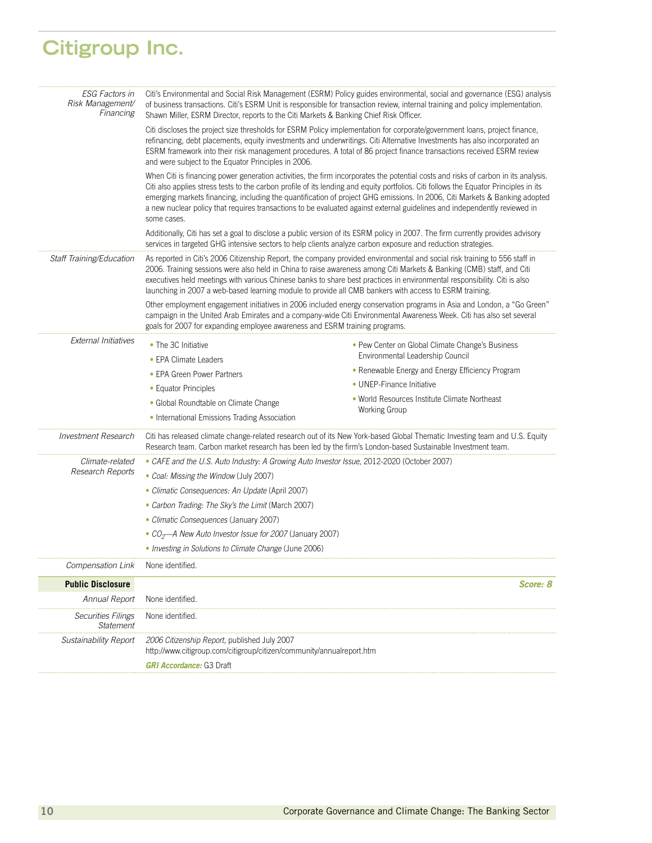# **Citigroup Inc.**

| <b>ESG Factors in</b><br>Risk Management/<br>Financing                                                        | Shawn Miller, ESRM Director, reports to the Citi Markets & Banking Chief Risk Officer.                                                                                                                                                                                                                                                                                                                                                                                                                                                                | Citi's Environmental and Social Risk Management (ESRM) Policy guides environmental, social and governance (ESG) analysis<br>of business transactions. Citi's ESRM Unit is responsible for transaction review, internal training and policy implementation. |  |  |
|---------------------------------------------------------------------------------------------------------------|-------------------------------------------------------------------------------------------------------------------------------------------------------------------------------------------------------------------------------------------------------------------------------------------------------------------------------------------------------------------------------------------------------------------------------------------------------------------------------------------------------------------------------------------------------|------------------------------------------------------------------------------------------------------------------------------------------------------------------------------------------------------------------------------------------------------------|--|--|
|                                                                                                               | Citi discloses the project size thresholds for ESRM Policy implementation for corporate/government loans, project finance,<br>refinancing, debt placements, equity investments and underwritings. Citi Alternative Investments has also incorporated an<br>ESRM framework into their risk management procedures. A total of 86 project finance transactions received ESRM review<br>and were subject to the Equator Principles in 2006.                                                                                                               |                                                                                                                                                                                                                                                            |  |  |
|                                                                                                               | When Citi is financing power generation activities, the firm incorporates the potential costs and risks of carbon in its analysis.<br>Citi also applies stress tests to the carbon profile of its lending and equity portfolios. Citi follows the Equator Principles in its<br>emerging markets financing, including the quantification of project GHG emissions. In 2006, Citi Markets & Banking adopted<br>a new nuclear policy that requires transactions to be evaluated against external guidelines and independently reviewed in<br>some cases. |                                                                                                                                                                                                                                                            |  |  |
|                                                                                                               | Additionally, Citi has set a goal to disclose a public version of its ESRM policy in 2007. The firm currently provides advisory<br>services in targeted GHG intensive sectors to help clients analyze carbon exposure and reduction strategies.                                                                                                                                                                                                                                                                                                       |                                                                                                                                                                                                                                                            |  |  |
| Staff Training/Education                                                                                      | As reported in Citi's 2006 Citizenship Report, the company provided environmental and social risk training to 556 staff in<br>2006. Training sessions were also held in China to raise awareness among Citi Markets & Banking (CMB) staff, and Citi<br>executives held meetings with various Chinese banks to share best practices in environmental responsibility. Citi is also<br>launching in 2007 a web-based learning module to provide all CMB bankers with access to ESRM training.                                                            |                                                                                                                                                                                                                                                            |  |  |
|                                                                                                               | goals for 2007 for expanding employee awareness and ESRM training programs.                                                                                                                                                                                                                                                                                                                                                                                                                                                                           | Other employment engagement initiatives in 2006 included energy conservation programs in Asia and London, a "Go Green"<br>campaign in the United Arab Emirates and a company-wide Citi Environmental Awareness Week. Citi has also set several             |  |  |
| <b>External Initiatives</b>                                                                                   | • The 3C Initiative                                                                                                                                                                                                                                                                                                                                                                                                                                                                                                                                   | • Pew Center on Global Climate Change's Business                                                                                                                                                                                                           |  |  |
|                                                                                                               | • EPA Climate Leaders                                                                                                                                                                                                                                                                                                                                                                                                                                                                                                                                 | Environmental Leadership Council                                                                                                                                                                                                                           |  |  |
|                                                                                                               | • EPA Green Power Partners                                                                                                                                                                                                                                                                                                                                                                                                                                                                                                                            | • Renewable Energy and Energy Efficiency Program                                                                                                                                                                                                           |  |  |
|                                                                                                               | • Equator Principles                                                                                                                                                                                                                                                                                                                                                                                                                                                                                                                                  | • UNEP-Finance Initiative                                                                                                                                                                                                                                  |  |  |
|                                                                                                               | · Global Roundtable on Climate Change                                                                                                                                                                                                                                                                                                                                                                                                                                                                                                                 | • World Resources Institute Climate Northeast                                                                                                                                                                                                              |  |  |
|                                                                                                               | • International Emissions Trading Association                                                                                                                                                                                                                                                                                                                                                                                                                                                                                                         | <b>Working Group</b>                                                                                                                                                                                                                                       |  |  |
| <b>Investment Research</b>                                                                                    | Citi has released climate change-related research out of its New York-based Global Thematic Investing team and U.S. Equity<br>Research team. Carbon market research has been led by the firm's London-based Sustainable Investment team.                                                                                                                                                                                                                                                                                                              |                                                                                                                                                                                                                                                            |  |  |
| • CAFE and the U.S. Auto Industry: A Growing Auto Investor Issue, 2012-2020 (October 2007)<br>Climate-related |                                                                                                                                                                                                                                                                                                                                                                                                                                                                                                                                                       |                                                                                                                                                                                                                                                            |  |  |
| Research Reports                                                                                              | • Coal: Missing the Window (July 2007)                                                                                                                                                                                                                                                                                                                                                                                                                                                                                                                |                                                                                                                                                                                                                                                            |  |  |
|                                                                                                               | • Climatic Consequences: An Update (April 2007)                                                                                                                                                                                                                                                                                                                                                                                                                                                                                                       |                                                                                                                                                                                                                                                            |  |  |
|                                                                                                               | • Carbon Trading: The Sky's the Limit (March 2007)                                                                                                                                                                                                                                                                                                                                                                                                                                                                                                    |                                                                                                                                                                                                                                                            |  |  |
|                                                                                                               | • Climatic Consequences (January 2007)                                                                                                                                                                                                                                                                                                                                                                                                                                                                                                                |                                                                                                                                                                                                                                                            |  |  |
|                                                                                                               | • CO <sub>2</sub> —A New Auto Investor Issue for 2007 (January 2007)                                                                                                                                                                                                                                                                                                                                                                                                                                                                                  |                                                                                                                                                                                                                                                            |  |  |
|                                                                                                               | • Investing in Solutions to Climate Change (June 2006)                                                                                                                                                                                                                                                                                                                                                                                                                                                                                                |                                                                                                                                                                                                                                                            |  |  |
| Compensation Link                                                                                             | None identified.                                                                                                                                                                                                                                                                                                                                                                                                                                                                                                                                      |                                                                                                                                                                                                                                                            |  |  |
| <b>Public Disclosure</b>                                                                                      |                                                                                                                                                                                                                                                                                                                                                                                                                                                                                                                                                       | <b>Score: 8</b>                                                                                                                                                                                                                                            |  |  |
| Annual Report                                                                                                 | None identified.                                                                                                                                                                                                                                                                                                                                                                                                                                                                                                                                      |                                                                                                                                                                                                                                                            |  |  |
| <i>Securities Filings</i><br><b>Statement</b>                                                                 | None identified.                                                                                                                                                                                                                                                                                                                                                                                                                                                                                                                                      |                                                                                                                                                                                                                                                            |  |  |
| Sustainability Report                                                                                         | 2006 Citizenship Report, published July 2007<br>http://www.citigroup.com/citigroup/citizen/community/annualreport.htm                                                                                                                                                                                                                                                                                                                                                                                                                                 |                                                                                                                                                                                                                                                            |  |  |
|                                                                                                               | <b>GRI Accordance: G3 Draft</b>                                                                                                                                                                                                                                                                                                                                                                                                                                                                                                                       |                                                                                                                                                                                                                                                            |  |  |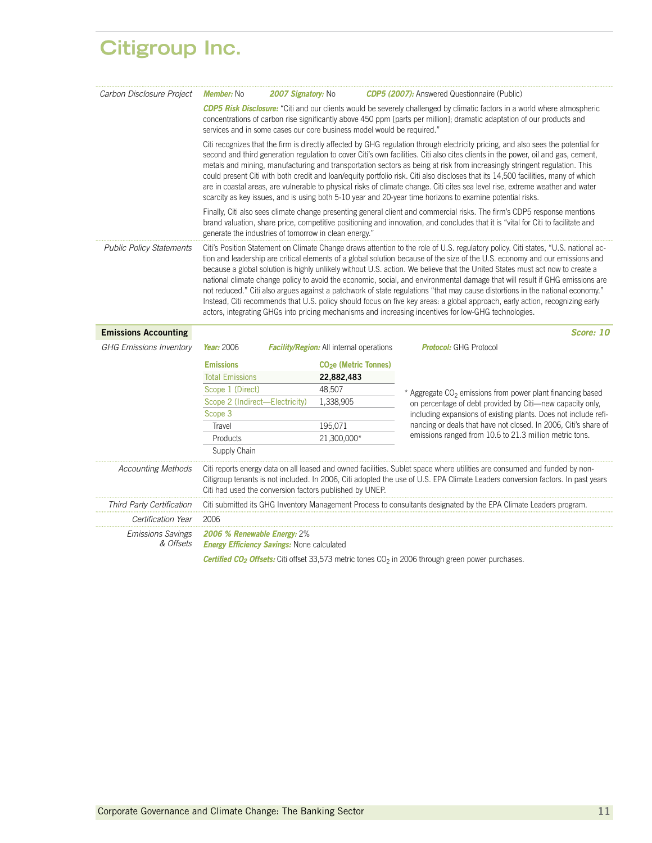### **Citigroup Inc.**

| Carbon Disclosure Project             | <b>Member:</b> No                                                                | <b>2007 Signatory: No</b> |                                                         | <b>CDP5 (2007):</b> Answered Questionnaire (Public)                                                                                                                                                                                                                                                                                                                                                                                                                                                                                                                                                                                                                                                                                                                                                                                                                                                         |
|---------------------------------------|----------------------------------------------------------------------------------|---------------------------|---------------------------------------------------------|-------------------------------------------------------------------------------------------------------------------------------------------------------------------------------------------------------------------------------------------------------------------------------------------------------------------------------------------------------------------------------------------------------------------------------------------------------------------------------------------------------------------------------------------------------------------------------------------------------------------------------------------------------------------------------------------------------------------------------------------------------------------------------------------------------------------------------------------------------------------------------------------------------------|
|                                       |                                                                                  |                           |                                                         | CDP5 Risk Disclosure: "Citi and our clients would be severely challenged by climatic factors in a world where atmospheric<br>concentrations of carbon rise significantly above 450 ppm [parts per million]; dramatic adaptation of our products and<br>services and in some cases our core business model would be required."                                                                                                                                                                                                                                                                                                                                                                                                                                                                                                                                                                               |
|                                       |                                                                                  |                           |                                                         | Citi recognizes that the firm is directly affected by GHG regulation through electricity pricing, and also sees the potential for<br>second and third generation regulation to cover Citi's own facilities. Citi also cites clients in the power, oil and gas, cement,<br>metals and mining, manufacturing and transportation sectors as being at risk from increasingly stringent regulation. This<br>could present Citi with both credit and loan/equity portfolio risk. Citi also discloses that its 14,500 facilities, many of which<br>are in coastal areas, are vulnerable to physical risks of climate change. Citi cites sea level rise, extreme weather and water<br>scarcity as key issues, and is using both 5-10 year and 20-year time horizons to examine potential risks.                                                                                                                     |
|                                       | generate the industries of tomorrow in clean energy."                            |                           |                                                         | Finally, Citi also sees climate change presenting general client and commercial risks. The firm's CDP5 response mentions<br>brand valuation, share price, competitive positioning and innovation, and concludes that it is "vital for Citi to facilitate and                                                                                                                                                                                                                                                                                                                                                                                                                                                                                                                                                                                                                                                |
| <b>Public Policy Statements</b>       |                                                                                  |                           |                                                         | Citi's Position Statement on Climate Change draws attention to the role of U.S. regulatory policy. Citi states, "U.S. national ac-<br>tion and leadership are critical elements of a global solution because of the size of the U.S. economy and our emissions and<br>because a global solution is highly unlikely without U.S. action. We believe that the United States must act now to create a<br>national climate change policy to avoid the economic, social, and environmental damage that will result if GHG emissions are<br>not reduced." Citi also argues against a patchwork of state regulations "that may cause distortions in the national economy."<br>Instead, Citi recommends that U.S. policy should focus on five key areas: a global approach, early action, recognizing early<br>actors, integrating GHGs into pricing mechanisms and increasing incentives for low-GHG technologies. |
| <b>Emissions Accounting</b>           |                                                                                  |                           |                                                         | Score: 10                                                                                                                                                                                                                                                                                                                                                                                                                                                                                                                                                                                                                                                                                                                                                                                                                                                                                                   |
| <b>GHG Emissions Inventory</b>        | Year: 2006                                                                       |                           | <b>Facility/Region:</b> All internal operations         | <b>Protocol:</b> GHG Protocol                                                                                                                                                                                                                                                                                                                                                                                                                                                                                                                                                                                                                                                                                                                                                                                                                                                                               |
|                                       | <b>Emissions</b>                                                                 |                           | CO <sub>2</sub> e (Metric Tonnes)                       |                                                                                                                                                                                                                                                                                                                                                                                                                                                                                                                                                                                                                                                                                                                                                                                                                                                                                                             |
|                                       | <b>Total Emissions</b>                                                           |                           | 22,882,483                                              |                                                                                                                                                                                                                                                                                                                                                                                                                                                                                                                                                                                                                                                                                                                                                                                                                                                                                                             |
|                                       | Scope 1 (Direct)                                                                 |                           | 48,507                                                  | * Aggregate CO <sub>2</sub> emissions from power plant financing based                                                                                                                                                                                                                                                                                                                                                                                                                                                                                                                                                                                                                                                                                                                                                                                                                                      |
|                                       | Scope 2 (Indirect-Electricity)                                                   |                           | 1,338,905                                               | on percentage of debt provided by Citi-new capacity only,                                                                                                                                                                                                                                                                                                                                                                                                                                                                                                                                                                                                                                                                                                                                                                                                                                                   |
|                                       | Scope 3                                                                          |                           |                                                         | including expansions of existing plants. Does not include refi-                                                                                                                                                                                                                                                                                                                                                                                                                                                                                                                                                                                                                                                                                                                                                                                                                                             |
|                                       | Travel                                                                           |                           |                                                         |                                                                                                                                                                                                                                                                                                                                                                                                                                                                                                                                                                                                                                                                                                                                                                                                                                                                                                             |
|                                       |                                                                                  |                           | 195,071                                                 | nancing or deals that have not closed. In 2006, Citi's share of                                                                                                                                                                                                                                                                                                                                                                                                                                                                                                                                                                                                                                                                                                                                                                                                                                             |
|                                       | Products                                                                         |                           | 21,300,000*                                             | emissions ranged from 10.6 to 21.3 million metric tons.                                                                                                                                                                                                                                                                                                                                                                                                                                                                                                                                                                                                                                                                                                                                                                                                                                                     |
|                                       | Supply Chain                                                                     |                           |                                                         |                                                                                                                                                                                                                                                                                                                                                                                                                                                                                                                                                                                                                                                                                                                                                                                                                                                                                                             |
| <b>Accounting Methods</b>             |                                                                                  |                           | Citi had used the conversion factors published by UNEP. | Citi reports energy data on all leased and owned facilities. Sublet space where utilities are consumed and funded by non-<br>Citigroup tenants is not included. In 2006, Citi adopted the use of U.S. EPA Climate Leaders conversion factors. In past years                                                                                                                                                                                                                                                                                                                                                                                                                                                                                                                                                                                                                                                 |
| Third Party Certification             |                                                                                  |                           |                                                         | Citi submitted its GHG Inventory Management Process to consultants designated by the EPA Climate Leaders program.                                                                                                                                                                                                                                                                                                                                                                                                                                                                                                                                                                                                                                                                                                                                                                                           |
| Certification Year                    | 2006                                                                             |                           |                                                         |                                                                                                                                                                                                                                                                                                                                                                                                                                                                                                                                                                                                                                                                                                                                                                                                                                                                                                             |
| <b>Emissions Savings</b><br>& Offsets | 2006 % Renewable Energy: 2%<br><b>Energy Efficiency Savings:</b> None calculated |                           |                                                         |                                                                                                                                                                                                                                                                                                                                                                                                                                                                                                                                                                                                                                                                                                                                                                                                                                                                                                             |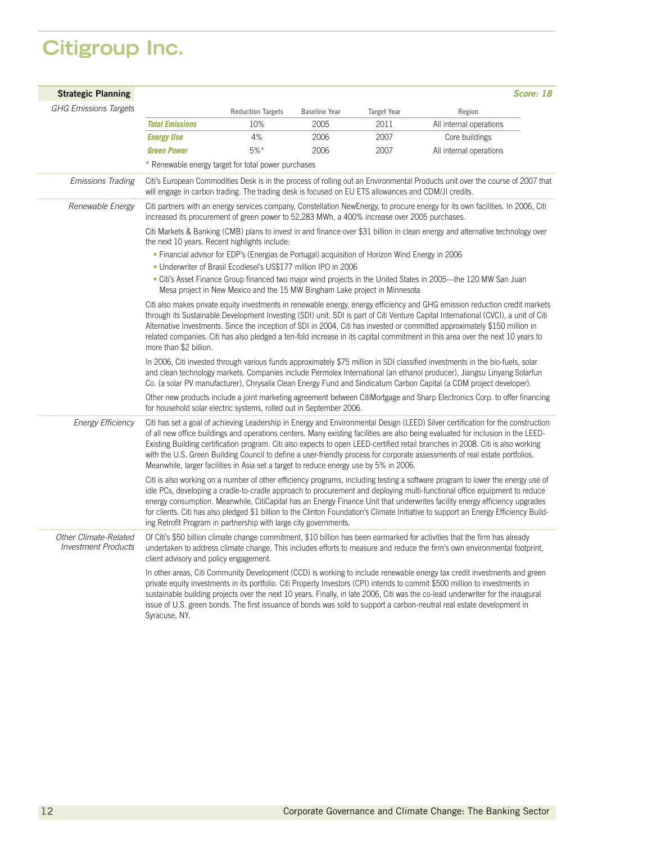### **Citigroup Inc.**

| <b>Strategic Planning</b>                           |                                                                                                                                                                                                                                                                                                                                                                                                                                                                                                                                                            |                                                     |                      |                    | Score: 18                                                                                                                                                                                                                                                                                                                                                                                                                                                                                                                             |  |  |  |
|-----------------------------------------------------|------------------------------------------------------------------------------------------------------------------------------------------------------------------------------------------------------------------------------------------------------------------------------------------------------------------------------------------------------------------------------------------------------------------------------------------------------------------------------------------------------------------------------------------------------------|-----------------------------------------------------|----------------------|--------------------|---------------------------------------------------------------------------------------------------------------------------------------------------------------------------------------------------------------------------------------------------------------------------------------------------------------------------------------------------------------------------------------------------------------------------------------------------------------------------------------------------------------------------------------|--|--|--|
| <b>GHG Emissions Targets</b>                        |                                                                                                                                                                                                                                                                                                                                                                                                                                                                                                                                                            | <b>Reduction Targets</b>                            | <b>Baseline Year</b> | <b>Target Year</b> | Region                                                                                                                                                                                                                                                                                                                                                                                                                                                                                                                                |  |  |  |
|                                                     | <b>Total Emissions</b>                                                                                                                                                                                                                                                                                                                                                                                                                                                                                                                                     | 10%                                                 | 2005                 | 2011               | All internal operations                                                                                                                                                                                                                                                                                                                                                                                                                                                                                                               |  |  |  |
|                                                     | <b>Energy Use</b>                                                                                                                                                                                                                                                                                                                                                                                                                                                                                                                                          | 4%                                                  | 2006                 | 2007               | Core buildings                                                                                                                                                                                                                                                                                                                                                                                                                                                                                                                        |  |  |  |
|                                                     | <b>Green Power</b>                                                                                                                                                                                                                                                                                                                                                                                                                                                                                                                                         | $5%$ *                                              | 2006                 | 2007               | All internal operations                                                                                                                                                                                                                                                                                                                                                                                                                                                                                                               |  |  |  |
|                                                     |                                                                                                                                                                                                                                                                                                                                                                                                                                                                                                                                                            | * Renewable energy target for total power purchases |                      |                    |                                                                                                                                                                                                                                                                                                                                                                                                                                                                                                                                       |  |  |  |
| <b>Emissions Trading</b>                            | will engage in carbon trading. The trading desk is focused on EU ETS allowances and CDM/JI credits.                                                                                                                                                                                                                                                                                                                                                                                                                                                        |                                                     |                      |                    | Citi's European Commodities Desk is in the process of rolling out an Environmental Products unit over the course of 2007 that                                                                                                                                                                                                                                                                                                                                                                                                         |  |  |  |
| Renewable Energy                                    | increased its procurement of green power to 52,283 MWh, a 400% increase over 2005 purchases.                                                                                                                                                                                                                                                                                                                                                                                                                                                               |                                                     |                      |                    | Citi partners with an energy services company, Constellation NewEnergy, to procure energy for its own facilities. In 2006, Citi                                                                                                                                                                                                                                                                                                                                                                                                       |  |  |  |
|                                                     | Citi Markets & Banking (CMB) plans to invest in and finance over \$31 billion in clean energy and alternative technology over<br>the next 10 years. Recent highlights include:<br>• Financial advisor for EDP's (Energias de Portugal) acquisition of Horizon Wind Energy in 2006<br>• Underwriter of Brasil Ecodiesel's US\$177 million IPO in 2006<br>• Citi's Asset Finance Group financed two major wind projects in the United States in 2005—the 120 MW San Juan<br>Mesa project in New Mexico and the 15 MW Bingham Lake project in Minnesota       |                                                     |                      |                    |                                                                                                                                                                                                                                                                                                                                                                                                                                                                                                                                       |  |  |  |
|                                                     | Citi also makes private equity investments in renewable energy, energy efficiency and GHG emission reduction credit markets<br>through its Sustainable Development Investing (SDI) unit. SDI is part of Citi Venture Capital International (CVCI), a unit of Citi<br>Alternative Investments. Since the inception of SDI in 2004, Citi has invested or committed approximately \$150 million in<br>related companies. Citi has also pledged a ten-fold increase in its capital commitment in this area over the next 10 years to<br>more than \$2 billion. |                                                     |                      |                    |                                                                                                                                                                                                                                                                                                                                                                                                                                                                                                                                       |  |  |  |
|                                                     | In 2006, Citi invested through various funds approximately \$75 million in SDI classified investments in the bio-fuels, solar<br>and clean technology markets. Companies include Permolex International (an ethanol producer), Jiangsu Linyang Solarfun<br>Co. (a solar PV manufacturer), Chrysalix Clean Energy Fund and Sindicatum Carbon Capital (a CDM project developer).                                                                                                                                                                             |                                                     |                      |                    |                                                                                                                                                                                                                                                                                                                                                                                                                                                                                                                                       |  |  |  |
|                                                     | for household solar electric systems, rolled out in September 2006.                                                                                                                                                                                                                                                                                                                                                                                                                                                                                        |                                                     |                      |                    | Other new products include a joint marketing agreement between CitiMortgage and Sharp Electronics Corp. to offer financing                                                                                                                                                                                                                                                                                                                                                                                                            |  |  |  |
| <b>Energy Efficiency</b>                            | Meanwhile, larger facilities in Asia set a target to reduce energy use by 5% in 2006.                                                                                                                                                                                                                                                                                                                                                                                                                                                                      |                                                     |                      |                    | Citi has set a goal of achieving Leadership in Energy and Environmental Design (LEED) Silver certification for the construction<br>of all new office buildings and operations centers. Many existing facilities are also being evaluated for inclusion in the LEED-<br>Existing Building certification program. Citi also expects to open LEED-certified retail branches in 2008. Citi is also working<br>with the U.S. Green Building Council to define a user-friendly process for corporate assessments of real estate portfolios. |  |  |  |
|                                                     | ing Retrofit Program in partnership with large city governments.                                                                                                                                                                                                                                                                                                                                                                                                                                                                                           |                                                     |                      |                    | Citi is also working on a number of other efficiency programs, including testing a software program to lower the energy use of<br>idle PCs, developing a cradle-to-cradle approach to procurement and deploying multi-functional office equipment to reduce<br>energy consumption. Meanwhile, CitiCapital has an Energy Finance Unit that underwrites facility energy efficiency upgrades<br>for clients. Citi has also pledged \$1 billion to the Clinton Foundation's Climate Initiative to support an Energy Efficiency Build-     |  |  |  |
| Other Climate-Related<br><b>Investment Products</b> | client advisory and policy engagement.                                                                                                                                                                                                                                                                                                                                                                                                                                                                                                                     |                                                     |                      |                    | Of Citi's \$50 billion climate change commitment, \$10 billion has been earmarked for activities that the firm has already<br>undertaken to address climate change. This includes efforts to measure and reduce the firm's own environmental footprint,                                                                                                                                                                                                                                                                               |  |  |  |
|                                                     | Syracuse, NY.                                                                                                                                                                                                                                                                                                                                                                                                                                                                                                                                              |                                                     |                      |                    | In other areas, Citi Community Development (CCD) is working to include renewable energy tax credit investments and green<br>private equity investments in its portfolio. Citi Property Investors (CPI) intends to commit \$500 million to investments in<br>sustainable building projects over the next 10 years. Finally, in late 2006, Citi was the co-lead underwriter for the inaugural<br>issue of U.S. green bonds. The first issuance of bonds was sold to support a carbon-neutral real estate development in                 |  |  |  |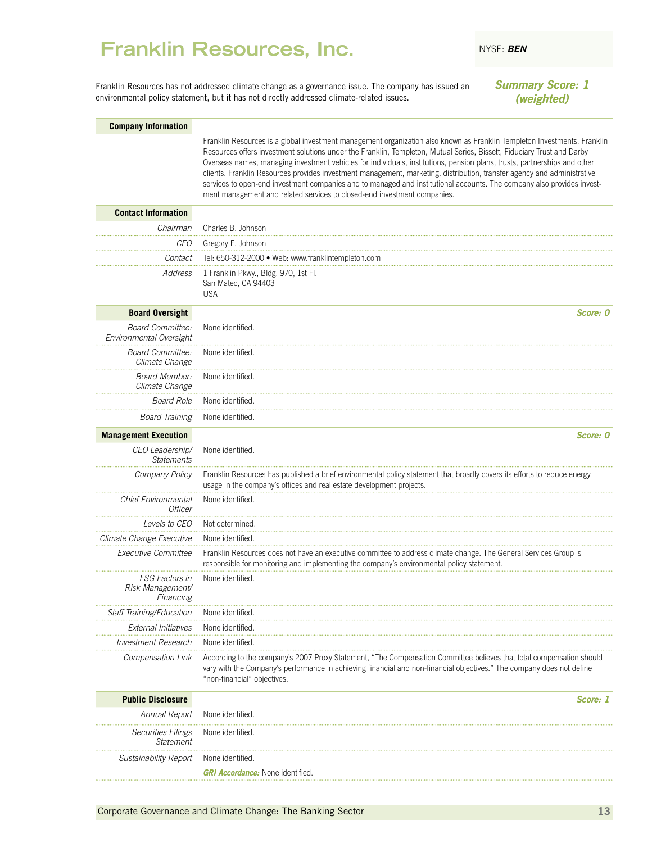### <span id="page-14-0"></span>**Franklin Resources, Inc.** NYSE: BEN

Franklin Resources has not addressed climate change as a governance issue. The company has issued an environmental policy statement, but it has not directly addressed climate-related issues.

### *Summary Score: 1 (weighted)*

#### **Company Information**

Franklin Resources is a global investment management organization also known as Franklin Templeton Investments. Franklin Resources offers investment solutions under the Franklin, Templeton, Mutual Series, Bissett, Fiduciary Trust and Darby Overseas names, managing investment vehicles for individuals, institutions, pension plans, trusts, partnerships and other clients. Franklin Resources provides investment management, marketing, distribution, transfer agency and administrative services to open-end investment companies and to managed and institutional accounts. The company also provides investment management and related services to closed-end investment companies.

| <b>Contact Information</b>                             |                                                                                                                                                                                                                                                                              |
|--------------------------------------------------------|------------------------------------------------------------------------------------------------------------------------------------------------------------------------------------------------------------------------------------------------------------------------------|
| Chairman                                               | Charles B. Johnson                                                                                                                                                                                                                                                           |
| CEO                                                    | Gregory E. Johnson                                                                                                                                                                                                                                                           |
| Contact                                                | Tel: 650-312-2000 · Web: www.franklintempleton.com                                                                                                                                                                                                                           |
| Address                                                | 1 Franklin Pkwy., Bldg. 970, 1st Fl.<br>San Mateo, CA 94403<br><b>USA</b>                                                                                                                                                                                                    |
| <b>Board Oversight</b>                                 | Score: 0                                                                                                                                                                                                                                                                     |
| <b>Board Committee:</b><br>Environmental Oversight     | None identified.                                                                                                                                                                                                                                                             |
| <b>Board Committee:</b><br>Climate Change              | None identified.                                                                                                                                                                                                                                                             |
| <b>Board Member:</b><br>Climate Change                 | None identified.                                                                                                                                                                                                                                                             |
| <b>Board Role</b>                                      | None identified.                                                                                                                                                                                                                                                             |
| <b>Board Training</b>                                  | None identified.                                                                                                                                                                                                                                                             |
| <b>Management Execution</b>                            | Score: 0                                                                                                                                                                                                                                                                     |
| CEO Leadership/<br><b>Statements</b>                   | None identified.                                                                                                                                                                                                                                                             |
| Company Policy                                         | Franklin Resources has published a brief environmental policy statement that broadly covers its efforts to reduce energy<br>usage in the company's offices and real estate development projects.                                                                             |
| <b>Chief Environmental</b><br><b>Officer</b>           | None identified.                                                                                                                                                                                                                                                             |
| Levels to CEO                                          | Not determined.                                                                                                                                                                                                                                                              |
| Climate Change Executive                               | None identified.                                                                                                                                                                                                                                                             |
| <b>Executive Committee</b>                             | Franklin Resources does not have an executive committee to address climate change. The General Services Group is<br>responsible for monitoring and implementing the company's environmental policy statement.                                                                |
| <b>ESG Factors in</b><br>Risk Management/<br>Financing | None identified.                                                                                                                                                                                                                                                             |
| Staff Training/Education                               | None identified.                                                                                                                                                                                                                                                             |
| <b>External Initiatives</b>                            | None identified.                                                                                                                                                                                                                                                             |
| <b>Investment Research</b>                             | None identified.                                                                                                                                                                                                                                                             |
| Compensation Link                                      | According to the company's 2007 Proxy Statement, "The Compensation Committee believes that total compensation should<br>vary with the Company's performance in achieving financial and non-financial objectives." The company does not define<br>"non-financial" objectives. |
| <b>Public Disclosure</b>                               | Score: 1                                                                                                                                                                                                                                                                     |
| Annual Report                                          | None identified.                                                                                                                                                                                                                                                             |
| <b>Securities Filings</b><br><b>Statement</b>          | None identified                                                                                                                                                                                                                                                              |
| <b>Sustainability Report</b>                           | None identified.                                                                                                                                                                                                                                                             |
|                                                        | <b>GRI Accordance:</b> None identified.                                                                                                                                                                                                                                      |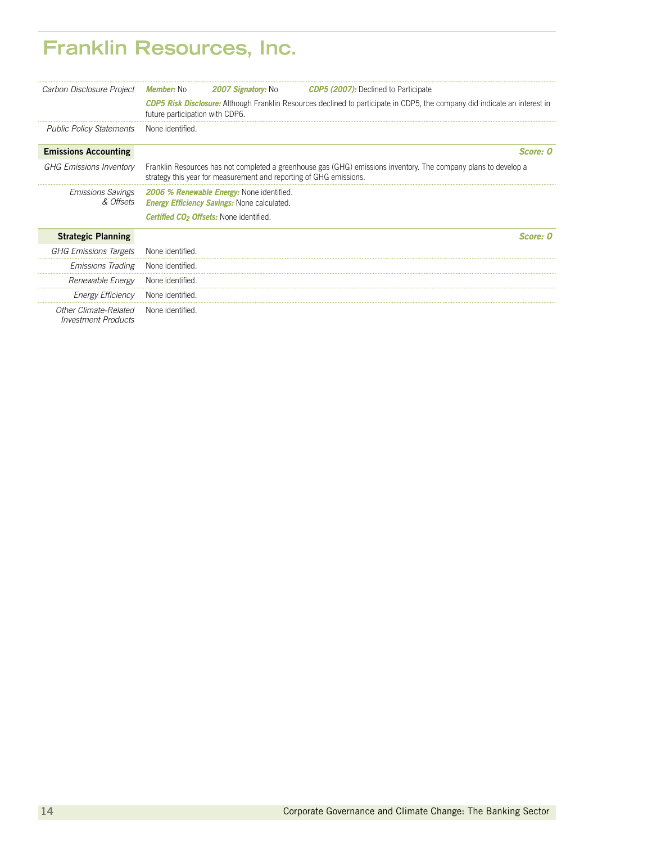### **Franklin Resources, Inc.**

| Carbon Disclosure Project                           | <b>Member:</b> No               | <b>2007 Signatory: No</b>                                                                                                         | <b>CDP5 (2007):</b> Declined to Participate                                                                     |
|-----------------------------------------------------|---------------------------------|-----------------------------------------------------------------------------------------------------------------------------------|-----------------------------------------------------------------------------------------------------------------|
|                                                     | future participation with CDP6. | <b>CDP5 Risk Disclosure:</b> Although Franklin Resources declined to participate in CDP5, the company did indicate an interest in |                                                                                                                 |
| <b>Public Policy Statements</b>                     | None identified.                |                                                                                                                                   |                                                                                                                 |
| <b>Emissions Accounting</b>                         |                                 |                                                                                                                                   | Score: 0                                                                                                        |
| <b>GHG Emissions Inventory</b>                      |                                 | strategy this year for measurement and reporting of GHG emissions.                                                                | Franklin Resources has not completed a greenhouse gas (GHG) emissions inventory. The company plans to develop a |
| <b>Emissions Savings</b><br>& Offsets               |                                 | 2006 % Renewable Energy: None identified.<br><b>Energy Efficiency Savings:</b> None calculated.                                   |                                                                                                                 |
|                                                     |                                 | <b>Certified CO<sub>2</sub> Offsets:</b> None identified.                                                                         |                                                                                                                 |
| <b>Strategic Planning</b>                           |                                 |                                                                                                                                   | $Score \cdot$ 0                                                                                                 |
| <b>GHG Emissions Targets</b>                        | None identified                 |                                                                                                                                   |                                                                                                                 |
| <b>Emissions Trading</b>                            | None identified                 |                                                                                                                                   |                                                                                                                 |
| Renewable Energy                                    | None identified                 |                                                                                                                                   |                                                                                                                 |
| Energy Efficiency                                   | None identified.                |                                                                                                                                   |                                                                                                                 |
| Other Climate-Related<br><b>Investment Products</b> | None identified.                |                                                                                                                                   |                                                                                                                 |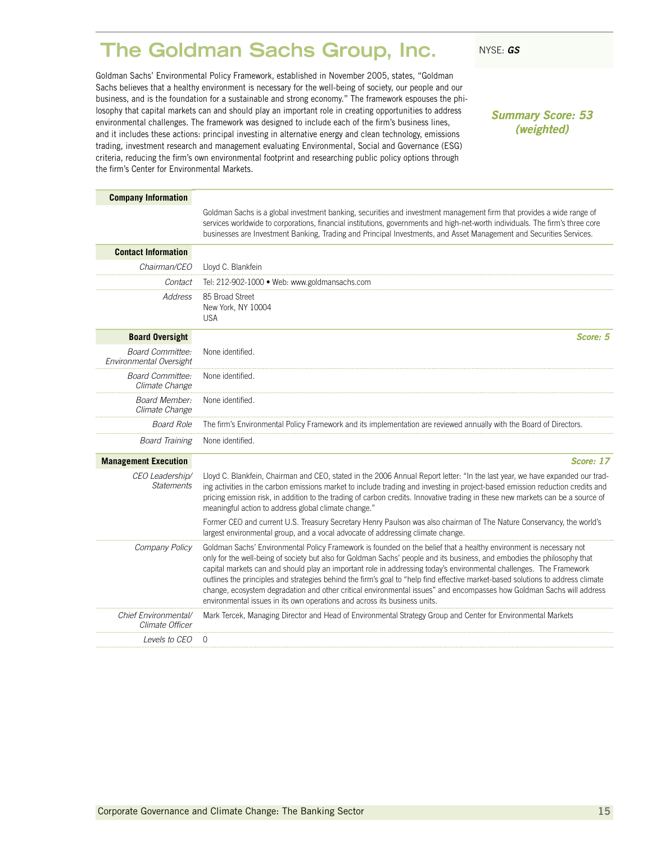### <span id="page-16-0"></span>**The Goldman Sachs Group, Inc.** NYSE: GS

Goldman Sachs' Environmental Policy Framework, established in November 2005, states, "Goldman Sachs believes that a healthy environment is necessary for the well-being of society, our people and our business, and is the foundation for a sustainable and strong economy." The framework espouses the philosophy that capital markets can and should play an important role in creating opportunities to address environmental challenges. The framework was designed to include each of the firm's business lines, and it includes these actions: principal investing in alternative energy and clean technology, emissions trading, investment research and management evaluating Environmental, Social and Governance (ESG) criteria, reducing the firm's own environmental footprint and researching public policy options through the firm's Center for Environmental Markets.

*Summary Score: 53 (weighted)*

| <b>Company Information</b>                         |                                                                                                                                                                                                                                                                                                                                                                                                                                                                                                                                                                                                                                                                                                                |
|----------------------------------------------------|----------------------------------------------------------------------------------------------------------------------------------------------------------------------------------------------------------------------------------------------------------------------------------------------------------------------------------------------------------------------------------------------------------------------------------------------------------------------------------------------------------------------------------------------------------------------------------------------------------------------------------------------------------------------------------------------------------------|
|                                                    | Goldman Sachs is a global investment banking, securities and investment management firm that provides a wide range of<br>services worldwide to corporations, financial institutions, governments and high-net-worth individuals. The firm's three core<br>businesses are Investment Banking, Trading and Principal Investments, and Asset Management and Securities Services.                                                                                                                                                                                                                                                                                                                                  |
| <b>Contact Information</b>                         |                                                                                                                                                                                                                                                                                                                                                                                                                                                                                                                                                                                                                                                                                                                |
| Chairman/CEO                                       | Lloyd C. Blankfein                                                                                                                                                                                                                                                                                                                                                                                                                                                                                                                                                                                                                                                                                             |
| Contact                                            | Tel: 212-902-1000 • Web: www.goldmansachs.com                                                                                                                                                                                                                                                                                                                                                                                                                                                                                                                                                                                                                                                                  |
| Address                                            | 85 Broad Street<br>New York, NY 10004<br><b>USA</b>                                                                                                                                                                                                                                                                                                                                                                                                                                                                                                                                                                                                                                                            |
| <b>Board Oversight</b>                             | Score: 5                                                                                                                                                                                                                                                                                                                                                                                                                                                                                                                                                                                                                                                                                                       |
| <b>Board Committee:</b><br>Environmental Oversight | None identified.                                                                                                                                                                                                                                                                                                                                                                                                                                                                                                                                                                                                                                                                                               |
| <b>Board Committee:</b><br>Climate Change          | None identified.                                                                                                                                                                                                                                                                                                                                                                                                                                                                                                                                                                                                                                                                                               |
| <b>Board Member:</b><br>Climate Change             | None identified.                                                                                                                                                                                                                                                                                                                                                                                                                                                                                                                                                                                                                                                                                               |
| <b>Board Role</b>                                  | The firm's Environmental Policy Framework and its implementation are reviewed annually with the Board of Directors.                                                                                                                                                                                                                                                                                                                                                                                                                                                                                                                                                                                            |
| <b>Board Training</b>                              | None identified.                                                                                                                                                                                                                                                                                                                                                                                                                                                                                                                                                                                                                                                                                               |
| <b>Management Execution</b>                        | Score: 17                                                                                                                                                                                                                                                                                                                                                                                                                                                                                                                                                                                                                                                                                                      |
| CEO Leadership/<br><b>Statements</b>               | Lloyd C. Blankfein, Chairman and CEO, stated in the 2006 Annual Report letter: "In the last year, we have expanded our trad-<br>ing activities in the carbon emissions market to include trading and investing in project-based emission reduction credits and<br>pricing emission risk, in addition to the trading of carbon credits. Innovative trading in these new markets can be a source of<br>meaningful action to address global climate change."                                                                                                                                                                                                                                                      |
|                                                    | Former CEO and current U.S. Treasury Secretary Henry Paulson was also chairman of The Nature Conservancy, the world's<br>largest environmental group, and a vocal advocate of addressing climate change.                                                                                                                                                                                                                                                                                                                                                                                                                                                                                                       |
| Company Policy                                     | Goldman Sachs' Environmental Policy Framework is founded on the belief that a healthy environment is necessary not<br>only for the well-being of society but also for Goldman Sachs' people and its business, and embodies the philosophy that<br>capital markets can and should play an important role in addressing today's environmental challenges. The Framework<br>outlines the principles and strategies behind the firm's goal to "help find effective market-based solutions to address climate<br>change, ecosystem degradation and other critical environmental issues" and encompasses how Goldman Sachs will address<br>environmental issues in its own operations and across its business units. |
| Chief Environmental/<br>Climate Officer            | Mark Tercek, Managing Director and Head of Environmental Strategy Group and Center for Environmental Markets                                                                                                                                                                                                                                                                                                                                                                                                                                                                                                                                                                                                   |
| <i>Levels to CEO</i>                               | ∩                                                                                                                                                                                                                                                                                                                                                                                                                                                                                                                                                                                                                                                                                                              |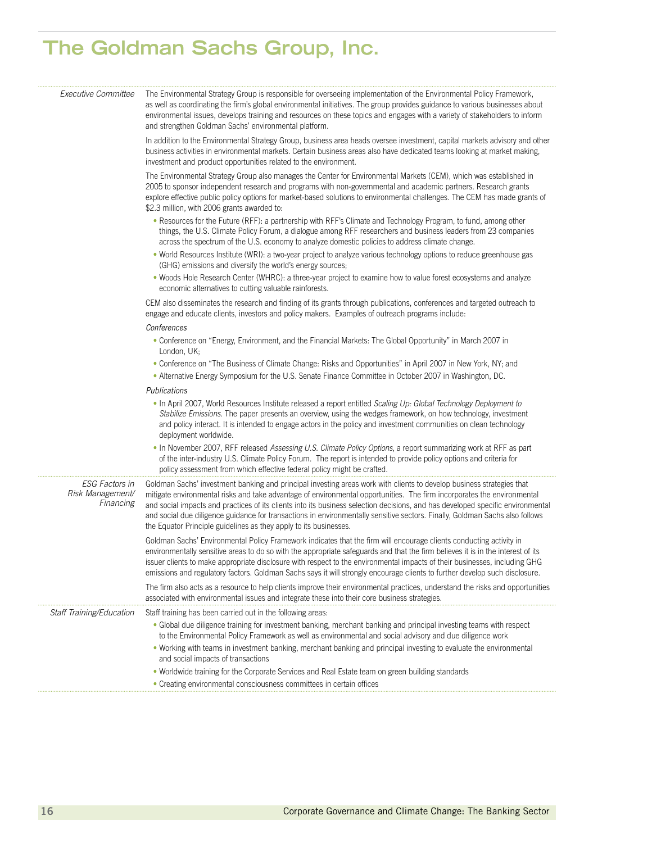| Executive Committee                             | The Environmental Strategy Group is responsible for overseeing implementation of the Environmental Policy Framework,<br>as well as coordinating the firm's global environmental initiatives. The group provides guidance to various businesses about<br>environmental issues, develops training and resources on these topics and engages with a variety of stakeholders to inform<br>and strengthen Goldman Sachs' environmental platform.                                                                                                                                              |
|-------------------------------------------------|------------------------------------------------------------------------------------------------------------------------------------------------------------------------------------------------------------------------------------------------------------------------------------------------------------------------------------------------------------------------------------------------------------------------------------------------------------------------------------------------------------------------------------------------------------------------------------------|
|                                                 | In addition to the Environmental Strategy Group, business area heads oversee investment, capital markets advisory and other<br>business activities in environmental markets. Certain business areas also have dedicated teams looking at market making,<br>investment and product opportunities related to the environment.                                                                                                                                                                                                                                                              |
|                                                 | The Environmental Strategy Group also manages the Center for Environmental Markets (CEM), which was established in<br>2005 to sponsor independent research and programs with non-governmental and academic partners. Research grants<br>explore effective public policy options for market-based solutions to environmental challenges. The CEM has made grants of<br>\$2.3 million, with 2006 grants awarded to:                                                                                                                                                                        |
|                                                 | . Resources for the Future (RFF): a partnership with RFF's Climate and Technology Program, to fund, among other<br>things, the U.S. Climate Policy Forum, a dialogue among RFF researchers and business leaders from 23 companies<br>across the spectrum of the U.S. economy to analyze domestic policies to address climate change.                                                                                                                                                                                                                                                     |
|                                                 | . World Resources Institute (WRI): a two-year project to analyze various technology options to reduce greenhouse gas<br>(GHG) emissions and diversify the world's energy sources;                                                                                                                                                                                                                                                                                                                                                                                                        |
|                                                 | . Woods Hole Research Center (WHRC): a three-year project to examine how to value forest ecosystems and analyze<br>economic alternatives to cutting valuable rainforests.                                                                                                                                                                                                                                                                                                                                                                                                                |
|                                                 | CEM also disseminates the research and finding of its grants through publications, conferences and targeted outreach to<br>engage and educate clients, investors and policy makers. Examples of outreach programs include:                                                                                                                                                                                                                                                                                                                                                               |
|                                                 | Conferences                                                                                                                                                                                                                                                                                                                                                                                                                                                                                                                                                                              |
|                                                 | . Conference on "Energy, Environment, and the Financial Markets: The Global Opportunity" in March 2007 in<br>London, UK;                                                                                                                                                                                                                                                                                                                                                                                                                                                                 |
|                                                 | • Conference on "The Business of Climate Change: Risks and Opportunities" in April 2007 in New York, NY; and                                                                                                                                                                                                                                                                                                                                                                                                                                                                             |
|                                                 | . Alternative Energy Symposium for the U.S. Senate Finance Committee in October 2007 in Washington, DC.                                                                                                                                                                                                                                                                                                                                                                                                                                                                                  |
|                                                 | Publications                                                                                                                                                                                                                                                                                                                                                                                                                                                                                                                                                                             |
|                                                 | . In April 2007, World Resources Institute released a report entitled Scaling Up: Global Technology Deployment to<br>Stabilize Emissions. The paper presents an overview, using the wedges framework, on how technology, investment<br>and policy interact. It is intended to engage actors in the policy and investment communities on clean technology<br>deployment worldwide.                                                                                                                                                                                                        |
|                                                 | . In November 2007, RFF released Assessing U.S. Climate Policy Options, a report summarizing work at RFF as part<br>of the inter-industry U.S. Climate Policy Forum. The report is intended to provide policy options and criteria for<br>policy assessment from which effective federal policy might be crafted.                                                                                                                                                                                                                                                                        |
| ESG Factors in<br>Risk Management/<br>Financing | Goldman Sachs' investment banking and principal investing areas work with clients to develop business strategies that<br>mitigate environmental risks and take advantage of environmental opportunities. The firm incorporates the environmental<br>and social impacts and practices of its clients into its business selection decisions, and has developed specific environmental<br>and social due diligence guidance for transactions in environmentally sensitive sectors. Finally, Goldman Sachs also follows<br>the Equator Principle guidelines as they apply to its businesses. |
|                                                 | Goldman Sachs' Environmental Policy Framework indicates that the firm will encourage clients conducting activity in<br>environmentally sensitive areas to do so with the appropriate safeguards and that the firm believes it is in the interest of its<br>issuer clients to make appropriate disclosure with respect to the environmental impacts of their businesses, including GHG<br>emissions and regulatory factors. Goldman Sachs says it will strongly encourage clients to further develop such disclosure.                                                                     |
|                                                 | The firm also acts as a resource to help clients improve their environmental practices, understand the risks and opportunities<br>associated with environmental issues and integrate these into their core business strategies.                                                                                                                                                                                                                                                                                                                                                          |
| Staff Training/Education                        | Staff training has been carried out in the following areas.                                                                                                                                                                                                                                                                                                                                                                                                                                                                                                                              |
|                                                 | • Global due diligence training for investment banking, merchant banking and principal investing teams with respect<br>to the Environmental Policy Framework as well as environmental and social advisory and due diligence work                                                                                                                                                                                                                                                                                                                                                         |
|                                                 | . Working with teams in investment banking, merchant banking and principal investing to evaluate the environmental<br>and social impacts of transactions                                                                                                                                                                                                                                                                                                                                                                                                                                 |
|                                                 | • Worldwide training for the Corporate Services and Real Estate team on green building standards                                                                                                                                                                                                                                                                                                                                                                                                                                                                                         |
|                                                 | • Creating environmental consciousness committees in certain offices                                                                                                                                                                                                                                                                                                                                                                                                                                                                                                                     |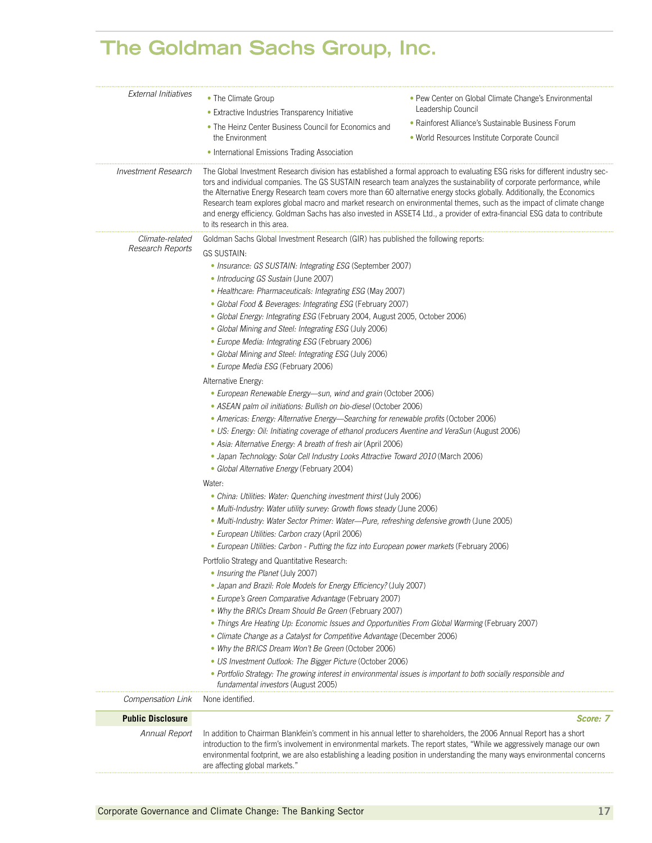| External Initiatives       | • The Climate Group                                                                                                                                                                                                                                                                                                                                                                                                                                                                                                                                          | • Pew Center on Global Climate Change's Environmental                                                                                                                                                                                                                                                                                                                                 |  |  |  |  |
|----------------------------|--------------------------------------------------------------------------------------------------------------------------------------------------------------------------------------------------------------------------------------------------------------------------------------------------------------------------------------------------------------------------------------------------------------------------------------------------------------------------------------------------------------------------------------------------------------|---------------------------------------------------------------------------------------------------------------------------------------------------------------------------------------------------------------------------------------------------------------------------------------------------------------------------------------------------------------------------------------|--|--|--|--|
|                            | • Extractive Industries Transparency Initiative                                                                                                                                                                                                                                                                                                                                                                                                                                                                                                              | Leadership Council                                                                                                                                                                                                                                                                                                                                                                    |  |  |  |  |
|                            | • The Heinz Center Business Council for Economics and<br>the Environment                                                                                                                                                                                                                                                                                                                                                                                                                                                                                     | • Rainforest Alliance's Sustainable Business Forum<br>· World Resources Institute Corporate Council                                                                                                                                                                                                                                                                                   |  |  |  |  |
|                            | · International Emissions Trading Association                                                                                                                                                                                                                                                                                                                                                                                                                                                                                                                |                                                                                                                                                                                                                                                                                                                                                                                       |  |  |  |  |
| <i>Investment Research</i> | tors and individual companies. The GS SUSTAIN research team analyzes the sustainability of corporate performance, while<br>the Alternative Energy Research team covers more than 60 alternative energy stocks globally. Additionally, the Economics<br>to its research in this area.                                                                                                                                                                                                                                                                         | The Global Investment Research division has established a formal approach to evaluating ESG risks for different industry sec-<br>Research team explores global macro and market research on environmental themes, such as the impact of climate change<br>and energy efficiency. Goldman Sachs has also invested in ASSET4 Ltd., a provider of extra-financial ESG data to contribute |  |  |  |  |
| Climate-related            | Goldman Sachs Global Investment Research (GIR) has published the following reports:                                                                                                                                                                                                                                                                                                                                                                                                                                                                          |                                                                                                                                                                                                                                                                                                                                                                                       |  |  |  |  |
| Research Reports           | <b>GS SUSTAIN:</b>                                                                                                                                                                                                                                                                                                                                                                                                                                                                                                                                           |                                                                                                                                                                                                                                                                                                                                                                                       |  |  |  |  |
|                            | • Insurance: GS SUSTAIN: Integrating ESG (September 2007)<br>• Introducing GS Sustain (June 2007)<br>• Healthcare: Pharmaceuticals: Integrating ESG (May 2007)<br>• Global Food & Beverages: Integrating ESG (February 2007)<br>• Global Energy: Integrating ESG (February 2004, August 2005, October 2006)<br>• Global Mining and Steel: Integrating ESG (July 2006)<br>• Europe Media: Integrating ESG (February 2006)                                                                                                                                     |                                                                                                                                                                                                                                                                                                                                                                                       |  |  |  |  |
|                            | • Global Mining and Steel: Integrating ESG (July 2006)<br>· Europe Media ESG (February 2006)                                                                                                                                                                                                                                                                                                                                                                                                                                                                 |                                                                                                                                                                                                                                                                                                                                                                                       |  |  |  |  |
|                            | Alternative Energy:<br>• European Renewable Energy-sun, wind and grain (October 2006)<br>• ASEAN palm oil initiations: Bullish on bio-diesel (October 2006)<br>• Americas: Energy: Alternative Energy-Searching for renewable profits (October 2006)<br>• US: Energy: Oil: Initiating coverage of ethanol producers Aventine and VeraSun (August 2006)<br>• Asia: Alternative Energy: A breath of fresh air (April 2006)<br>• Japan Technology: Solar Cell Industry Looks Attractive Toward 2010 (March 2006)<br>· Global Alternative Energy (February 2004) |                                                                                                                                                                                                                                                                                                                                                                                       |  |  |  |  |
|                            | Water:                                                                                                                                                                                                                                                                                                                                                                                                                                                                                                                                                       |                                                                                                                                                                                                                                                                                                                                                                                       |  |  |  |  |
|                            | • China: Utilities: Water: Quenching investment thirst (July 2006)<br>. Multi-Industry: Water utility survey: Growth flows steady (June 2006)<br>• Multi-Industry: Water Sector Primer: Water—Pure, refreshing defensive growth (June 2005)<br>· European Utilities: Carbon crazy (April 2006)<br>• European Utilities: Carbon - Putting the fizz into European power markets (February 2006)                                                                                                                                                                |                                                                                                                                                                                                                                                                                                                                                                                       |  |  |  |  |
|                            | Portfolio Strategy and Quantitative Research:                                                                                                                                                                                                                                                                                                                                                                                                                                                                                                                |                                                                                                                                                                                                                                                                                                                                                                                       |  |  |  |  |
|                            | • Insuring the Planet (July 2007)<br>· Japan and Brazil: Role Models for Energy Efficiency? (July 2007)<br>• Europe's Green Comparative Advantage (February 2007)<br>• Why the BRICs Dream Should Be Green (February 2007)                                                                                                                                                                                                                                                                                                                                   |                                                                                                                                                                                                                                                                                                                                                                                       |  |  |  |  |
|                            | • Things Are Heating Up: Economic Issues and Opportunities From Global Warming (February 2007)<br>• Climate Change as a Catalyst for Competitive Advantage (December 2006)<br>• Why the BRICS Dream Won't Be Green (October 2006)                                                                                                                                                                                                                                                                                                                            |                                                                                                                                                                                                                                                                                                                                                                                       |  |  |  |  |
|                            | • US Investment Outlook: The Bigger Picture (October 2006)                                                                                                                                                                                                                                                                                                                                                                                                                                                                                                   |                                                                                                                                                                                                                                                                                                                                                                                       |  |  |  |  |
|                            | • Portfolio Strategy: The growing interest in environmental issues is important to both socially responsible and<br>fundamental investors (August 2005)                                                                                                                                                                                                                                                                                                                                                                                                      |                                                                                                                                                                                                                                                                                                                                                                                       |  |  |  |  |
| Compensation Link          | None identified.                                                                                                                                                                                                                                                                                                                                                                                                                                                                                                                                             |                                                                                                                                                                                                                                                                                                                                                                                       |  |  |  |  |
| <b>Public Disclosure</b>   |                                                                                                                                                                                                                                                                                                                                                                                                                                                                                                                                                              | Score: 7                                                                                                                                                                                                                                                                                                                                                                              |  |  |  |  |
| Annual Report              | In addition to Chairman Blankfein's comment in his annual letter to shareholders, the 2006 Annual Report has a short<br>introduction to the firm's involvement in environmental markets. The report states, "While we aggressively manage our own<br>are affecting global markets."                                                                                                                                                                                                                                                                          | environmental footprint, we are also establishing a leading position in understanding the many ways environmental concerns                                                                                                                                                                                                                                                            |  |  |  |  |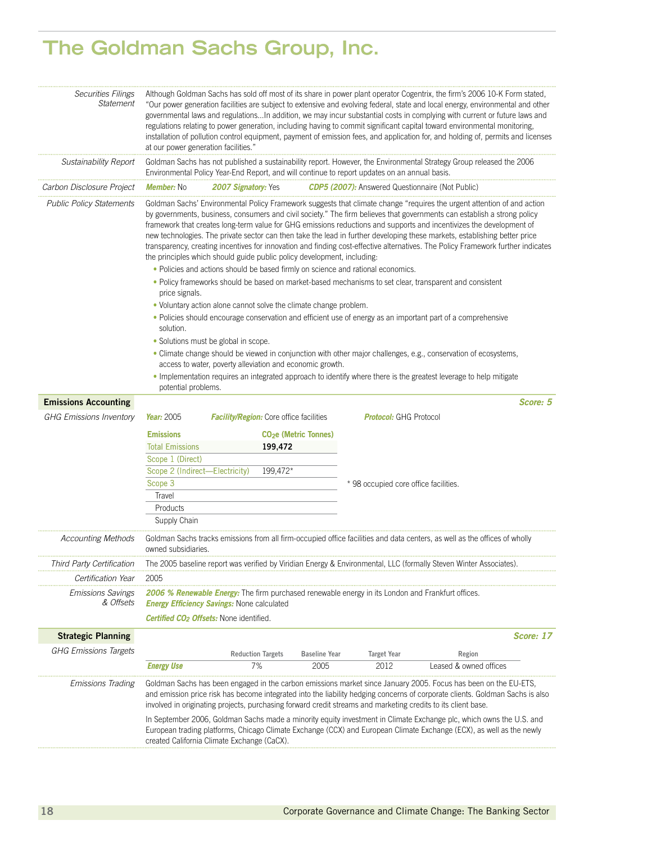| <b>Securities Filings</b><br><b>Statement</b> | Although Goldman Sachs has sold off most of its share in power plant operator Cogentrix, the firm's 2006 10-K Form stated,<br>"Our power generation facilities are subject to extensive and evolving federal, state and local energy, environmental and other<br>governmental laws and regulationsIn addition, we may incur substantial costs in complying with current or future laws and<br>regulations relating to power generation, including having to commit significant capital toward environmental monitoring,<br>installation of pollution control equipment, payment of emission fees, and application for, and holding of, permits and licenses<br>at our power generation facilities." |                                                                                                                                                                                                                                                                        |                                        |                               |                                                                                                                                                                                                                                                                                                                                                                                                                                                                                                                                                                                                                                               |  |
|-----------------------------------------------|-----------------------------------------------------------------------------------------------------------------------------------------------------------------------------------------------------------------------------------------------------------------------------------------------------------------------------------------------------------------------------------------------------------------------------------------------------------------------------------------------------------------------------------------------------------------------------------------------------------------------------------------------------------------------------------------------------|------------------------------------------------------------------------------------------------------------------------------------------------------------------------------------------------------------------------------------------------------------------------|----------------------------------------|-------------------------------|-----------------------------------------------------------------------------------------------------------------------------------------------------------------------------------------------------------------------------------------------------------------------------------------------------------------------------------------------------------------------------------------------------------------------------------------------------------------------------------------------------------------------------------------------------------------------------------------------------------------------------------------------|--|
| Sustainability Report                         |                                                                                                                                                                                                                                                                                                                                                                                                                                                                                                                                                                                                                                                                                                     | Environmental Policy Year-End Report, and will continue to report updates on an annual basis.                                                                                                                                                                          |                                        |                               | Goldman Sachs has not published a sustainability report. However, the Environmental Strategy Group released the 2006                                                                                                                                                                                                                                                                                                                                                                                                                                                                                                                          |  |
| Carbon Disclosure Project                     | <b>Member:</b> No                                                                                                                                                                                                                                                                                                                                                                                                                                                                                                                                                                                                                                                                                   | <b>2007 Signatory:</b> Yes <b>CDP5 (2007):</b> Answered Questionnaire (Not Public)                                                                                                                                                                                     |                                        |                               |                                                                                                                                                                                                                                                                                                                                                                                                                                                                                                                                                                                                                                               |  |
| <b>Public Policy Statements</b>               | price signals.                                                                                                                                                                                                                                                                                                                                                                                                                                                                                                                                                                                                                                                                                      | the principles which should guide public policy development, including:<br>• Policies and actions should be based firmly on science and rational economics.<br>. Policy frameworks should be based on market-based mechanisms to set clear, transparent and consistent |                                        |                               | Goldman Sachs' Environmental Policy Framework suggests that climate change "requires the urgent attention of and action<br>by governments, business, consumers and civil society." The firm believes that governments can establish a strong policy<br>framework that creates long-term value for GHG emissions reductions and supports and incentivizes the development of<br>new technologies. The private sector can then take the lead in further developing these markets, establishing better price<br>transparency, creating incentives for innovation and finding cost-effective alternatives. The Policy Framework further indicates |  |
|                                               |                                                                                                                                                                                                                                                                                                                                                                                                                                                                                                                                                                                                                                                                                                     | • Voluntary action alone cannot solve the climate change problem.                                                                                                                                                                                                      |                                        |                               |                                                                                                                                                                                                                                                                                                                                                                                                                                                                                                                                                                                                                                               |  |
|                                               | solution.                                                                                                                                                                                                                                                                                                                                                                                                                                                                                                                                                                                                                                                                                           |                                                                                                                                                                                                                                                                        |                                        |                               | • Policies should encourage conservation and efficient use of energy as an important part of a comprehensive                                                                                                                                                                                                                                                                                                                                                                                                                                                                                                                                  |  |
|                                               | · Solutions must be global in scope.                                                                                                                                                                                                                                                                                                                                                                                                                                                                                                                                                                                                                                                                |                                                                                                                                                                                                                                                                        |                                        |                               |                                                                                                                                                                                                                                                                                                                                                                                                                                                                                                                                                                                                                                               |  |
|                                               | · Climate change should be viewed in conjunction with other major challenges, e.g., conservation of ecosystems,<br>access to water, poverty alleviation and economic growth.                                                                                                                                                                                                                                                                                                                                                                                                                                                                                                                        |                                                                                                                                                                                                                                                                        |                                        |                               |                                                                                                                                                                                                                                                                                                                                                                                                                                                                                                                                                                                                                                               |  |
|                                               | • Implementation requires an integrated approach to identify where there is the greatest leverage to help mitigate<br>potential problems.                                                                                                                                                                                                                                                                                                                                                                                                                                                                                                                                                           |                                                                                                                                                                                                                                                                        |                                        |                               |                                                                                                                                                                                                                                                                                                                                                                                                                                                                                                                                                                                                                                               |  |
| <b>Emissions Accounting</b>                   |                                                                                                                                                                                                                                                                                                                                                                                                                                                                                                                                                                                                                                                                                                     |                                                                                                                                                                                                                                                                        |                                        |                               | Score: 5                                                                                                                                                                                                                                                                                                                                                                                                                                                                                                                                                                                                                                      |  |
| <b>GHG Emissions Inventory</b>                | Year: 2005                                                                                                                                                                                                                                                                                                                                                                                                                                                                                                                                                                                                                                                                                          | <b>Facility/Region:</b> Core office facilities                                                                                                                                                                                                                         |                                        | <b>Protocol:</b> GHG Protocol |                                                                                                                                                                                                                                                                                                                                                                                                                                                                                                                                                                                                                                               |  |
|                                               | <b>Emissions</b>                                                                                                                                                                                                                                                                                                                                                                                                                                                                                                                                                                                                                                                                                    |                                                                                                                                                                                                                                                                        | <b>CO<sub>2</sub>e</b> (Metric Tonnes) |                               |                                                                                                                                                                                                                                                                                                                                                                                                                                                                                                                                                                                                                                               |  |
|                                               | <b>Total Emissions</b>                                                                                                                                                                                                                                                                                                                                                                                                                                                                                                                                                                                                                                                                              | 199,472                                                                                                                                                                                                                                                                |                                        |                               |                                                                                                                                                                                                                                                                                                                                                                                                                                                                                                                                                                                                                                               |  |
|                                               | Scope 1 (Direct)                                                                                                                                                                                                                                                                                                                                                                                                                                                                                                                                                                                                                                                                                    |                                                                                                                                                                                                                                                                        |                                        |                               |                                                                                                                                                                                                                                                                                                                                                                                                                                                                                                                                                                                                                                               |  |
|                                               | Scope 2 (Indirect-Electricity)                                                                                                                                                                                                                                                                                                                                                                                                                                                                                                                                                                                                                                                                      | 199,472*                                                                                                                                                                                                                                                               |                                        |                               |                                                                                                                                                                                                                                                                                                                                                                                                                                                                                                                                                                                                                                               |  |
|                                               | Scope 3<br>* 98 occupied core office facilities.                                                                                                                                                                                                                                                                                                                                                                                                                                                                                                                                                                                                                                                    |                                                                                                                                                                                                                                                                        |                                        |                               |                                                                                                                                                                                                                                                                                                                                                                                                                                                                                                                                                                                                                                               |  |
|                                               | Travel                                                                                                                                                                                                                                                                                                                                                                                                                                                                                                                                                                                                                                                                                              |                                                                                                                                                                                                                                                                        |                                        |                               |                                                                                                                                                                                                                                                                                                                                                                                                                                                                                                                                                                                                                                               |  |
|                                               | Products                                                                                                                                                                                                                                                                                                                                                                                                                                                                                                                                                                                                                                                                                            |                                                                                                                                                                                                                                                                        |                                        |                               |                                                                                                                                                                                                                                                                                                                                                                                                                                                                                                                                                                                                                                               |  |
|                                               | Supply Chain                                                                                                                                                                                                                                                                                                                                                                                                                                                                                                                                                                                                                                                                                        |                                                                                                                                                                                                                                                                        |                                        |                               |                                                                                                                                                                                                                                                                                                                                                                                                                                                                                                                                                                                                                                               |  |
| <b>Accounting Methods</b>                     | owned subsidiaries.                                                                                                                                                                                                                                                                                                                                                                                                                                                                                                                                                                                                                                                                                 |                                                                                                                                                                                                                                                                        |                                        |                               | Goldman Sachs tracks emissions from all firm-occupied office facilities and data centers, as well as the offices of wholly                                                                                                                                                                                                                                                                                                                                                                                                                                                                                                                    |  |
| i nira Party Certification                    |                                                                                                                                                                                                                                                                                                                                                                                                                                                                                                                                                                                                                                                                                                     |                                                                                                                                                                                                                                                                        |                                        |                               | The 2005 baseline report was verified by Viridian Energy & Environmental, LLC (formally Steven Winter Associates).                                                                                                                                                                                                                                                                                                                                                                                                                                                                                                                            |  |
| Certification Year                            | 2005                                                                                                                                                                                                                                                                                                                                                                                                                                                                                                                                                                                                                                                                                                |                                                                                                                                                                                                                                                                        |                                        |                               |                                                                                                                                                                                                                                                                                                                                                                                                                                                                                                                                                                                                                                               |  |
| <b>Emissions Savings</b><br>& Offsets         |                                                                                                                                                                                                                                                                                                                                                                                                                                                                                                                                                                                                                                                                                                     | 2006 % Renewable Energy: The firm purchased renewable energy in its London and Frankfurt offices.<br><b>Energy Efficiency Savings: None calculated</b>                                                                                                                 |                                        |                               |                                                                                                                                                                                                                                                                                                                                                                                                                                                                                                                                                                                                                                               |  |
|                                               |                                                                                                                                                                                                                                                                                                                                                                                                                                                                                                                                                                                                                                                                                                     | <b>Certified CO<sub>2</sub> Offsets:</b> None identified.                                                                                                                                                                                                              |                                        |                               |                                                                                                                                                                                                                                                                                                                                                                                                                                                                                                                                                                                                                                               |  |
| <b>Strategic Planning</b>                     |                                                                                                                                                                                                                                                                                                                                                                                                                                                                                                                                                                                                                                                                                                     |                                                                                                                                                                                                                                                                        |                                        |                               | Score: 17                                                                                                                                                                                                                                                                                                                                                                                                                                                                                                                                                                                                                                     |  |
| <b>GHG Emissions Targets</b>                  |                                                                                                                                                                                                                                                                                                                                                                                                                                                                                                                                                                                                                                                                                                     |                                                                                                                                                                                                                                                                        |                                        |                               |                                                                                                                                                                                                                                                                                                                                                                                                                                                                                                                                                                                                                                               |  |
|                                               | <b>Energy Use</b>                                                                                                                                                                                                                                                                                                                                                                                                                                                                                                                                                                                                                                                                                   | <b>Reduction Targets</b><br>7%                                                                                                                                                                                                                                         | <b>Baseline Year</b><br>2005           | <b>Target Year</b><br>2012    | Region<br>Leased & owned offices                                                                                                                                                                                                                                                                                                                                                                                                                                                                                                                                                                                                              |  |
| Emissions Trading                             | Goldman Sachs has been engaged in the carbon emissions market since January 2005. Focus has been on the EU-ETS,<br>and emission price risk has become integrated into the liability hedging concerns of corporate clients. Goldman Sachs is also<br>involved in originating projects, purchasing forward credit streams and marketing credits to its client base.                                                                                                                                                                                                                                                                                                                                   |                                                                                                                                                                                                                                                                        |                                        |                               |                                                                                                                                                                                                                                                                                                                                                                                                                                                                                                                                                                                                                                               |  |
|                                               |                                                                                                                                                                                                                                                                                                                                                                                                                                                                                                                                                                                                                                                                                                     | created California Climate Exchange (CaCX).                                                                                                                                                                                                                            |                                        |                               | In September 2006, Goldman Sachs made a minority equity investment in Climate Exchange plc, which owns the U.S. and<br>European trading platforms, Chicago Climate Exchange (CCX) and European Climate Exchange (ECX), as well as the newly                                                                                                                                                                                                                                                                                                                                                                                                   |  |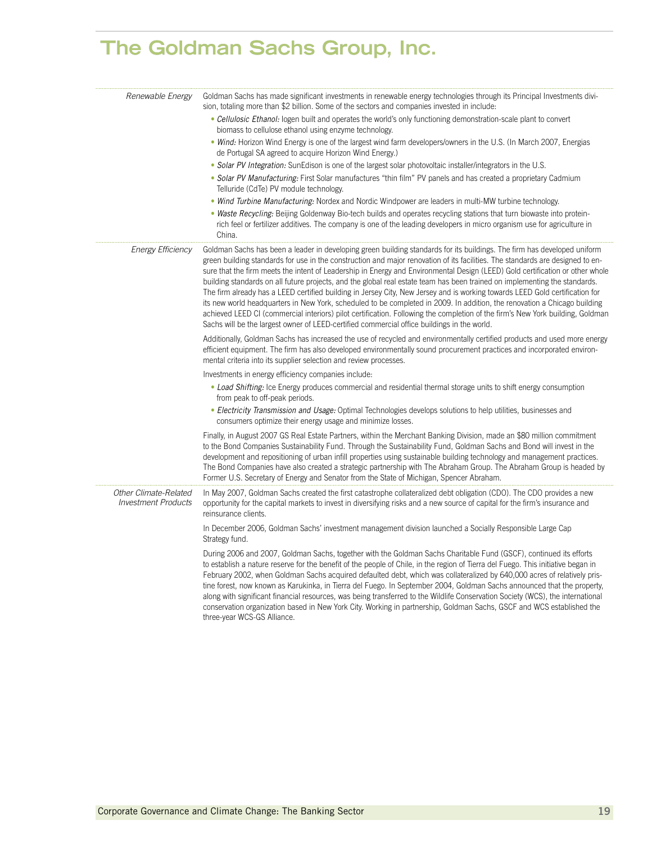| Renewable Energy                                    | Goldman Sachs has made significant investments in renewable energy technologies through its Principal Investments divi-<br>sion, totaling more than \$2 billion. Some of the sectors and companies invested in include:<br>• Cellulosic Ethanol: logen built and operates the world's only functioning demonstration-scale plant to convert<br>biomass to cellulose ethanol using enzyme technology.<br>• Wind: Horizon Wind Energy is one of the largest wind farm developers/owners in the U.S. (In March 2007, Energias<br>de Portugal SA agreed to acquire Horizon Wind Energy.)<br>• Solar PV Integration: SunEdison is one of the largest solar photovoltaic installer/integrators in the U.S.<br>• Solar PV Manufacturing: First Solar manufactures "thin film" PV panels and has created a proprietary Cadmium<br>Telluride (CdTe) PV module technology.<br>• Wind Turbine Manufacturing: Nordex and Nordic Windpower are leaders in multi-MW turbine technology.<br>• Waste Recycling: Beijing Goldenway Bio-tech builds and operates recycling stations that turn biowaste into protein-<br>rich feel or fertilizer additives. The company is one of the leading developers in micro organism use for agriculture in<br>China. |
|-----------------------------------------------------|------------------------------------------------------------------------------------------------------------------------------------------------------------------------------------------------------------------------------------------------------------------------------------------------------------------------------------------------------------------------------------------------------------------------------------------------------------------------------------------------------------------------------------------------------------------------------------------------------------------------------------------------------------------------------------------------------------------------------------------------------------------------------------------------------------------------------------------------------------------------------------------------------------------------------------------------------------------------------------------------------------------------------------------------------------------------------------------------------------------------------------------------------------------------------------------------------------------------------------------|
| <b>Energy Efficiency</b>                            | Goldman Sachs has been a leader in developing green building standards for its buildings. The firm has developed uniform<br>green building standards for use in the construction and major renovation of its facilities. The standards are designed to en-<br>sure that the firm meets the intent of Leadership in Energy and Environmental Design (LEED) Gold certification or other whole<br>building standards on all future projects, and the global real estate team has been trained on implementing the standards.<br>The firm already has a LEED certified building in Jersey City, New Jersey and is working towards LEED Gold certification for<br>its new world headquarters in New York, scheduled to be completed in 2009. In addition, the renovation a Chicago building<br>achieved LEED CI (commercial interiors) pilot certification. Following the completion of the firm's New York building, Goldman<br>Sachs will be the largest owner of LEED-certified commercial office buildings in the world.<br>Additionally, Goldman Sachs has increased the use of recycled and environmentally certified products and used more energy                                                                                     |
|                                                     | efficient equipment. The firm has also developed environmentally sound procurement practices and incorporated environ-<br>mental criteria into its supplier selection and review processes.<br>Investments in energy efficiency companies include:<br>• Load Shifting: Ice Energy produces commercial and residential thermal storage units to shift energy consumption<br>from peak to off-peak periods.<br>• Electricity Transmission and Usage: Optimal Technologies develops solutions to help utilities, businesses and<br>consumers optimize their energy usage and minimize losses.                                                                                                                                                                                                                                                                                                                                                                                                                                                                                                                                                                                                                                               |
|                                                     | Finally, in August 2007 GS Real Estate Partners, within the Merchant Banking Division, made an \$80 million commitment<br>to the Bond Companies Sustainability Fund. Through the Sustainability Fund, Goldman Sachs and Bond will invest in the<br>development and repositioning of urban infill properties using sustainable building technology and management practices.<br>The Bond Companies have also created a strategic partnership with The Abraham Group. The Abraham Group is headed by<br>Former U.S. Secretary of Energy and Senator from the State of Michigan, Spencer Abraham.                                                                                                                                                                                                                                                                                                                                                                                                                                                                                                                                                                                                                                           |
| Other Climate-Related<br><b>Investment Products</b> | In May 2007, Goldman Sachs created the first catastrophe collateralized debt obligation (CDO). The CDO provides a new<br>opportunity for the capital markets to invest in diversifying risks and a new source of capital for the firm's insurance and<br>reinsurance clients.<br>In December 2006, Goldman Sachs' investment management division launched a Socially Responsible Large Cap                                                                                                                                                                                                                                                                                                                                                                                                                                                                                                                                                                                                                                                                                                                                                                                                                                               |
|                                                     | Strategy fund.<br>During 2006 and 2007, Goldman Sachs, together with the Goldman Sachs Charitable Fund (GSCF), continued its efforts<br>to establish a nature reserve for the benefit of the people of Chile, in the region of Tierra del Fuego. This initiative began in<br>February 2002, when Goldman Sachs acquired defaulted debt, which was collateralized by 640,000 acres of relatively pris-<br>tine forest, now known as Karukinka, in Tierra del Fuego. In September 2004, Goldman Sachs announced that the property,<br>along with significant financial resources, was being transferred to the Wildlife Conservation Society (WCS), the international<br>conservation organization based in New York City. Working in partnership, Goldman Sachs, GSCF and WCS established the<br>three-year WCS-GS Alliance.                                                                                                                                                                                                                                                                                                                                                                                                              |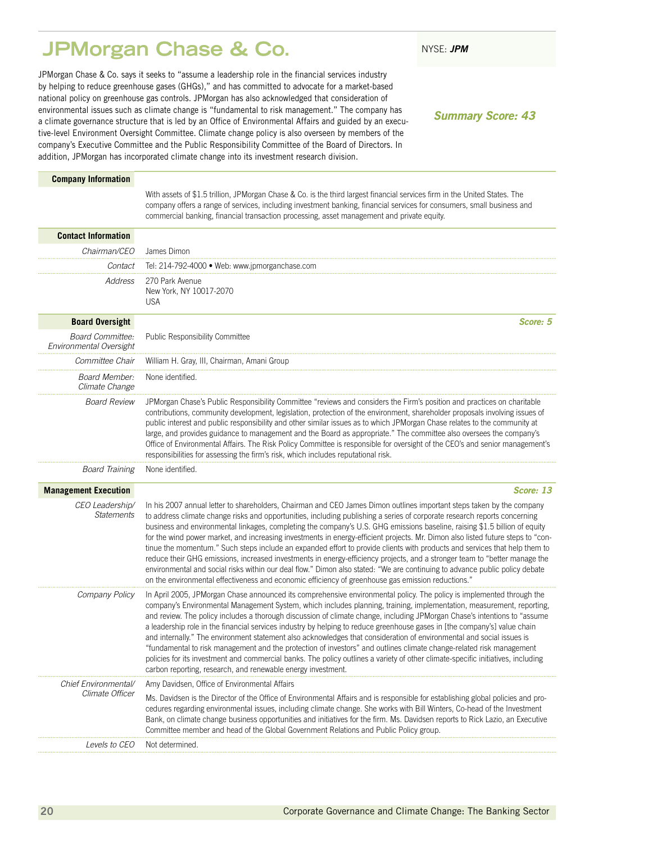### <span id="page-21-0"></span>**JPMorgan Chase & Co.** NYSE: JPM

JPMorgan Chase & Co. says it seeks to "assume a leadership role in the financial services industry by helping to reduce greenhouse gases (GHGs)," and has committed to advocate for a market-based national policy on greenhouse gas controls. JPMorgan has also acknowledged that consideration of environmental issues such as climate change is "fundamental to risk management." The company has a climate governance structure that is led by an Office of Environmental Affairs and guided by an executive-level Environment Oversight Committee. Climate change policy is also overseen by members of the company's Executive Committee and the Public Responsibility Committee of the Board of Directors. In addition, JPMorgan has incorporated climate change into its investment research division.

*Summary Score: 43*

#### **Company Information**

With assets of \$1.5 trillion, JPMorgan Chase & Co. is the third largest financial services firm in the United States. The company offers a range of services, including investment banking, financial services for consumers, small business and commercial banking, financial transaction processing, asset management and private equity.

| <b>Contact Information</b>                  |                                                                                                                                                                                                                                                                                                                                                                                                                                                                                                                                                                                                                                                                                                                                                                                                                                                                                                                                                                                                                      |
|---------------------------------------------|----------------------------------------------------------------------------------------------------------------------------------------------------------------------------------------------------------------------------------------------------------------------------------------------------------------------------------------------------------------------------------------------------------------------------------------------------------------------------------------------------------------------------------------------------------------------------------------------------------------------------------------------------------------------------------------------------------------------------------------------------------------------------------------------------------------------------------------------------------------------------------------------------------------------------------------------------------------------------------------------------------------------|
| Chairman/CEO                                | James Dimon                                                                                                                                                                                                                                                                                                                                                                                                                                                                                                                                                                                                                                                                                                                                                                                                                                                                                                                                                                                                          |
| Contact                                     | Tel: 214-792-4000 · Web: www.jpmorganchase.com                                                                                                                                                                                                                                                                                                                                                                                                                                                                                                                                                                                                                                                                                                                                                                                                                                                                                                                                                                       |
| Address                                     | 270 Park Avenue<br>New York, NY 10017-2070<br><b>USA</b>                                                                                                                                                                                                                                                                                                                                                                                                                                                                                                                                                                                                                                                                                                                                                                                                                                                                                                                                                             |
| <b>Board Oversight</b>                      | Score: 5                                                                                                                                                                                                                                                                                                                                                                                                                                                                                                                                                                                                                                                                                                                                                                                                                                                                                                                                                                                                             |
| Board Committee:<br>Environmental Oversight | Public Responsibility Committee                                                                                                                                                                                                                                                                                                                                                                                                                                                                                                                                                                                                                                                                                                                                                                                                                                                                                                                                                                                      |
| Committee Chair                             | William H. Gray, III, Chairman, Amani Group                                                                                                                                                                                                                                                                                                                                                                                                                                                                                                                                                                                                                                                                                                                                                                                                                                                                                                                                                                          |
| <b>Board Member:</b><br>Climate Change      | None identified.                                                                                                                                                                                                                                                                                                                                                                                                                                                                                                                                                                                                                                                                                                                                                                                                                                                                                                                                                                                                     |
| <b>Board Review</b>                         | JPMorgan Chase's Public Responsibility Committee "reviews and considers the Firm's position and practices on charitable<br>contributions, community development, legislation, protection of the environment, shareholder proposals involving issues of<br>public interest and public responsibility and other similar issues as to which JPMorgan Chase relates to the community at<br>large, and provides guidance to management and the Board as appropriate." The committee also oversees the company's<br>Office of Environmental Affairs. The Risk Policy Committee is responsible for oversight of the CEO's and senior management's<br>responsibilities for assessing the firm's risk, which includes reputational risk.                                                                                                                                                                                                                                                                                      |
| <b>Board Training</b>                       | None identified.                                                                                                                                                                                                                                                                                                                                                                                                                                                                                                                                                                                                                                                                                                                                                                                                                                                                                                                                                                                                     |
| <b>Management Execution</b>                 | Score: 13                                                                                                                                                                                                                                                                                                                                                                                                                                                                                                                                                                                                                                                                                                                                                                                                                                                                                                                                                                                                            |
| CEO Leadership/<br><b>Statements</b>        | In his 2007 annual letter to shareholders, Chairman and CEO James Dimon outlines important steps taken by the company<br>to address climate change risks and opportunities, including publishing a series of corporate research reports concerning<br>business and environmental linkages, completing the company's U.S. GHG emissions baseline, raising \$1.5 billion of equity<br>for the wind power market, and increasing investments in energy-efficient projects. Mr. Dimon also listed future steps to "con-<br>tinue the momentum." Such steps include an expanded effort to provide clients with products and services that help them to<br>reduce their GHG emissions, increased investments in energy-efficiency projects, and a stronger team to "better manage the<br>environmental and social risks within our deal flow." Dimon also stated: "We are continuing to advance public policy debate<br>on the environmental effectiveness and economic efficiency of greenhouse gas emission reductions." |
| Company Policy                              | In April 2005, JPMorgan Chase announced its comprehensive environmental policy. The policy is implemented through the<br>company's Environmental Management System, which includes planning, training, implementation, measurement, reporting,<br>and review. The policy includes a thorough discussion of climate change, including JPMorgan Chase's intentions to "assume<br>a leadership role in the financial services industry by helping to reduce greenhouse gases in [the company's] value chain<br>and internally." The environment statement also acknowledges that consideration of environmental and social issues is<br>"fundamental to risk management and the protection of investors" and outlines climate change-related risk management<br>policies for its investment and commercial banks. The policy outlines a variety of other climate-specific initiatives, including<br>carbon reporting, research, and renewable energy investment.                                                        |
| Chief Environmental/                        | Amy Davidsen, Office of Environmental Affairs                                                                                                                                                                                                                                                                                                                                                                                                                                                                                                                                                                                                                                                                                                                                                                                                                                                                                                                                                                        |
| Climate Officer                             | Ms. Davidsen is the Director of the Office of Environmental Affairs and is responsible for establishing global policies and pro-<br>cedures regarding environmental issues, including climate change. She works with Bill Winters, Co-head of the Investment<br>Bank, on climate change business opportunities and initiatives for the firm. Ms. Davidsen reports to Rick Lazio, an Executive<br>Committee member and head of the Global Government Relations and Public Policy group.                                                                                                                                                                                                                                                                                                                                                                                                                                                                                                                               |
| Levels to CEO                               | Not determined.                                                                                                                                                                                                                                                                                                                                                                                                                                                                                                                                                                                                                                                                                                                                                                                                                                                                                                                                                                                                      |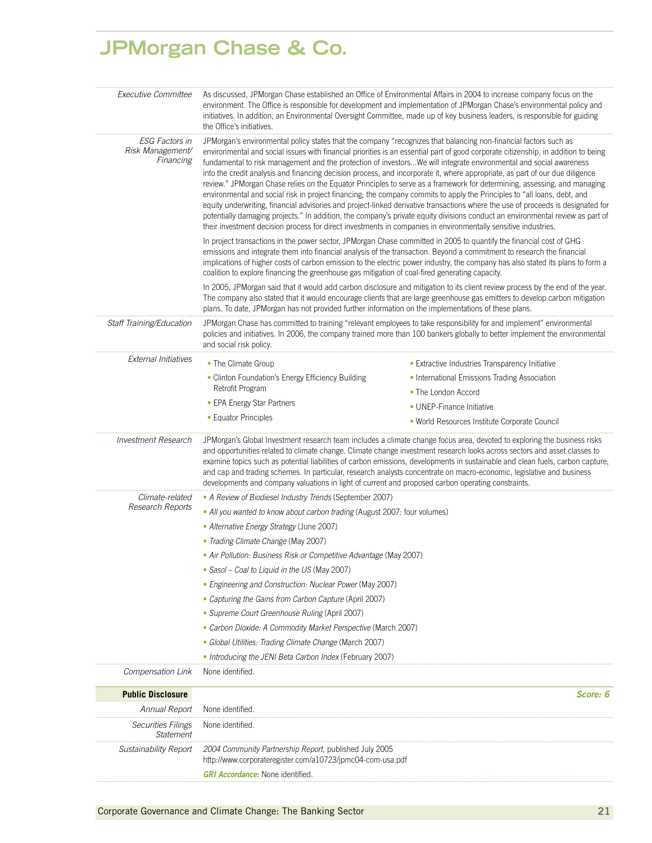### **JPMorgan Chase & Co.**

| <i>Executive Committee</i>                                                                                                                                                                                                                                                                                                                                                                                                                                                                                                                                                                                                                                                                                                                                                                                                                                                                                                                                                                                                                                                                                                                                                                                       | As discussed, JPMorgan Chase established an Office of Environmental Affairs in 2004 to increase company focus on the<br>environment. The Office is responsible for development and implementation of JPMorgan Chase's environmental policy and<br>initiatives. In addition, an Environmental Oversight Committee, made up of key business leaders, is responsible for guiding<br>the Office's initiatives.                                                                          |                                                                                                                                                                                                                                                                                                                                                                                                                                                                                                                  |  |  |  |  |
|------------------------------------------------------------------------------------------------------------------------------------------------------------------------------------------------------------------------------------------------------------------------------------------------------------------------------------------------------------------------------------------------------------------------------------------------------------------------------------------------------------------------------------------------------------------------------------------------------------------------------------------------------------------------------------------------------------------------------------------------------------------------------------------------------------------------------------------------------------------------------------------------------------------------------------------------------------------------------------------------------------------------------------------------------------------------------------------------------------------------------------------------------------------------------------------------------------------|-------------------------------------------------------------------------------------------------------------------------------------------------------------------------------------------------------------------------------------------------------------------------------------------------------------------------------------------------------------------------------------------------------------------------------------------------------------------------------------|------------------------------------------------------------------------------------------------------------------------------------------------------------------------------------------------------------------------------------------------------------------------------------------------------------------------------------------------------------------------------------------------------------------------------------------------------------------------------------------------------------------|--|--|--|--|
| JPMorgan's environmental policy states that the company "recognizes that balancing non-financial factors such as<br>ESG Factors in<br>Risk Management/<br>environmental and social issues with financial priorities is an essential part of good corporate citizenship, in addition to being<br>Financing<br>fundamental to risk management and the protection of investorsWe will integrate environmental and social awareness<br>into the credit analysis and financing decision process, and incorporate it, where appropriate, as part of our due diligence<br>review." JPMorgan Chase relies on the Equator Principles to serve as a framework for determining, assessing, and managing<br>environmental and social risk in project financing; the company commits to apply the Principles to "all loans, debt, and<br>equity underwriting, financial advisories and project-linked derivative transactions where the use of proceeds is designated for<br>potentially damaging projects." In addition, the company's private equity divisions conduct an environmental review as part of<br>their investment decision process for direct investments in companies in environmentally sensitive industries. |                                                                                                                                                                                                                                                                                                                                                                                                                                                                                     |                                                                                                                                                                                                                                                                                                                                                                                                                                                                                                                  |  |  |  |  |
|                                                                                                                                                                                                                                                                                                                                                                                                                                                                                                                                                                                                                                                                                                                                                                                                                                                                                                                                                                                                                                                                                                                                                                                                                  | In project transactions in the power sector, JPMorgan Chase committed in 2005 to quantify the financial cost of GHG<br>emissions and integrate them into financial analysis of the transaction. Beyond a commitment to research the financial<br>implications of higher costs of carbon emission to the electric power industry, the company has also stated its plans to form a<br>coalition to explore financing the greenhouse gas mitigation of coal-fired generating capacity. |                                                                                                                                                                                                                                                                                                                                                                                                                                                                                                                  |  |  |  |  |
|                                                                                                                                                                                                                                                                                                                                                                                                                                                                                                                                                                                                                                                                                                                                                                                                                                                                                                                                                                                                                                                                                                                                                                                                                  | In 2005, JPMorgan said that it would add carbon disclosure and mitigation to its client review process by the end of the year.<br>The company also stated that it would encourage clients that are large greenhouse gas emitters to develop carbon mitigation<br>plans. To date, JPMorgan has not provided further information on the implementations of these plans.                                                                                                               |                                                                                                                                                                                                                                                                                                                                                                                                                                                                                                                  |  |  |  |  |
| Staff Training/Education                                                                                                                                                                                                                                                                                                                                                                                                                                                                                                                                                                                                                                                                                                                                                                                                                                                                                                                                                                                                                                                                                                                                                                                         | and social risk policy.                                                                                                                                                                                                                                                                                                                                                                                                                                                             | JPMorgan Chase has committed to training "relevant employees to take responsibility for and implement" environmental<br>policies and initiatives. In 2006, the company trained more than 100 bankers globally to better implement the environmental                                                                                                                                                                                                                                                              |  |  |  |  |
| <b>External Initiatives</b>                                                                                                                                                                                                                                                                                                                                                                                                                                                                                                                                                                                                                                                                                                                                                                                                                                                                                                                                                                                                                                                                                                                                                                                      | • The Climate Group                                                                                                                                                                                                                                                                                                                                                                                                                                                                 | • Extractive Industries Transparency Initiative                                                                                                                                                                                                                                                                                                                                                                                                                                                                  |  |  |  |  |
|                                                                                                                                                                                                                                                                                                                                                                                                                                                                                                                                                                                                                                                                                                                                                                                                                                                                                                                                                                                                                                                                                                                                                                                                                  | • Clinton Foundation's Energy Efficiency Building                                                                                                                                                                                                                                                                                                                                                                                                                                   | • International Emissions Trading Association                                                                                                                                                                                                                                                                                                                                                                                                                                                                    |  |  |  |  |
|                                                                                                                                                                                                                                                                                                                                                                                                                                                                                                                                                                                                                                                                                                                                                                                                                                                                                                                                                                                                                                                                                                                                                                                                                  | Retrofit Program                                                                                                                                                                                                                                                                                                                                                                                                                                                                    | • The London Accord                                                                                                                                                                                                                                                                                                                                                                                                                                                                                              |  |  |  |  |
|                                                                                                                                                                                                                                                                                                                                                                                                                                                                                                                                                                                                                                                                                                                                                                                                                                                                                                                                                                                                                                                                                                                                                                                                                  | • EPA Energy Star Partners                                                                                                                                                                                                                                                                                                                                                                                                                                                          | • UNEP-Finance Initiative                                                                                                                                                                                                                                                                                                                                                                                                                                                                                        |  |  |  |  |
|                                                                                                                                                                                                                                                                                                                                                                                                                                                                                                                                                                                                                                                                                                                                                                                                                                                                                                                                                                                                                                                                                                                                                                                                                  | • Equator Principles                                                                                                                                                                                                                                                                                                                                                                                                                                                                | • World Resources Institute Corporate Council                                                                                                                                                                                                                                                                                                                                                                                                                                                                    |  |  |  |  |
| <b>Investment Research</b>                                                                                                                                                                                                                                                                                                                                                                                                                                                                                                                                                                                                                                                                                                                                                                                                                                                                                                                                                                                                                                                                                                                                                                                       | developments and company valuations in light of current and proposed carbon operating constraints.                                                                                                                                                                                                                                                                                                                                                                                  | JPMorgan's Global Investment research team includes a climate change focus area, devoted to exploring the business risks<br>and opportunities related to climate change. Climate change investment research looks across sectors and asset classes to<br>examine topics such as potential liabilities of carbon emissions, developments in sustainable and clean fuels, carbon capture,<br>and cap and trading schemes. In particular, research analysts concentrate on macro-economic, legislative and business |  |  |  |  |
| Climate-related                                                                                                                                                                                                                                                                                                                                                                                                                                                                                                                                                                                                                                                                                                                                                                                                                                                                                                                                                                                                                                                                                                                                                                                                  | • A Review of Biodiesel Industry Trends (September 2007)                                                                                                                                                                                                                                                                                                                                                                                                                            |                                                                                                                                                                                                                                                                                                                                                                                                                                                                                                                  |  |  |  |  |
| Research Reports                                                                                                                                                                                                                                                                                                                                                                                                                                                                                                                                                                                                                                                                                                                                                                                                                                                                                                                                                                                                                                                                                                                                                                                                 | • All you wanted to know about carbon trading (August 2007: four volumes)                                                                                                                                                                                                                                                                                                                                                                                                           |                                                                                                                                                                                                                                                                                                                                                                                                                                                                                                                  |  |  |  |  |
|                                                                                                                                                                                                                                                                                                                                                                                                                                                                                                                                                                                                                                                                                                                                                                                                                                                                                                                                                                                                                                                                                                                                                                                                                  | • Alternative Energy Strategy (June 2007)                                                                                                                                                                                                                                                                                                                                                                                                                                           |                                                                                                                                                                                                                                                                                                                                                                                                                                                                                                                  |  |  |  |  |
|                                                                                                                                                                                                                                                                                                                                                                                                                                                                                                                                                                                                                                                                                                                                                                                                                                                                                                                                                                                                                                                                                                                                                                                                                  | • Trading Climate Change (May 2007)                                                                                                                                                                                                                                                                                                                                                                                                                                                 |                                                                                                                                                                                                                                                                                                                                                                                                                                                                                                                  |  |  |  |  |
|                                                                                                                                                                                                                                                                                                                                                                                                                                                                                                                                                                                                                                                                                                                                                                                                                                                                                                                                                                                                                                                                                                                                                                                                                  | • Air Pollution: Business Risk or Competitive Advantage (May 2007)                                                                                                                                                                                                                                                                                                                                                                                                                  |                                                                                                                                                                                                                                                                                                                                                                                                                                                                                                                  |  |  |  |  |
|                                                                                                                                                                                                                                                                                                                                                                                                                                                                                                                                                                                                                                                                                                                                                                                                                                                                                                                                                                                                                                                                                                                                                                                                                  | • Sasol - Coal to Liquid in the US (May 2007)                                                                                                                                                                                                                                                                                                                                                                                                                                       |                                                                                                                                                                                                                                                                                                                                                                                                                                                                                                                  |  |  |  |  |
|                                                                                                                                                                                                                                                                                                                                                                                                                                                                                                                                                                                                                                                                                                                                                                                                                                                                                                                                                                                                                                                                                                                                                                                                                  | • Engineering and Construction: Nuclear Power (May 2007)                                                                                                                                                                                                                                                                                                                                                                                                                            |                                                                                                                                                                                                                                                                                                                                                                                                                                                                                                                  |  |  |  |  |
|                                                                                                                                                                                                                                                                                                                                                                                                                                                                                                                                                                                                                                                                                                                                                                                                                                                                                                                                                                                                                                                                                                                                                                                                                  | • Capturing the Gains from Carbon Capture (April 2007)                                                                                                                                                                                                                                                                                                                                                                                                                              |                                                                                                                                                                                                                                                                                                                                                                                                                                                                                                                  |  |  |  |  |
|                                                                                                                                                                                                                                                                                                                                                                                                                                                                                                                                                                                                                                                                                                                                                                                                                                                                                                                                                                                                                                                                                                                                                                                                                  | • Supreme Court Greenhouse Ruling (April 2007)                                                                                                                                                                                                                                                                                                                                                                                                                                      |                                                                                                                                                                                                                                                                                                                                                                                                                                                                                                                  |  |  |  |  |
|                                                                                                                                                                                                                                                                                                                                                                                                                                                                                                                                                                                                                                                                                                                                                                                                                                                                                                                                                                                                                                                                                                                                                                                                                  | • Carbon Dioxide: A Commodity Market Perspective (March 2007)                                                                                                                                                                                                                                                                                                                                                                                                                       |                                                                                                                                                                                                                                                                                                                                                                                                                                                                                                                  |  |  |  |  |
|                                                                                                                                                                                                                                                                                                                                                                                                                                                                                                                                                                                                                                                                                                                                                                                                                                                                                                                                                                                                                                                                                                                                                                                                                  | · Global Utilities: Trading Climate Change (March 2007)                                                                                                                                                                                                                                                                                                                                                                                                                             |                                                                                                                                                                                                                                                                                                                                                                                                                                                                                                                  |  |  |  |  |
|                                                                                                                                                                                                                                                                                                                                                                                                                                                                                                                                                                                                                                                                                                                                                                                                                                                                                                                                                                                                                                                                                                                                                                                                                  | • Introducing the JENI Beta Carbon Index (February 2007)                                                                                                                                                                                                                                                                                                                                                                                                                            |                                                                                                                                                                                                                                                                                                                                                                                                                                                                                                                  |  |  |  |  |
| Compensation Link                                                                                                                                                                                                                                                                                                                                                                                                                                                                                                                                                                                                                                                                                                                                                                                                                                                                                                                                                                                                                                                                                                                                                                                                | None identified.                                                                                                                                                                                                                                                                                                                                                                                                                                                                    |                                                                                                                                                                                                                                                                                                                                                                                                                                                                                                                  |  |  |  |  |
| <b>Public Disclosure</b>                                                                                                                                                                                                                                                                                                                                                                                                                                                                                                                                                                                                                                                                                                                                                                                                                                                                                                                                                                                                                                                                                                                                                                                         |                                                                                                                                                                                                                                                                                                                                                                                                                                                                                     | Score: 6                                                                                                                                                                                                                                                                                                                                                                                                                                                                                                         |  |  |  |  |
| Annual Report                                                                                                                                                                                                                                                                                                                                                                                                                                                                                                                                                                                                                                                                                                                                                                                                                                                                                                                                                                                                                                                                                                                                                                                                    | None identified.                                                                                                                                                                                                                                                                                                                                                                                                                                                                    |                                                                                                                                                                                                                                                                                                                                                                                                                                                                                                                  |  |  |  |  |
| <b>Securities Filings</b><br>Statement                                                                                                                                                                                                                                                                                                                                                                                                                                                                                                                                                                                                                                                                                                                                                                                                                                                                                                                                                                                                                                                                                                                                                                           | None identified.                                                                                                                                                                                                                                                                                                                                                                                                                                                                    |                                                                                                                                                                                                                                                                                                                                                                                                                                                                                                                  |  |  |  |  |
| Sustainability Report                                                                                                                                                                                                                                                                                                                                                                                                                                                                                                                                                                                                                                                                                                                                                                                                                                                                                                                                                                                                                                                                                                                                                                                            | 2004 Community Partnership Report, published July 2005<br>http://www.corporateregister.com/a10723/jpmc04-com-usa.pdf                                                                                                                                                                                                                                                                                                                                                                |                                                                                                                                                                                                                                                                                                                                                                                                                                                                                                                  |  |  |  |  |

*GRI Accordance:* None identified.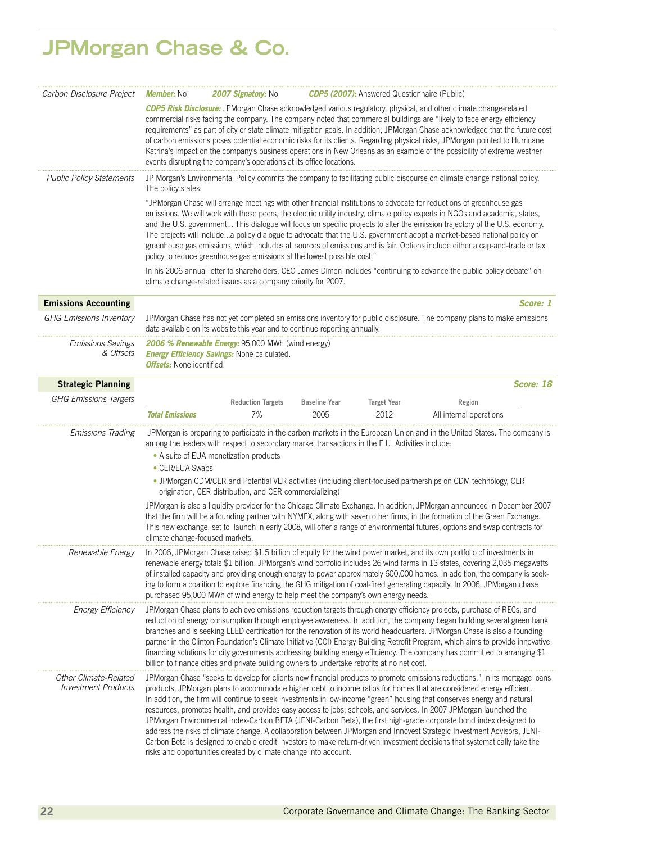# **JPMorgan Chase & Co.**

| Carbon Disclosure Project                           | <b>Member:</b> No                                                                                                                                                                                                                                                                                                                                                                                                                                                                                                                                                                                                                                                                                                                              | 2007 Signatory: No                                                                                                                                         |                      | <b>CDP5 (2007):</b> Answered Questionnaire (Public) |                                                                                                                                                                                                                                                                                                                                                                                                                                                                                                                                                                                                                                                                                                                                                                                                                                                                                     |           |
|-----------------------------------------------------|------------------------------------------------------------------------------------------------------------------------------------------------------------------------------------------------------------------------------------------------------------------------------------------------------------------------------------------------------------------------------------------------------------------------------------------------------------------------------------------------------------------------------------------------------------------------------------------------------------------------------------------------------------------------------------------------------------------------------------------------|------------------------------------------------------------------------------------------------------------------------------------------------------------|----------------------|-----------------------------------------------------|-------------------------------------------------------------------------------------------------------------------------------------------------------------------------------------------------------------------------------------------------------------------------------------------------------------------------------------------------------------------------------------------------------------------------------------------------------------------------------------------------------------------------------------------------------------------------------------------------------------------------------------------------------------------------------------------------------------------------------------------------------------------------------------------------------------------------------------------------------------------------------------|-----------|
|                                                     | CDP5 Risk Disclosure: JPMorgan Chase acknowledged various regulatory, physical, and other climate change-related<br>commercial risks facing the company. The company noted that commercial buildings are "likely to face energy efficiency<br>requirements" as part of city or state climate mitigation goals. In addition, JPMorgan Chase acknowledged that the future cost<br>of carbon emissions poses potential economic risks for its clients. Regarding physical risks, JPMorgan pointed to Hurricane<br>Katrina's impact on the company's business operations in New Orleans as an example of the possibility of extreme weather<br>events disrupting the company's operations at its office locations.                                 |                                                                                                                                                            |                      |                                                     |                                                                                                                                                                                                                                                                                                                                                                                                                                                                                                                                                                                                                                                                                                                                                                                                                                                                                     |           |
| <b>Public Policy Statements</b>                     | JP Morgan's Environmental Policy commits the company to facilitating public discourse on climate change national policy.<br>The policy states:                                                                                                                                                                                                                                                                                                                                                                                                                                                                                                                                                                                                 |                                                                                                                                                            |                      |                                                     |                                                                                                                                                                                                                                                                                                                                                                                                                                                                                                                                                                                                                                                                                                                                                                                                                                                                                     |           |
|                                                     | "JPMorgan Chase will arrange meetings with other financial institutions to advocate for reductions of greenhouse gas<br>emissions. We will work with these peers, the electric utility industry, climate policy experts in NGOs and academia, states,<br>and the U.S. government This dialogue will focus on specific projects to alter the emission trajectory of the U.S. economy.<br>The projects will includea policy dialogue to advocate that the U.S. government adopt a market-based national policy on<br>greenhouse gas emissions, which includes all sources of emissions and is fair. Options include either a cap-and-trade or tax<br>policy to reduce greenhouse gas emissions at the lowest possible cost."                     |                                                                                                                                                            |                      |                                                     |                                                                                                                                                                                                                                                                                                                                                                                                                                                                                                                                                                                                                                                                                                                                                                                                                                                                                     |           |
|                                                     |                                                                                                                                                                                                                                                                                                                                                                                                                                                                                                                                                                                                                                                                                                                                                | climate change-related issues as a company priority for 2007.                                                                                              |                      |                                                     | In his 2006 annual letter to shareholders, CEO James Dimon includes "continuing to advance the public policy debate" on                                                                                                                                                                                                                                                                                                                                                                                                                                                                                                                                                                                                                                                                                                                                                             |           |
| <b>Emissions Accounting</b>                         |                                                                                                                                                                                                                                                                                                                                                                                                                                                                                                                                                                                                                                                                                                                                                |                                                                                                                                                            |                      |                                                     |                                                                                                                                                                                                                                                                                                                                                                                                                                                                                                                                                                                                                                                                                                                                                                                                                                                                                     | Score: 1  |
| <b>GHG Emissions Inventory</b>                      |                                                                                                                                                                                                                                                                                                                                                                                                                                                                                                                                                                                                                                                                                                                                                | data available on its website this year and to continue reporting annually.                                                                                |                      |                                                     | JPMorgan Chase has not yet completed an emissions inventory for public disclosure. The company plans to make emissions                                                                                                                                                                                                                                                                                                                                                                                                                                                                                                                                                                                                                                                                                                                                                              |           |
| <b>Emissions Savings</b><br>& Offsets               |                                                                                                                                                                                                                                                                                                                                                                                                                                                                                                                                                                                                                                                                                                                                                | 2006 % Renewable Energy: 95,000 MWh (wind energy)<br><b>Energy Efficiency Savings: None calculated.</b><br><b>Offsets:</b> None identified.                |                      |                                                     |                                                                                                                                                                                                                                                                                                                                                                                                                                                                                                                                                                                                                                                                                                                                                                                                                                                                                     |           |
| <b>Strategic Planning</b>                           |                                                                                                                                                                                                                                                                                                                                                                                                                                                                                                                                                                                                                                                                                                                                                |                                                                                                                                                            |                      |                                                     |                                                                                                                                                                                                                                                                                                                                                                                                                                                                                                                                                                                                                                                                                                                                                                                                                                                                                     | Score: 18 |
| <b>GHG Emissions Targets</b>                        |                                                                                                                                                                                                                                                                                                                                                                                                                                                                                                                                                                                                                                                                                                                                                | <b>Reduction Targets</b>                                                                                                                                   | <b>Baseline Year</b> | <b>Target Year</b>                                  | Region                                                                                                                                                                                                                                                                                                                                                                                                                                                                                                                                                                                                                                                                                                                                                                                                                                                                              |           |
|                                                     | <b>Total Emissions</b>                                                                                                                                                                                                                                                                                                                                                                                                                                                                                                                                                                                                                                                                                                                         | 7%                                                                                                                                                         | 2005                 | 2012                                                | All internal operations                                                                                                                                                                                                                                                                                                                                                                                                                                                                                                                                                                                                                                                                                                                                                                                                                                                             |           |
| <b>Emissions Trading</b>                            | • A suite of EUA monetization products<br>• CER/EUA Swaps<br>climate change-focused markets.                                                                                                                                                                                                                                                                                                                                                                                                                                                                                                                                                                                                                                                   | among the leaders with respect to secondary market transactions in the E.U. Activities include:<br>origination, CER distribution, and CER commercializing) |                      |                                                     | JPMorgan is preparing to participate in the carbon markets in the European Union and in the United States. The company is<br>. JPMorgan CDM/CER and Potential VER activities (including client-focused partnerships on CDM technology, CER<br>JPMorgan is also a liquidity provider for the Chicago Climate Exchange. In addition, JPMorgan announced in December 2007<br>that the firm will be a founding partner with NYMEX, along with seven other firms, in the formation of the Green Exchange.<br>This new exchange, set to launch in early 2008, will offer a range of environmental futures, options and swap contracts for                                                                                                                                                                                                                                                 |           |
| Renewable Energy                                    |                                                                                                                                                                                                                                                                                                                                                                                                                                                                                                                                                                                                                                                                                                                                                | purchased 95,000 MWh of wind energy to help meet the company's own energy needs.                                                                           |                      |                                                     | In 2006, JPMorgan Chase raised \$1.5 billion of equity for the wind power market, and its own portfolio of investments in<br>renewable energy totals \$1 billion. JPMorgan's wind portfolio includes 26 wind farms in 13 states, covering 2,035 megawatts<br>of installed capacity and providing enough energy to power approximately 600,000 homes. In addition, the company is seek-<br>ing to form a coalition to explore financing the GHG mitigation of coal-fired generating capacity. In 2006, JPMorgan chase                                                                                                                                                                                                                                                                                                                                                                |           |
| <b>Energy Efficiency</b>                            | JPMorgan Chase plans to achieve emissions reduction targets through energy efficiency projects, purchase of RECs, and<br>reduction of energy consumption through employee awareness. In addition, the company began building several green bank<br>branches and is seeking LEED certification for the renovation of its world headquarters. JPMorgan Chase is also a founding<br>partner in the Clinton Foundation's Climate Initiative (CCI) Energy Building Retrofit Program, which aims to provide innovative<br>financing solutions for city governments addressing building energy efficiency. The company has committed to arranging \$1<br>billion to finance cities and private building owners to undertake retrofits at no net cost. |                                                                                                                                                            |                      |                                                     |                                                                                                                                                                                                                                                                                                                                                                                                                                                                                                                                                                                                                                                                                                                                                                                                                                                                                     |           |
| Other Climate-Related<br><b>Investment Products</b> |                                                                                                                                                                                                                                                                                                                                                                                                                                                                                                                                                                                                                                                                                                                                                | risks and opportunities created by climate change into account.                                                                                            |                      |                                                     | JPMorgan Chase "seeks to develop for clients new financial products to promote emissions reductions." In its mortgage loans<br>products, JPMorgan plans to accommodate higher debt to income ratios for homes that are considered energy efficient.<br>In addition, the firm will continue to seek investments in low-income "green" housing that conserves energy and natural<br>resources, promotes health, and provides easy access to jobs, schools, and services. In 2007 JPMorgan launched the<br>JPMorgan Environmental Index-Carbon BETA (JENI-Carbon Beta), the first high-grade corporate bond index designed to<br>address the risks of climate change. A collaboration between JPMorgan and Innovest Strategic Investment Advisors, JENI-<br>Carbon Beta is designed to enable credit investors to make return-driven investment decisions that systematically take the |           |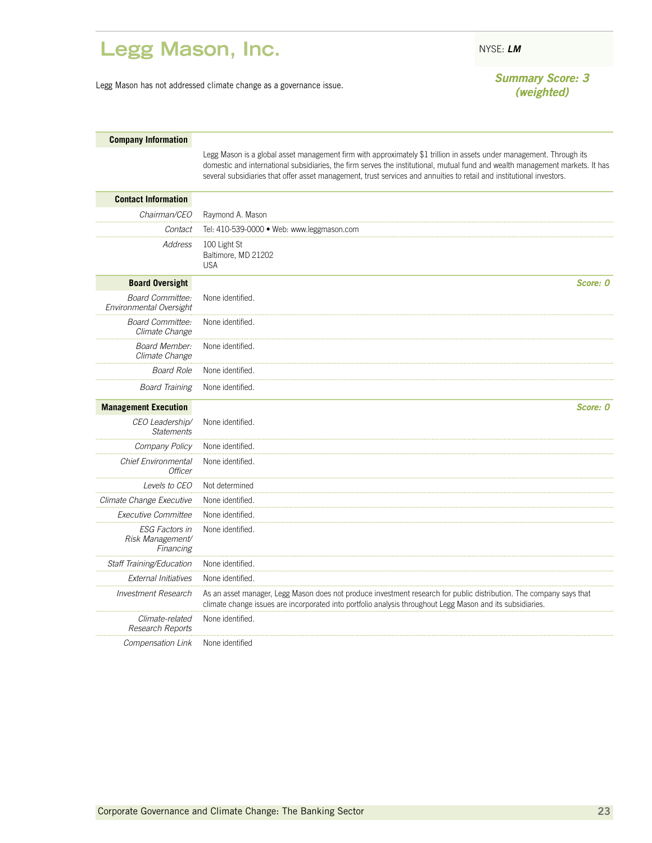### <span id="page-24-0"></span>Legg Mason, Inc. NYSE: LM

Legg Mason has not addressed climate change as a governance issue. *Summary Score: 3*

*(weighted)*

| <b>Company Information</b> |  |
|----------------------------|--|
|----------------------------|--|

Legg Mason is a global asset management firm with approximately \$1 trillion in assets under management. Through its domestic and international subsidiaries, the firm serves the institutional, mutual fund and wealth management markets. It has several subsidiaries that offer asset management, trust services and annuities to retail and institutional investors.

| <b>Contact Information</b>                             |                                                                                                                                                                                                                                   |
|--------------------------------------------------------|-----------------------------------------------------------------------------------------------------------------------------------------------------------------------------------------------------------------------------------|
| Chairman/CEO                                           | Raymond A. Mason                                                                                                                                                                                                                  |
| Contact                                                | Tel: 410-539-0000 · Web: www.leggmason.com                                                                                                                                                                                        |
| Address                                                | 100 Light St<br>Baltimore, MD 21202<br><b>USA</b>                                                                                                                                                                                 |
| <b>Board Oversight</b>                                 | Score: 0                                                                                                                                                                                                                          |
| <b>Board Committee:</b><br>Environmental Oversight     | None identified.                                                                                                                                                                                                                  |
| <b>Board Committee:</b><br>Climate Change              | None identified.                                                                                                                                                                                                                  |
| Board Member:<br>Climate Change                        | None identified.                                                                                                                                                                                                                  |
| <b>Board Role</b>                                      | None identified.                                                                                                                                                                                                                  |
| <b>Board Training</b>                                  | None identified.                                                                                                                                                                                                                  |
| <b>Management Execution</b>                            | Score: 0                                                                                                                                                                                                                          |
| CEO Leadership/<br><b>Statements</b>                   | None identified.                                                                                                                                                                                                                  |
| Company Policy                                         | None identified                                                                                                                                                                                                                   |
| <b>Chief Environmental</b><br><b>Officer</b>           | None identified.                                                                                                                                                                                                                  |
| Levels to CEO                                          | Not determined                                                                                                                                                                                                                    |
| Climate Change Executive                               | None identified.                                                                                                                                                                                                                  |
| Executive Committee                                    | None identified.                                                                                                                                                                                                                  |
| <b>ESG Factors in</b><br>Risk Management/<br>Financing | None identified.                                                                                                                                                                                                                  |
| Staff Training/Education                               | None identified                                                                                                                                                                                                                   |
| <b>External Initiatives</b>                            | None identified.                                                                                                                                                                                                                  |
| <b>Investment Research</b>                             | As an asset manager, Legg Mason does not produce investment research for public distribution. The company says that<br>climate change issues are incorporated into portfolio analysis throughout Legg Mason and its subsidiaries. |
| Climate-related<br>Research Reports                    | None identified.                                                                                                                                                                                                                  |
| Compensation Link                                      | None identified                                                                                                                                                                                                                   |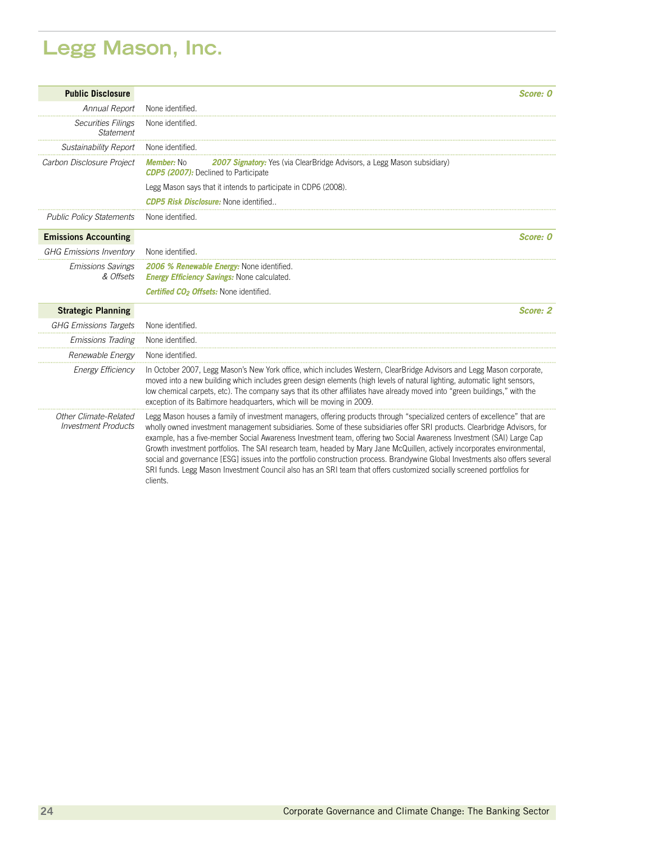# **Legg Mason, Inc.**

| <b>Public Disclosure</b>                            | <i><b>Score: 0</b></i>                                                                                                                                                                                                                                                                                                                                                                                                                                                                                                                                                                                                                                                                                                                                                            |
|-----------------------------------------------------|-----------------------------------------------------------------------------------------------------------------------------------------------------------------------------------------------------------------------------------------------------------------------------------------------------------------------------------------------------------------------------------------------------------------------------------------------------------------------------------------------------------------------------------------------------------------------------------------------------------------------------------------------------------------------------------------------------------------------------------------------------------------------------------|
| Annual Report                                       | None identified.                                                                                                                                                                                                                                                                                                                                                                                                                                                                                                                                                                                                                                                                                                                                                                  |
| <b>Securities Filings</b><br><b>Statement</b>       | None identified.                                                                                                                                                                                                                                                                                                                                                                                                                                                                                                                                                                                                                                                                                                                                                                  |
| Sustainability Report                               | None identified                                                                                                                                                                                                                                                                                                                                                                                                                                                                                                                                                                                                                                                                                                                                                                   |
| Carbon Disclosure Project                           | <b>Member: No</b><br><b>2007 Signatory:</b> Yes (via ClearBridge Advisors, a Legg Mason subsidiary)<br><b>CDP5 (2007):</b> Declined to Participate                                                                                                                                                                                                                                                                                                                                                                                                                                                                                                                                                                                                                                |
|                                                     | Legg Mason says that it intends to participate in CDP6 (2008).                                                                                                                                                                                                                                                                                                                                                                                                                                                                                                                                                                                                                                                                                                                    |
|                                                     | <b>CDP5 Risk Disclosure: None identified</b>                                                                                                                                                                                                                                                                                                                                                                                                                                                                                                                                                                                                                                                                                                                                      |
| <b>Public Policy Statements</b>                     | None identified.                                                                                                                                                                                                                                                                                                                                                                                                                                                                                                                                                                                                                                                                                                                                                                  |
| <b>Emissions Accounting</b>                         | Score: 0                                                                                                                                                                                                                                                                                                                                                                                                                                                                                                                                                                                                                                                                                                                                                                          |
| <b>GHG Emissions Inventory</b>                      | None identified.                                                                                                                                                                                                                                                                                                                                                                                                                                                                                                                                                                                                                                                                                                                                                                  |
| <b>Emissions Savings</b><br>& Offsets               | 2006 % Renewable Energy: None identified.<br><b>Energy Efficiency Savings: None calculated.</b>                                                                                                                                                                                                                                                                                                                                                                                                                                                                                                                                                                                                                                                                                   |
|                                                     | <b>Certified CO<sub>2</sub> Offsets:</b> None identified.                                                                                                                                                                                                                                                                                                                                                                                                                                                                                                                                                                                                                                                                                                                         |
| <b>Strategic Planning</b>                           | Score: 2                                                                                                                                                                                                                                                                                                                                                                                                                                                                                                                                                                                                                                                                                                                                                                          |
| <b>GHG Emissions Targets</b>                        | None identified.                                                                                                                                                                                                                                                                                                                                                                                                                                                                                                                                                                                                                                                                                                                                                                  |
| <b>Emissions Trading</b>                            | None identified                                                                                                                                                                                                                                                                                                                                                                                                                                                                                                                                                                                                                                                                                                                                                                   |
| Renewable Energy                                    | None identified.                                                                                                                                                                                                                                                                                                                                                                                                                                                                                                                                                                                                                                                                                                                                                                  |
| <b>Energy Efficiency</b>                            | In October 2007, Legg Mason's New York office, which includes Western, ClearBridge Advisors and Legg Mason corporate,<br>moved into a new building which includes green design elements (high levels of natural lighting, automatic light sensors,<br>low chemical carpets, etc). The company says that its other affiliates have already moved into "green buildings," with the<br>exception of its Baltimore headquarters, which will be moving in 2009.                                                                                                                                                                                                                                                                                                                        |
| Other Climate-Related<br><b>Investment Products</b> | Legg Mason houses a family of investment managers, offering products through "specialized centers of excellence" that are<br>wholly owned investment management subsidiaries. Some of these subsidiaries offer SRI products. Clearbridge Advisors, for<br>example, has a five-member Social Awareness Investment team, offering two Social Awareness Investment (SAI) Large Cap<br>Growth investment portfolios. The SAI research team, headed by Mary Jane McQuillen, actively incorporates environmental,<br>social and governance [ESG] issues into the portfolio construction process. Brandywine Global Investments also offers several<br>SRI funds. Legg Mason Investment Council also has an SRI team that offers customized socially screened portfolios for<br>clients. |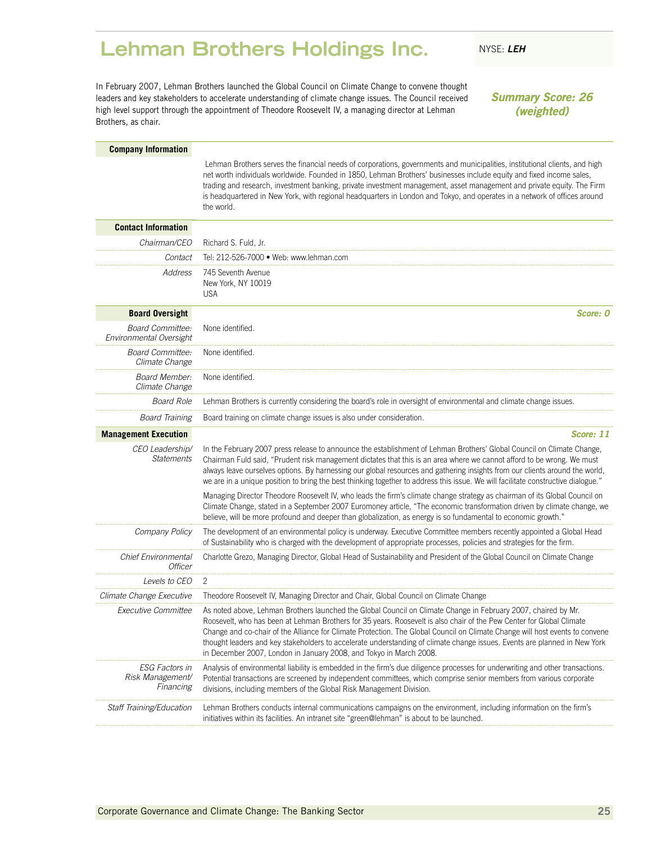### <span id="page-26-0"></span>**Lehman Brothers Holdings Inc.** NYSE: LEH

In February 2007, Lehman Brothers launched the Global Council on Climate Change to convene thought leaders and key stakeholders to accelerate understanding of climate change issues. The Council received high level support through the appointment of Theodore Roosevelt IV, a managing director at Lehman Brothers, as chair.

*Summary Score: 26 (weighted)*

#### **Company Information** Lehman Brothers serves the financial needs of corporations, governments and municipalities, institutional clients, and high net worth individuals worldwide. Founded in 1850, Lehman Brothers' businesses include equity and fixed income sales, trading and research, investment banking, private investment management, asset management and private equity. The Firm is headquartered in New York, with regional headquarters in London and Tokyo, and operates in a network of offices around the world. **Contact Information** *Chairman/CEO* Richard S. Fuld, Jr. *Contact* Tel: 212-526-7000 • Web: www.lehman.com *Address* 745 Seventh Avenue New York, NY 10019 USA **Board Oversight** *Score: 0 Board Committee: Environmental Oversight* None identified. *Board Committee: Climate Change* None identified. *Board Member: Climate Change* None identified. *Board Role* Lehman Brothers is currently considering the board's role in oversight of environmental and climate change issues. *Board Training* Board training on climate change issues is also under consideration. **Management Execution** *Score: 11 CEO Leadership/ Statements* In the February 2007 press release to announce the establishment of Lehman Brothers' Global Council on Climate Change, Chairman Fuld said, "Prudent risk management dictates that this is an area where we cannot afford to be wrong. We must always leave ourselves options. By harnessing our global resources and gathering insights from our clients around the world, we are in a unique position to bring the best thinking together to address this issue. We will facilitate constructive dialogue." Managing Director Theodore Roosevelt IV, who leads the firm's climate change strategy as chairman of its Global Council on Climate Change, stated in a September 2007 Euromoney article, "The economic transformation driven by climate change, we believe, will be more profound and deeper than globalization, as energy is so fundamental to economic growth." *Company Policy* The development of an environmental policy is underway. Executive Committee members recently appointed a Global Head of Sustainability who is charged with the development of appropriate processes, policies and strategies for the firm. *Chief Environmental Officer* Charlotte Grezo, Managing Director, Global Head of Sustainability and President of the Global Council on Climate Change *Levels to CEO* 2 *Climate Change Executive* Theodore Roosevelt IV, Managing Director and Chair, Global Council on Climate Change *Executive Committee* As noted above, Lehman Brothers launched the Global Council on Climate Change in February 2007, chaired by Mr. Roosevelt, who has been at Lehman Brothers for 35 years. Roosevelt is also chair of the Pew Center for Global Climate Change and co-chair of the Alliance for Climate Protection. The Global Council on Climate Change will host events to convene thought leaders and key stakeholders to accelerate understanding of climate change issues. Events are planned in New York in December 2007, London in January 2008, and Tokyo in March 2008. *ESG Factors in Risk Management/ Financing* Analysis of environmental liability is embedded in the firm's due diligence processes for underwriting and other transactions. Potential transactions are screened by independent committees, which comprise senior members from various corporate divisions, including members of the Global Risk Management Division. *Staff Training/Education* Lehman Brothers conducts internal communications campaigns on the environment, including information on the firm's

initiatives within its facilities. An intranet site "green@lehman" is about to be launched.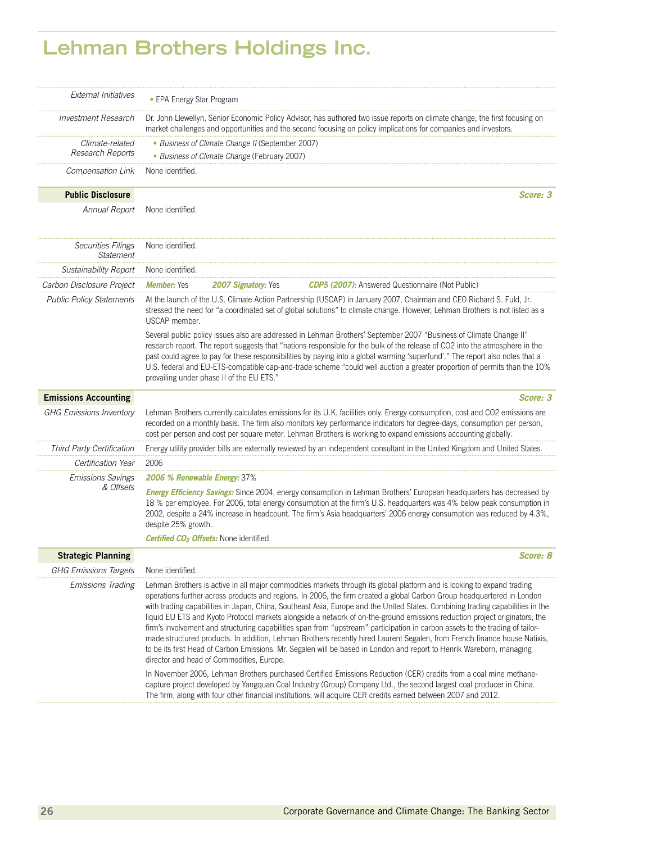### **Lehman Brothers Holdings Inc.**

| <b>External Initiatives</b>                   | • EPA Energy Star Program                                                                                                                                                                                                                                                                                                                                                                             |                                                           |                                                                                                                                                                                                                                                                                                                                                                                                                                                                                                                                                                                                                                                                                                                                                                                                                                                                                                           |  |
|-----------------------------------------------|-------------------------------------------------------------------------------------------------------------------------------------------------------------------------------------------------------------------------------------------------------------------------------------------------------------------------------------------------------------------------------------------------------|-----------------------------------------------------------|-----------------------------------------------------------------------------------------------------------------------------------------------------------------------------------------------------------------------------------------------------------------------------------------------------------------------------------------------------------------------------------------------------------------------------------------------------------------------------------------------------------------------------------------------------------------------------------------------------------------------------------------------------------------------------------------------------------------------------------------------------------------------------------------------------------------------------------------------------------------------------------------------------------|--|
| <b>Investment Research</b>                    |                                                                                                                                                                                                                                                                                                                                                                                                       |                                                           | Dr. John Llewellyn, Senior Economic Policy Advisor, has authored two issue reports on climate change, the first focusing on<br>market challenges and opportunities and the second focusing on policy implications for companies and investors.                                                                                                                                                                                                                                                                                                                                                                                                                                                                                                                                                                                                                                                            |  |
| Climate-related                               |                                                                                                                                                                                                                                                                                                                                                                                                       | • Business of Climate Change II (September 2007)          |                                                                                                                                                                                                                                                                                                                                                                                                                                                                                                                                                                                                                                                                                                                                                                                                                                                                                                           |  |
| Research Reports                              |                                                                                                                                                                                                                                                                                                                                                                                                       | • Business of Climate Change (February 2007)              |                                                                                                                                                                                                                                                                                                                                                                                                                                                                                                                                                                                                                                                                                                                                                                                                                                                                                                           |  |
| Compensation Link                             | None identified.                                                                                                                                                                                                                                                                                                                                                                                      |                                                           |                                                                                                                                                                                                                                                                                                                                                                                                                                                                                                                                                                                                                                                                                                                                                                                                                                                                                                           |  |
| <b>Public Disclosure</b>                      |                                                                                                                                                                                                                                                                                                                                                                                                       |                                                           | Score: 3                                                                                                                                                                                                                                                                                                                                                                                                                                                                                                                                                                                                                                                                                                                                                                                                                                                                                                  |  |
| Annual Report                                 | None identified.                                                                                                                                                                                                                                                                                                                                                                                      |                                                           |                                                                                                                                                                                                                                                                                                                                                                                                                                                                                                                                                                                                                                                                                                                                                                                                                                                                                                           |  |
| <b>Securities Filings</b><br><b>Statement</b> | None identified.                                                                                                                                                                                                                                                                                                                                                                                      |                                                           |                                                                                                                                                                                                                                                                                                                                                                                                                                                                                                                                                                                                                                                                                                                                                                                                                                                                                                           |  |
| <b>Sustainability Report</b>                  | None identified.                                                                                                                                                                                                                                                                                                                                                                                      |                                                           |                                                                                                                                                                                                                                                                                                                                                                                                                                                                                                                                                                                                                                                                                                                                                                                                                                                                                                           |  |
| Carbon Disclosure Project                     | <b>Member:</b> Yes                                                                                                                                                                                                                                                                                                                                                                                    | 2007 Signatory: Yes                                       | <b>CDP5 (2007):</b> Answered Questionnaire (Not Public)                                                                                                                                                                                                                                                                                                                                                                                                                                                                                                                                                                                                                                                                                                                                                                                                                                                   |  |
| <b>Public Policy Statements</b>               | USCAP member.                                                                                                                                                                                                                                                                                                                                                                                         |                                                           | At the launch of the U.S. Climate Action Partnership (USCAP) in January 2007, Chairman and CEO Richard S. Fuld, Jr.<br>stressed the need for "a coordinated set of global solutions" to climate change. However, Lehman Brothers is not listed as a                                                                                                                                                                                                                                                                                                                                                                                                                                                                                                                                                                                                                                                       |  |
|                                               |                                                                                                                                                                                                                                                                                                                                                                                                       | prevailing under phase II of the EU ETS."                 | Several public policy issues also are addressed in Lehman Brothers' September 2007 "Business of Climate Change II"<br>research report. The report suggests that "nations responsible for the bulk of the release of CO2 into the atmosphere in the<br>past could agree to pay for these responsibilities by paying into a global warming 'superfund'." The report also notes that a<br>U.S. federal and EU-ETS-compatible cap-and-trade scheme "could well auction a greater proportion of permits than the 10%                                                                                                                                                                                                                                                                                                                                                                                           |  |
| <b>Emissions Accounting</b>                   |                                                                                                                                                                                                                                                                                                                                                                                                       |                                                           | Score: 3                                                                                                                                                                                                                                                                                                                                                                                                                                                                                                                                                                                                                                                                                                                                                                                                                                                                                                  |  |
| <b>GHG Emissions Inventory</b>                |                                                                                                                                                                                                                                                                                                                                                                                                       |                                                           | Lehman Brothers currently calculates emissions for its U.K. facilities only. Energy consumption, cost and CO2 emissions are<br>recorded on a monthly basis. The firm also monitors key performance indicators for degree-days, consumption per person,<br>cost per person and cost per square meter. Lehman Brothers is working to expand emissions accounting globally.                                                                                                                                                                                                                                                                                                                                                                                                                                                                                                                                  |  |
| Third Party Certification                     |                                                                                                                                                                                                                                                                                                                                                                                                       |                                                           | Energy utility provider bills are externally reviewed by an independent consultant in the United Kingdom and United States.                                                                                                                                                                                                                                                                                                                                                                                                                                                                                                                                                                                                                                                                                                                                                                               |  |
| Certification Year                            | 2006                                                                                                                                                                                                                                                                                                                                                                                                  |                                                           |                                                                                                                                                                                                                                                                                                                                                                                                                                                                                                                                                                                                                                                                                                                                                                                                                                                                                                           |  |
| <b>Emissions Savings</b>                      | 2006 % Renewable Energy: 37%                                                                                                                                                                                                                                                                                                                                                                          |                                                           |                                                                                                                                                                                                                                                                                                                                                                                                                                                                                                                                                                                                                                                                                                                                                                                                                                                                                                           |  |
| & Offsets                                     | <b>Energy Efficiency Savings:</b> Since 2004, energy consumption in Lehman Brothers' European headquarters has decreased by<br>18 % per employee. For 2006, total energy consumption at the firm's U.S. headquarters was 4% below peak consumption in<br>2002, despite a 24% increase in headcount. The firm's Asia headquarters' 2006 energy consumption was reduced by 4.3%,<br>despite 25% growth. |                                                           |                                                                                                                                                                                                                                                                                                                                                                                                                                                                                                                                                                                                                                                                                                                                                                                                                                                                                                           |  |
|                                               |                                                                                                                                                                                                                                                                                                                                                                                                       | <b>Certified CO<sub>2</sub> Offsets:</b> None identified. |                                                                                                                                                                                                                                                                                                                                                                                                                                                                                                                                                                                                                                                                                                                                                                                                                                                                                                           |  |
| <b>Strategic Planning</b>                     |                                                                                                                                                                                                                                                                                                                                                                                                       |                                                           | Score: 8                                                                                                                                                                                                                                                                                                                                                                                                                                                                                                                                                                                                                                                                                                                                                                                                                                                                                                  |  |
| <b>GHG Emissions Targets</b>                  | None identified.                                                                                                                                                                                                                                                                                                                                                                                      |                                                           |                                                                                                                                                                                                                                                                                                                                                                                                                                                                                                                                                                                                                                                                                                                                                                                                                                                                                                           |  |
| <b>Emissions Trading</b>                      |                                                                                                                                                                                                                                                                                                                                                                                                       | director and head of Commodities, Europe.                 | Lehman Brothers is active in all major commodities markets through its global platform and is looking to expand trading<br>operations further across products and regions. In 2006, the firm created a global Carbon Group headquartered in London<br>with trading capabilities in Japan, China, Southeast Asia, Europe and the United States. Combining trading capabilities in the<br>liquid EU ETS and Kyoto Protocol markets alongside a network of on-the-ground emissions reduction project originators, the<br>firm's involvement and structuring capabilities span from "upstream" participation in carbon assets to the trading of tailor-<br>made structured products. In addition, Lehman Brothers recently hired Laurent Segalen, from French finance house Natixis,<br>to be its first Head of Carbon Emissions. Mr. Segalen will be based in London and report to Henrik Wareborn, managing |  |
|                                               |                                                                                                                                                                                                                                                                                                                                                                                                       |                                                           | In November 2006, Lehman Brothers purchased Certified Emissions Reduction (CER) credits from a coal mine methane-<br>capture project developed by Yangquan Coal Industry (Group) Company Ltd., the second largest coal producer in China.<br>The firm, along with four other financial institutions, will acquire CER credits earned between 2007 and 2012.                                                                                                                                                                                                                                                                                                                                                                                                                                                                                                                                               |  |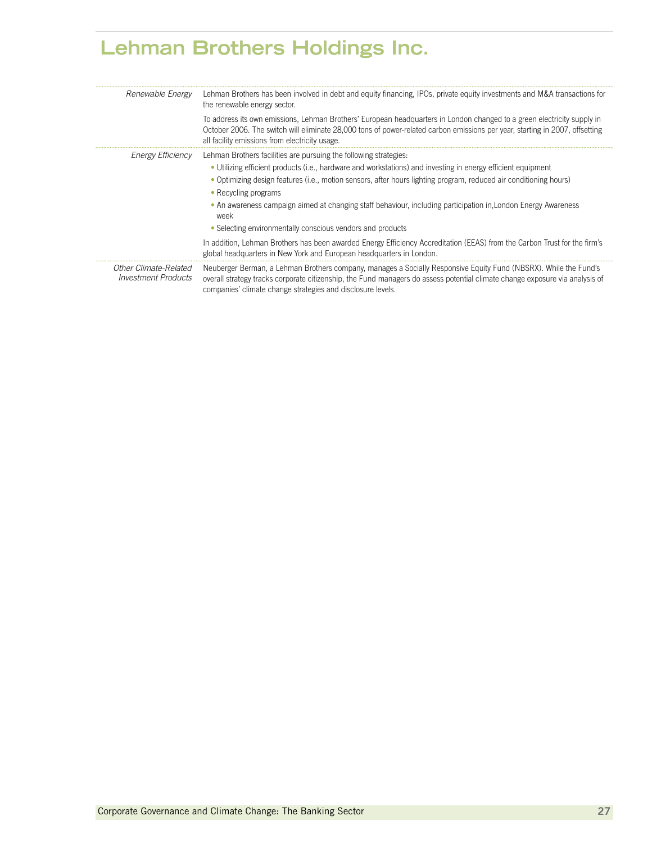### **Lehman Brothers Holdings Inc.**

| Renewable Energy                             | Lehman Brothers has been involved in debt and equity financing, IPOs, private equity investments and M&A transactions for<br>the renewable energy sector.                                                                                                                                                       |
|----------------------------------------------|-----------------------------------------------------------------------------------------------------------------------------------------------------------------------------------------------------------------------------------------------------------------------------------------------------------------|
|                                              | To address its own emissions, Lehman Brothers' European headquarters in London changed to a green electricity supply in<br>October 2006. The switch will eliminate 28,000 tons of power-related carbon emissions per year, starting in 2007, offsetting<br>all facility emissions from electricity usage.       |
| <i>Energy Efficiency</i>                     | Lehman Brothers facilities are pursuing the following strategies:                                                                                                                                                                                                                                               |
|                                              | • Utilizing efficient products (i.e., hardware and workstations) and investing in energy efficient equipment                                                                                                                                                                                                    |
|                                              | • Optimizing design features (i.e., motion sensors, after hours lighting program, reduced air conditioning hours)                                                                                                                                                                                               |
|                                              | • Recycling programs                                                                                                                                                                                                                                                                                            |
|                                              | • An awareness campaign aimed at changing staff behaviour, including participation in London Energy Awareness<br>week                                                                                                                                                                                           |
|                                              | • Selecting environmentally conscious vendors and products                                                                                                                                                                                                                                                      |
|                                              | In addition, Lehman Brothers has been awarded Energy Efficiency Accreditation (EEAS) from the Carbon Trust for the firm's<br>global headquarters in New York and European headquarters in London.                                                                                                               |
| Other Climate-Related<br>Investment Products | Neuberger Berman, a Lehman Brothers company, manages a Socially Responsive Equity Fund (NBSRX). While the Fund's<br>overall strategy tracks corporate citizenship, the Fund managers do assess potential climate change exposure via analysis of<br>companies' climate change strategies and disclosure levels. |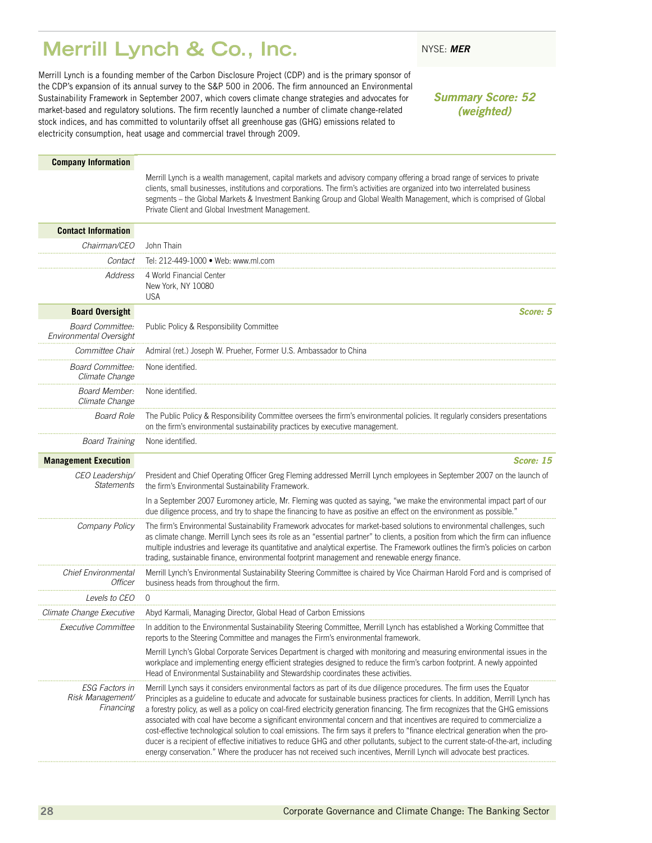### <span id="page-29-0"></span>**Merrill Lynch & Co., Inc.** NYSE: MER

Merrill Lynch is a founding member of the Carbon Disclosure Project (CDP) and is the primary sponsor of the CDP's expansion of its annual survey to the S&P 500 in 2006. The firm announced an Environmental Sustainability Framework in September 2007, which covers climate change strategies and advocates for market-based and regulatory solutions. The firm recently launched a number of climate change-related stock indices, and has committed to voluntarily offset all greenhouse gas (GHG) emissions related to electricity consumption, heat usage and commercial travel through 2009.

### *Summary Score: 52 (weighted)*

#### **Company Information**

Merrill Lynch is a wealth management, capital markets and advisory company offering a broad range of services to private clients, small businesses, institutions and corporations. The firm's activities are organized into two interrelated business segments – the Global Markets & Investment Banking Group and Global Wealth Management, which is comprised of Global Private Client and Global Investment Management.

| <b>Contact Information</b>                             |                                                                                                                                                                                                                                                                                                                                                                                                                                                                                                                                                                                                                                                                                                                                                                                                                                                                                                                                      |  |
|--------------------------------------------------------|--------------------------------------------------------------------------------------------------------------------------------------------------------------------------------------------------------------------------------------------------------------------------------------------------------------------------------------------------------------------------------------------------------------------------------------------------------------------------------------------------------------------------------------------------------------------------------------------------------------------------------------------------------------------------------------------------------------------------------------------------------------------------------------------------------------------------------------------------------------------------------------------------------------------------------------|--|
| Chairman/CEO                                           | John Thain                                                                                                                                                                                                                                                                                                                                                                                                                                                                                                                                                                                                                                                                                                                                                                                                                                                                                                                           |  |
| Contact                                                | Tel: 212-449-1000 · Web: www.ml.com                                                                                                                                                                                                                                                                                                                                                                                                                                                                                                                                                                                                                                                                                                                                                                                                                                                                                                  |  |
| Address                                                | 4 World Financial Center<br>New York, NY 10080<br><b>USA</b>                                                                                                                                                                                                                                                                                                                                                                                                                                                                                                                                                                                                                                                                                                                                                                                                                                                                         |  |
| <b>Board Oversight</b>                                 | Score: 5                                                                                                                                                                                                                                                                                                                                                                                                                                                                                                                                                                                                                                                                                                                                                                                                                                                                                                                             |  |
| <b>Board Committee:</b><br>Environmental Oversight     | Public Policy & Responsibility Committee                                                                                                                                                                                                                                                                                                                                                                                                                                                                                                                                                                                                                                                                                                                                                                                                                                                                                             |  |
| Committee Chair                                        | Admiral (ret.) Joseph W. Prueher, Former U.S. Ambassador to China                                                                                                                                                                                                                                                                                                                                                                                                                                                                                                                                                                                                                                                                                                                                                                                                                                                                    |  |
| <b>Board Committee:</b><br>Climate Change              | None identified.                                                                                                                                                                                                                                                                                                                                                                                                                                                                                                                                                                                                                                                                                                                                                                                                                                                                                                                     |  |
| Board Member:<br>Climate Change                        | None identified.                                                                                                                                                                                                                                                                                                                                                                                                                                                                                                                                                                                                                                                                                                                                                                                                                                                                                                                     |  |
| <b>Board Role</b>                                      | The Public Policy & Responsibility Committee oversees the firm's environmental policies. It regularly considers presentations<br>on the firm's environmental sustainability practices by executive management.                                                                                                                                                                                                                                                                                                                                                                                                                                                                                                                                                                                                                                                                                                                       |  |
| <b>Board Training</b>                                  | None identified.                                                                                                                                                                                                                                                                                                                                                                                                                                                                                                                                                                                                                                                                                                                                                                                                                                                                                                                     |  |
| <b>Management Execution</b>                            | Score: 15                                                                                                                                                                                                                                                                                                                                                                                                                                                                                                                                                                                                                                                                                                                                                                                                                                                                                                                            |  |
| CEO Leadership/<br><b>Statements</b>                   | President and Chief Operating Officer Greg Fleming addressed Merrill Lynch employees in September 2007 on the launch of<br>the firm's Environmental Sustainability Framework.                                                                                                                                                                                                                                                                                                                                                                                                                                                                                                                                                                                                                                                                                                                                                        |  |
|                                                        | In a September 2007 Euromoney article, Mr. Fleming was quoted as saying, "we make the environmental impact part of our<br>due diligence process, and try to shape the financing to have as positive an effect on the environment as possible."                                                                                                                                                                                                                                                                                                                                                                                                                                                                                                                                                                                                                                                                                       |  |
| Company Policy                                         | The firm's Environmental Sustainability Framework advocates for market-based solutions to environmental challenges, such<br>as climate change. Merrill Lynch sees its role as an "essential partner" to clients, a position from which the firm can influence<br>multiple industries and leverage its quantitative and analytical expertise. The Framework outlines the firm's policies on carbon<br>trading, sustainable finance, environmental footprint management and renewable energy finance.                                                                                                                                                                                                                                                                                                                                                                                                                                  |  |
| <b>Chief Environmental</b><br>Officer                  | Merrill Lynch's Environmental Sustainability Steering Committee is chaired by Vice Chairman Harold Ford and is comprised of<br>business heads from throughout the firm.                                                                                                                                                                                                                                                                                                                                                                                                                                                                                                                                                                                                                                                                                                                                                              |  |
| Levels to CEO                                          | $\Omega$                                                                                                                                                                                                                                                                                                                                                                                                                                                                                                                                                                                                                                                                                                                                                                                                                                                                                                                             |  |
| Climate Change Executive                               | Abyd Karmali, Managing Director, Global Head of Carbon Emissions                                                                                                                                                                                                                                                                                                                                                                                                                                                                                                                                                                                                                                                                                                                                                                                                                                                                     |  |
| Executive Committee                                    | In addition to the Environmental Sustainability Steering Committee, Merrill Lynch has established a Working Committee that<br>reports to the Steering Committee and manages the Firm's environmental framework.                                                                                                                                                                                                                                                                                                                                                                                                                                                                                                                                                                                                                                                                                                                      |  |
|                                                        | Merrill Lynch's Global Corporate Services Department is charged with monitoring and measuring environmental issues in the<br>workplace and implementing energy efficient strategies designed to reduce the firm's carbon footprint. A newly appointed<br>Head of Environmental Sustainability and Stewardship coordinates these activities.                                                                                                                                                                                                                                                                                                                                                                                                                                                                                                                                                                                          |  |
| <b>ESG Factors in</b><br>Risk Management/<br>Financing | Merrill Lynch says it considers environmental factors as part of its due diligence procedures. The firm uses the Equator<br>Principles as a guideline to educate and advocate for sustainable business practices for clients. In addition, Merrill Lynch has<br>a forestry policy, as well as a policy on coal-fired electricity generation financing. The firm recognizes that the GHG emissions<br>associated with coal have become a significant environmental concern and that incentives are required to commercialize a<br>cost-effective technological solution to coal emissions. The firm says it prefers to "finance electrical generation when the pro-<br>ducer is a recipient of effective initiatives to reduce GHG and other pollutants, subject to the current state-of-the-art, including<br>energy conservation." Where the producer has not received such incentives, Merrill Lynch will advocate best practices. |  |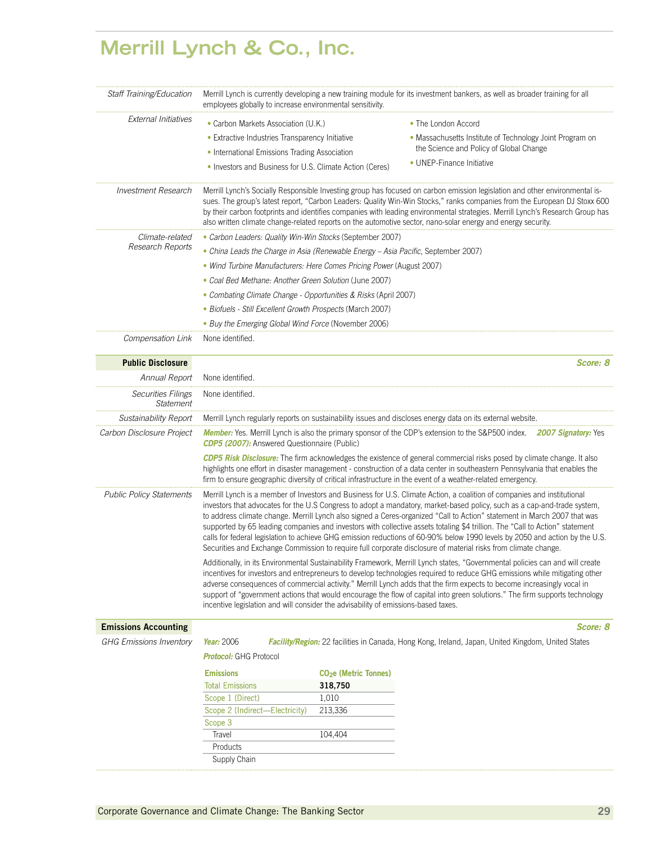# **Merrill Lynch & Co., Inc.**

| Staff Training/Education               | Merrill Lynch is currently developing a new training module for its investment bankers, as well as broader training for all<br>employees globally to increase environmental sensitivity.                                                                                                                                                                                                                                                                                                                                                                                                                   |                                        |                                                                                                                                                                                                                                                                                                                                                                                                                                                                                                                                                                                                                                                                                                                                                                  |  |  |  |
|----------------------------------------|------------------------------------------------------------------------------------------------------------------------------------------------------------------------------------------------------------------------------------------------------------------------------------------------------------------------------------------------------------------------------------------------------------------------------------------------------------------------------------------------------------------------------------------------------------------------------------------------------------|----------------------------------------|------------------------------------------------------------------------------------------------------------------------------------------------------------------------------------------------------------------------------------------------------------------------------------------------------------------------------------------------------------------------------------------------------------------------------------------------------------------------------------------------------------------------------------------------------------------------------------------------------------------------------------------------------------------------------------------------------------------------------------------------------------------|--|--|--|
| <b>External Initiatives</b>            | • Carbon Markets Association (U.K.)                                                                                                                                                                                                                                                                                                                                                                                                                                                                                                                                                                        |                                        | • The London Accord                                                                                                                                                                                                                                                                                                                                                                                                                                                                                                                                                                                                                                                                                                                                              |  |  |  |
|                                        | • Extractive Industries Transparency Initiative                                                                                                                                                                                                                                                                                                                                                                                                                                                                                                                                                            |                                        | · Massachusetts Institute of Technology Joint Program on                                                                                                                                                                                                                                                                                                                                                                                                                                                                                                                                                                                                                                                                                                         |  |  |  |
|                                        | • International Emissions Trading Association                                                                                                                                                                                                                                                                                                                                                                                                                                                                                                                                                              |                                        | the Science and Policy of Global Change                                                                                                                                                                                                                                                                                                                                                                                                                                                                                                                                                                                                                                                                                                                          |  |  |  |
|                                        | • Investors and Business for U.S. Climate Action (Ceres)                                                                                                                                                                                                                                                                                                                                                                                                                                                                                                                                                   |                                        | • UNEP-Finance Initiative                                                                                                                                                                                                                                                                                                                                                                                                                                                                                                                                                                                                                                                                                                                                        |  |  |  |
| <b>Investment Research</b>             | Merrill Lynch's Socially Responsible Investing group has focused on carbon emission legislation and other environmental is-<br>sues. The group's latest report, "Carbon Leaders: Quality Win-Win Stocks," ranks companies from the European DJ Stoxx 600<br>by their carbon footprints and identifies companies with leading environmental strategies. Merrill Lynch's Research Group has<br>also written climate change-related reports on the automotive sector, nano-solar energy and energy security.                                                                                                  |                                        |                                                                                                                                                                                                                                                                                                                                                                                                                                                                                                                                                                                                                                                                                                                                                                  |  |  |  |
| Climate-related                        | • Carbon Leaders: Quality Win-Win Stocks (September 2007)                                                                                                                                                                                                                                                                                                                                                                                                                                                                                                                                                  |                                        |                                                                                                                                                                                                                                                                                                                                                                                                                                                                                                                                                                                                                                                                                                                                                                  |  |  |  |
| Research Reports                       | • China Leads the Charge in Asia (Renewable Energy - Asia Pacific, September 2007)                                                                                                                                                                                                                                                                                                                                                                                                                                                                                                                         |                                        |                                                                                                                                                                                                                                                                                                                                                                                                                                                                                                                                                                                                                                                                                                                                                                  |  |  |  |
|                                        | • Wind Turbine Manufacturers: Here Comes Pricing Power (August 2007)                                                                                                                                                                                                                                                                                                                                                                                                                                                                                                                                       |                                        |                                                                                                                                                                                                                                                                                                                                                                                                                                                                                                                                                                                                                                                                                                                                                                  |  |  |  |
|                                        | • Coal Bed Methane: Another Green Solution (June 2007)                                                                                                                                                                                                                                                                                                                                                                                                                                                                                                                                                     |                                        |                                                                                                                                                                                                                                                                                                                                                                                                                                                                                                                                                                                                                                                                                                                                                                  |  |  |  |
|                                        | • Combating Climate Change - Opportunities & Risks (April 2007)                                                                                                                                                                                                                                                                                                                                                                                                                                                                                                                                            |                                        |                                                                                                                                                                                                                                                                                                                                                                                                                                                                                                                                                                                                                                                                                                                                                                  |  |  |  |
|                                        | · Biofuels - Still Excellent Growth Prospects (March 2007)                                                                                                                                                                                                                                                                                                                                                                                                                                                                                                                                                 |                                        |                                                                                                                                                                                                                                                                                                                                                                                                                                                                                                                                                                                                                                                                                                                                                                  |  |  |  |
|                                        | • Buy the Emerging Global Wind Force (November 2006)                                                                                                                                                                                                                                                                                                                                                                                                                                                                                                                                                       |                                        |                                                                                                                                                                                                                                                                                                                                                                                                                                                                                                                                                                                                                                                                                                                                                                  |  |  |  |
| Compensation Link                      | None identified.                                                                                                                                                                                                                                                                                                                                                                                                                                                                                                                                                                                           |                                        |                                                                                                                                                                                                                                                                                                                                                                                                                                                                                                                                                                                                                                                                                                                                                                  |  |  |  |
| <b>Public Disclosure</b>               |                                                                                                                                                                                                                                                                                                                                                                                                                                                                                                                                                                                                            |                                        | Score: 8                                                                                                                                                                                                                                                                                                                                                                                                                                                                                                                                                                                                                                                                                                                                                         |  |  |  |
| Annual Report                          | None identified.                                                                                                                                                                                                                                                                                                                                                                                                                                                                                                                                                                                           |                                        |                                                                                                                                                                                                                                                                                                                                                                                                                                                                                                                                                                                                                                                                                                                                                                  |  |  |  |
| <b>Securities Filings</b><br>Statement | None identified.                                                                                                                                                                                                                                                                                                                                                                                                                                                                                                                                                                                           |                                        |                                                                                                                                                                                                                                                                                                                                                                                                                                                                                                                                                                                                                                                                                                                                                                  |  |  |  |
| <b>Sustainability Report</b>           | Merrill Lynch regularly reports on sustainability issues and discloses energy data on its external website.                                                                                                                                                                                                                                                                                                                                                                                                                                                                                                |                                        |                                                                                                                                                                                                                                                                                                                                                                                                                                                                                                                                                                                                                                                                                                                                                                  |  |  |  |
| Carbon Disclosure Project              | Member: Yes. Merrill Lynch is also the primary sponsor of the CDP's extension to the S&P500 index. 2007 Signatory: Yes<br><b>CDP5 (2007):</b> Answered Questionnaire (Public)                                                                                                                                                                                                                                                                                                                                                                                                                              |                                        |                                                                                                                                                                                                                                                                                                                                                                                                                                                                                                                                                                                                                                                                                                                                                                  |  |  |  |
|                                        | CDP5 Risk Disclosure: The firm acknowledges the existence of general commercial risks posed by climate change. It also<br>highlights one effort in disaster management - construction of a data center in southeastern Pennsylvania that enables the<br>firm to ensure geographic diversity of critical infrastructure in the event of a weather-related emergency.                                                                                                                                                                                                                                        |                                        |                                                                                                                                                                                                                                                                                                                                                                                                                                                                                                                                                                                                                                                                                                                                                                  |  |  |  |
| <b>Public Policy Statements</b>        |                                                                                                                                                                                                                                                                                                                                                                                                                                                                                                                                                                                                            |                                        | Merrill Lynch is a member of Investors and Business for U.S. Climate Action, a coalition of companies and institutional<br>investors that advocates for the U.S Congress to adopt a mandatory, market-based policy, such as a cap-and-trade system,<br>to address climate change. Merrill Lynch also signed a Ceres-organized "Call to Action" statement in March 2007 that was<br>supported by 65 leading companies and investors with collective assets totaling \$4 trillion. The "Call to Action" statement<br>calls for federal legislation to achieve GHG emission reductions of 60-90% below 1990 levels by 2050 and action by the U.S.<br>Securities and Exchange Commission to require full corporate disclosure of material risks from climate change. |  |  |  |
|                                        | Additionally, in its Environmental Sustainability Framework, Merrill Lynch states, "Governmental policies can and will create<br>incentives for investors and entrepreneurs to develop technologies required to reduce GHG emissions while mitigating other<br>adverse consequences of commercial activity." Merrill Lynch adds that the firm expects to become increasingly vocal in<br>support of "government actions that would encourage the flow of capital into green solutions." The firm supports technology<br>incentive legislation and will consider the advisability of emissions-based taxes. |                                        |                                                                                                                                                                                                                                                                                                                                                                                                                                                                                                                                                                                                                                                                                                                                                                  |  |  |  |
| <b>Emissions Accounting</b>            |                                                                                                                                                                                                                                                                                                                                                                                                                                                                                                                                                                                                            |                                        | Score: 8                                                                                                                                                                                                                                                                                                                                                                                                                                                                                                                                                                                                                                                                                                                                                         |  |  |  |
| <b>GHG Emissions Inventory</b>         | Year: 2006                                                                                                                                                                                                                                                                                                                                                                                                                                                                                                                                                                                                 |                                        | <b>Facility/Region:</b> 22 facilities in Canada, Hong Kong, Ireland, Japan, United Kingdom, United States                                                                                                                                                                                                                                                                                                                                                                                                                                                                                                                                                                                                                                                        |  |  |  |
|                                        | <b>Protocol:</b> GHG Protocol                                                                                                                                                                                                                                                                                                                                                                                                                                                                                                                                                                              |                                        |                                                                                                                                                                                                                                                                                                                                                                                                                                                                                                                                                                                                                                                                                                                                                                  |  |  |  |
|                                        | <b>Emissions</b>                                                                                                                                                                                                                                                                                                                                                                                                                                                                                                                                                                                           | <b>CO<sub>2</sub>e</b> (Metric Tonnes) |                                                                                                                                                                                                                                                                                                                                                                                                                                                                                                                                                                                                                                                                                                                                                                  |  |  |  |
|                                        | <b>Total Emissions</b>                                                                                                                                                                                                                                                                                                                                                                                                                                                                                                                                                                                     | 318,750                                |                                                                                                                                                                                                                                                                                                                                                                                                                                                                                                                                                                                                                                                                                                                                                                  |  |  |  |
|                                        | Scope 1 (Direct)                                                                                                                                                                                                                                                                                                                                                                                                                                                                                                                                                                                           | 1,010                                  |                                                                                                                                                                                                                                                                                                                                                                                                                                                                                                                                                                                                                                                                                                                                                                  |  |  |  |
|                                        | Scope 2 (Indirect-Electricity)                                                                                                                                                                                                                                                                                                                                                                                                                                                                                                                                                                             | 213,336                                |                                                                                                                                                                                                                                                                                                                                                                                                                                                                                                                                                                                                                                                                                                                                                                  |  |  |  |
|                                        | Scope 3                                                                                                                                                                                                                                                                                                                                                                                                                                                                                                                                                                                                    |                                        |                                                                                                                                                                                                                                                                                                                                                                                                                                                                                                                                                                                                                                                                                                                                                                  |  |  |  |
|                                        | Travel                                                                                                                                                                                                                                                                                                                                                                                                                                                                                                                                                                                                     | 104,404                                |                                                                                                                                                                                                                                                                                                                                                                                                                                                                                                                                                                                                                                                                                                                                                                  |  |  |  |
|                                        | Products<br>Supply Chain                                                                                                                                                                                                                                                                                                                                                                                                                                                                                                                                                                                   |                                        |                                                                                                                                                                                                                                                                                                                                                                                                                                                                                                                                                                                                                                                                                                                                                                  |  |  |  |
|                                        |                                                                                                                                                                                                                                                                                                                                                                                                                                                                                                                                                                                                            |                                        |                                                                                                                                                                                                                                                                                                                                                                                                                                                                                                                                                                                                                                                                                                                                                                  |  |  |  |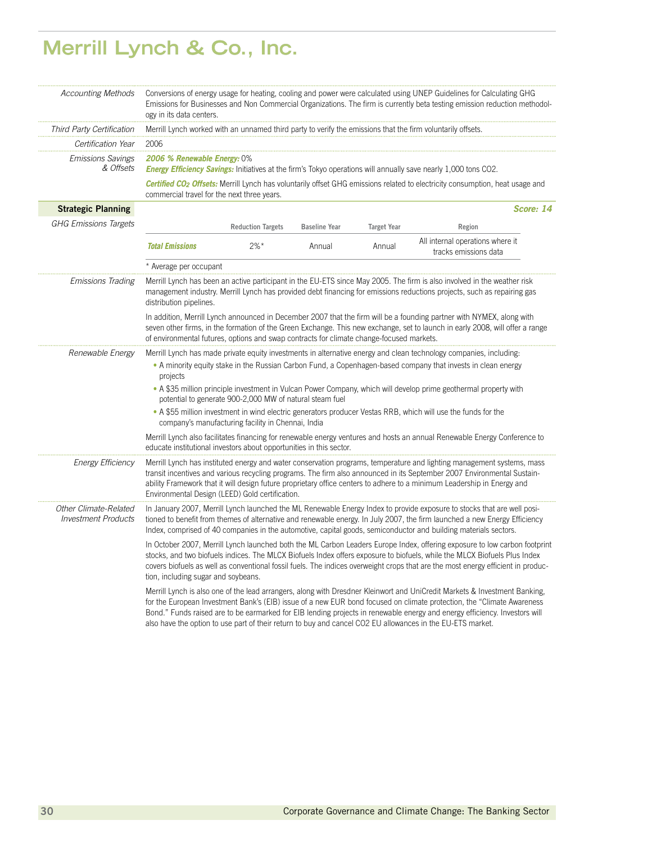# **Merrill Lynch & Co., Inc.**

| <b>Accounting Methods</b>                           | Conversions of energy usage for heating, cooling and power were calculated using UNEP Guidelines for Calculating GHG<br>Emissions for Businesses and Non Commercial Organizations. The firm is currently beta testing emission reduction methodol-<br>ogy in its data centers.                                                                                                                                                     |                          |                      |                    |                                                                                                                                                                                                                                                                                                                                                                                                                                                                                                   |  |
|-----------------------------------------------------|------------------------------------------------------------------------------------------------------------------------------------------------------------------------------------------------------------------------------------------------------------------------------------------------------------------------------------------------------------------------------------------------------------------------------------|--------------------------|----------------------|--------------------|---------------------------------------------------------------------------------------------------------------------------------------------------------------------------------------------------------------------------------------------------------------------------------------------------------------------------------------------------------------------------------------------------------------------------------------------------------------------------------------------------|--|
| Third Party Certification                           | Merrill Lynch worked with an unnamed third party to verify the emissions that the firm voluntarily offsets.                                                                                                                                                                                                                                                                                                                        |                          |                      |                    |                                                                                                                                                                                                                                                                                                                                                                                                                                                                                                   |  |
| Certification Year                                  | 2006                                                                                                                                                                                                                                                                                                                                                                                                                               |                          |                      |                    |                                                                                                                                                                                                                                                                                                                                                                                                                                                                                                   |  |
| <i><b>Emissions Savings</b></i><br>& Offsets        | <b>2006 % Renewable Energy: 0%</b>                                                                                                                                                                                                                                                                                                                                                                                                 |                          |                      |                    | <b>Energy Efficiency Savings:</b> Initiatives at the firm's Tokyo operations will annually save nearly 1,000 tons CO2.<br>Certified CO <sub>2</sub> Offsets: Merrill Lynch has voluntarily offset GHG emissions related to electricity consumption, heat usage and                                                                                                                                                                                                                                |  |
|                                                     | commercial travel for the next three years.                                                                                                                                                                                                                                                                                                                                                                                        |                          |                      |                    |                                                                                                                                                                                                                                                                                                                                                                                                                                                                                                   |  |
| <b>Strategic Planning</b>                           |                                                                                                                                                                                                                                                                                                                                                                                                                                    |                          |                      |                    | Score: 14                                                                                                                                                                                                                                                                                                                                                                                                                                                                                         |  |
| <b>GHG Emissions Targets</b>                        |                                                                                                                                                                                                                                                                                                                                                                                                                                    | <b>Reduction Targets</b> | <b>Baseline Year</b> | <b>Target Year</b> | Region                                                                                                                                                                                                                                                                                                                                                                                                                                                                                            |  |
|                                                     | <b>Total Emissions</b>                                                                                                                                                                                                                                                                                                                                                                                                             | $2\%$ *                  | Annual               | Annual             | All internal operations where it<br>tracks emissions data                                                                                                                                                                                                                                                                                                                                                                                                                                         |  |
|                                                     | * Average per occupant                                                                                                                                                                                                                                                                                                                                                                                                             |                          |                      |                    |                                                                                                                                                                                                                                                                                                                                                                                                                                                                                                   |  |
| <b>Emissions Trading</b>                            | distribution pipelines.                                                                                                                                                                                                                                                                                                                                                                                                            |                          |                      |                    | Merrill Lynch has been an active participant in the EU-ETS since May 2005. The firm is also involved in the weather risk<br>management industry. Merrill Lynch has provided debt financing for emissions reductions projects, such as repairing gas                                                                                                                                                                                                                                               |  |
|                                                     | of environmental futures, options and swap contracts for climate change-focused markets.                                                                                                                                                                                                                                                                                                                                           |                          |                      |                    | In addition, Merrill Lynch announced in December 2007 that the firm will be a founding partner with NYMEX, along with<br>seven other firms, in the formation of the Green Exchange. This new exchange, set to launch in early 2008, will offer a range                                                                                                                                                                                                                                            |  |
| Renewable Energy                                    | Merrill Lynch has made private equity investments in alternative energy and clean technology companies, including:<br>. A minority equity stake in the Russian Carbon Fund, a Copenhagen-based company that invests in clean energy<br>projects<br>• A \$35 million principle investment in Vulcan Power Company, which will develop prime geothermal property with<br>potential to generate 900-2,000 MW of natural steam fuel    |                          |                      |                    |                                                                                                                                                                                                                                                                                                                                                                                                                                                                                                   |  |
|                                                     | • A \$55 million investment in wind electric generators producer Vestas RRB, which will use the funds for the<br>company's manufacturing facility in Chennai, India                                                                                                                                                                                                                                                                |                          |                      |                    |                                                                                                                                                                                                                                                                                                                                                                                                                                                                                                   |  |
|                                                     | educate institutional investors about opportunities in this sector.                                                                                                                                                                                                                                                                                                                                                                |                          |                      |                    | Merrill Lynch also facilitates financing for renewable energy ventures and hosts an annual Renewable Energy Conference to                                                                                                                                                                                                                                                                                                                                                                         |  |
| <b>Energy Efficiency</b>                            | Merrill Lynch has instituted energy and water conservation programs, temperature and lighting management systems, mass<br>transit incentives and various recycling programs. The firm also announced in its September 2007 Environmental Sustain-<br>ability Framework that it will design future proprietary office centers to adhere to a minimum Leadership in Energy and<br>Environmental Design (LEED) Gold certification.    |                          |                      |                    |                                                                                                                                                                                                                                                                                                                                                                                                                                                                                                   |  |
| Other Climate-Related<br><b>Investment Products</b> | In January 2007, Merrill Lynch launched the ML Renewable Energy Index to provide exposure to stocks that are well posi-<br>tioned to benefit from themes of alternative and renewable energy. In July 2007, the firm launched a new Energy Efficiency<br>Index, comprised of 40 companies in the automotive, capital goods, semiconductor and building materials sectors.                                                          |                          |                      |                    |                                                                                                                                                                                                                                                                                                                                                                                                                                                                                                   |  |
|                                                     | In October 2007, Merrill Lynch launched both the ML Carbon Leaders Europe Index, offering exposure to low carbon footprint<br>stocks, and two biofuels indices. The MLCX Biofuels Index offers exposure to biofuels, while the MLCX Biofuels Plus Index<br>covers biofuels as well as conventional fossil fuels. The indices overweight crops that are the most energy efficient in produc-<br>tion, including sugar and soybeans. |                          |                      |                    |                                                                                                                                                                                                                                                                                                                                                                                                                                                                                                   |  |
|                                                     |                                                                                                                                                                                                                                                                                                                                                                                                                                    |                          |                      |                    | Merrill Lynch is also one of the lead arrangers, along with Dresdner Kleinwort and UniCredit Markets & Investment Banking,<br>for the European Investment Bank's (EIB) issue of a new EUR bond focused on climate protection, the "Climate Awareness"<br>Bond." Funds raised are to be earmarked for EIB lending projects in renewable energy and energy efficiency. Investors will<br>also have the option to use part of their return to buy and cancel CO2 EU allowances in the EU-ETS market. |  |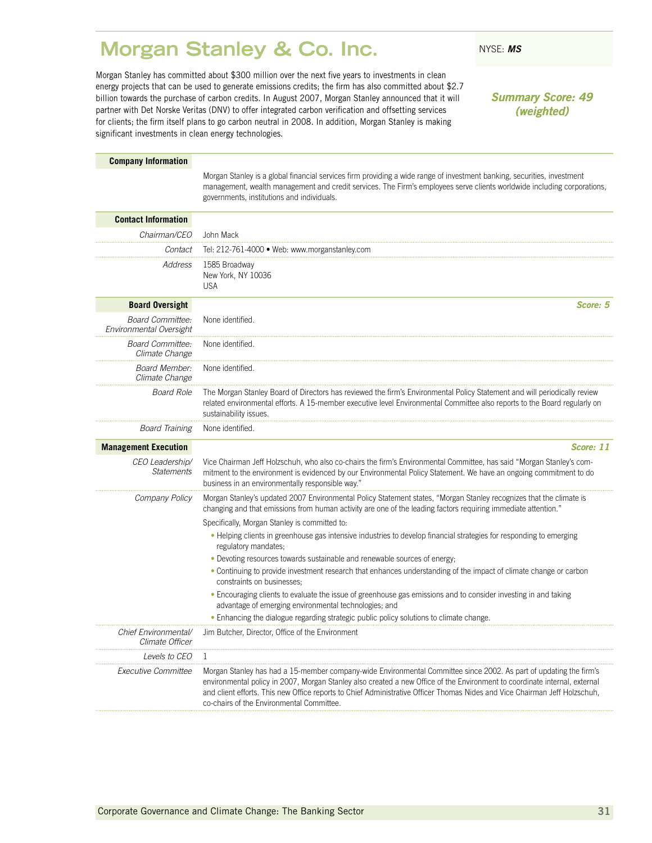### <span id="page-32-0"></span>**Morgan Stanley & Co. Inc.** NYSE: MS

Morgan Stanley has committed about \$300 million over the next five years to investments in clean energy projects that can be used to generate emissions credits; the firm has also committed about \$2.7 billion towards the purchase of carbon credits. In August 2007, Morgan Stanley announced that it will partner with Det Norske Veritas (DNV) to offer integrated carbon verification and offsetting services for clients; the firm itself plans to go carbon neutral in 2008. In addition, Morgan Stanley is making significant investments in clean energy technologies.

*Summary Score: 49 (weighted)*

| <b>Company Information</b>                         |                                                                                                                                                                                                                                                                                                                                                                                                                             |
|----------------------------------------------------|-----------------------------------------------------------------------------------------------------------------------------------------------------------------------------------------------------------------------------------------------------------------------------------------------------------------------------------------------------------------------------------------------------------------------------|
|                                                    | Morgan Stanley is a global financial services firm providing a wide range of investment banking, securities, investment<br>management, wealth management and credit services. The Firm's employees serve clients worldwide including corporations,<br>governments, institutions and individuals.                                                                                                                            |
| <b>Contact Information</b>                         |                                                                                                                                                                                                                                                                                                                                                                                                                             |
| Chairman/CEO                                       | John Mack                                                                                                                                                                                                                                                                                                                                                                                                                   |
| Contact                                            | Tel: 212-761-4000 · Web: www.morganstanley.com                                                                                                                                                                                                                                                                                                                                                                              |
| Address                                            | 1585 Broadway<br>New York, NY 10036<br><b>USA</b>                                                                                                                                                                                                                                                                                                                                                                           |
| <b>Board Oversight</b>                             | Score: 5                                                                                                                                                                                                                                                                                                                                                                                                                    |
| <b>Board Committee:</b><br>Environmental Oversight | None identified.                                                                                                                                                                                                                                                                                                                                                                                                            |
| Board Committee:<br>Climate Change                 | None identified.                                                                                                                                                                                                                                                                                                                                                                                                            |
| <b>Board Member:</b><br>Climate Change             | None identified.                                                                                                                                                                                                                                                                                                                                                                                                            |
| <b>Board Role</b>                                  | The Morgan Stanley Board of Directors has reviewed the firm's Environmental Policy Statement and will periodically review<br>related environmental efforts. A 15-member executive level Environmental Committee also reports to the Board regularly on<br>sustainability issues.                                                                                                                                            |
| <b>Board Training</b>                              | None identified.                                                                                                                                                                                                                                                                                                                                                                                                            |
| <b>Management Execution</b>                        | Score: 11                                                                                                                                                                                                                                                                                                                                                                                                                   |
| CEO Leadership/<br>Statements                      | Vice Chairman Jeff Holzschuh, who also co-chairs the firm's Environmental Committee, has said "Morgan Stanley's com-<br>mitment to the environment is evidenced by our Environmental Policy Statement. We have an ongoing commitment to do<br>business in an environmentally responsible way."                                                                                                                              |
| Company Policy                                     | Morgan Stanley's updated 2007 Environmental Policy Statement states, "Morgan Stanley recognizes that the climate is<br>changing and that emissions from human activity are one of the leading factors requiring immediate attention."                                                                                                                                                                                       |
|                                                    | Specifically, Morgan Stanley is committed to:                                                                                                                                                                                                                                                                                                                                                                               |
|                                                    | • Helping clients in greenhouse gas intensive industries to develop financial strategies for responding to emerging<br>regulatory mandates;                                                                                                                                                                                                                                                                                 |
|                                                    | • Devoting resources towards sustainable and renewable sources of energy;                                                                                                                                                                                                                                                                                                                                                   |
|                                                    | • Continuing to provide investment research that enhances understanding of the impact of climate change or carbon<br>constraints on businesses:                                                                                                                                                                                                                                                                             |
|                                                    | . Encouraging clients to evaluate the issue of greenhouse gas emissions and to consider investing in and taking<br>advantage of emerging environmental technologies; and                                                                                                                                                                                                                                                    |
|                                                    | • Enhancing the dialogue regarding strategic public policy solutions to climate change.                                                                                                                                                                                                                                                                                                                                     |
| Chief Environmental/<br>Climate Officer            | Jim Butcher, Director, Office of the Environment                                                                                                                                                                                                                                                                                                                                                                            |
| <i>Levels to CEO</i>                               | 1                                                                                                                                                                                                                                                                                                                                                                                                                           |
| Executive Committee                                | Morgan Stanley has had a 15-member company-wide Environmental Committee since 2002. As part of updating the firm's<br>environmental policy in 2007, Morgan Stanley also created a new Office of the Environment to coordinate internal, external<br>and client efforts. This new Office reports to Chief Administrative Officer Thomas Nides and Vice Chairman Jeff Holzschuh,<br>co-chairs of the Environmental Committee. |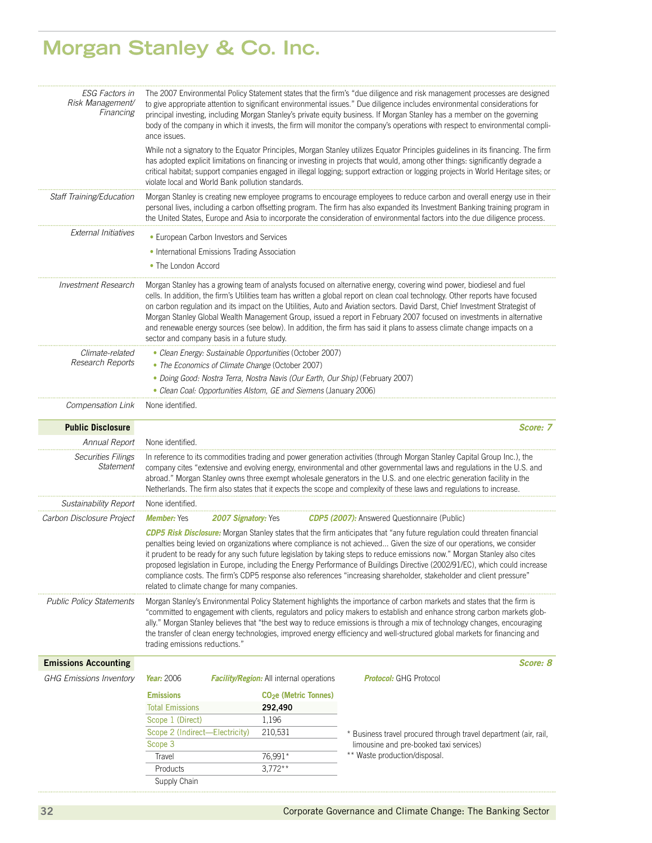### **Morgan Stanley & Co. Inc.**

| <b>ESG Factors in</b><br>Risk Management/<br>Financing | ance issues.                                                                                                                                                                                                                                                                                                                                                                                                                                                                                                                                                                                                                                                                              | The 2007 Environmental Policy Statement states that the firm's "due diligence and risk management processes are designed<br>to give appropriate attention to significant environmental issues." Due diligence includes environmental considerations for<br>principal investing, including Morgan Stanley's private equity business. If Morgan Stanley has a member on the governing<br>body of the company in which it invests, the firm will monitor the company's operations with respect to environmental compli- |                                                                                                                                                                                                                                                                                                                                                                                                                                                                                                                |  |  |
|--------------------------------------------------------|-------------------------------------------------------------------------------------------------------------------------------------------------------------------------------------------------------------------------------------------------------------------------------------------------------------------------------------------------------------------------------------------------------------------------------------------------------------------------------------------------------------------------------------------------------------------------------------------------------------------------------------------------------------------------------------------|----------------------------------------------------------------------------------------------------------------------------------------------------------------------------------------------------------------------------------------------------------------------------------------------------------------------------------------------------------------------------------------------------------------------------------------------------------------------------------------------------------------------|----------------------------------------------------------------------------------------------------------------------------------------------------------------------------------------------------------------------------------------------------------------------------------------------------------------------------------------------------------------------------------------------------------------------------------------------------------------------------------------------------------------|--|--|
|                                                        |                                                                                                                                                                                                                                                                                                                                                                                                                                                                                                                                                                                                                                                                                           | While not a signatory to the Equator Principles, Morgan Stanley utilizes Equator Principles guidelines in its financing. The firm<br>has adopted explicit limitations on financing or investing in projects that would, among other things: significantly degrade a<br>critical habitat; support companies engaged in illegal logging; support extraction or logging projects in World Heritage sites; or<br>violate local and World Bank pollution standards.                                                       |                                                                                                                                                                                                                                                                                                                                                                                                                                                                                                                |  |  |
| Staff Training/Education                               |                                                                                                                                                                                                                                                                                                                                                                                                                                                                                                                                                                                                                                                                                           | Morgan Stanley is creating new employee programs to encourage employees to reduce carbon and overall energy use in their<br>personal lives, including a carbon offsetting program. The firm has also expanded its Investment Banking training program in<br>the United States, Europe and Asia to incorporate the consideration of environmental factors into the due diligence process.                                                                                                                             |                                                                                                                                                                                                                                                                                                                                                                                                                                                                                                                |  |  |
| External Initiatives                                   |                                                                                                                                                                                                                                                                                                                                                                                                                                                                                                                                                                                                                                                                                           | • European Carbon Investors and Services                                                                                                                                                                                                                                                                                                                                                                                                                                                                             |                                                                                                                                                                                                                                                                                                                                                                                                                                                                                                                |  |  |
|                                                        |                                                                                                                                                                                                                                                                                                                                                                                                                                                                                                                                                                                                                                                                                           | • International Emissions Trading Association                                                                                                                                                                                                                                                                                                                                                                                                                                                                        |                                                                                                                                                                                                                                                                                                                                                                                                                                                                                                                |  |  |
|                                                        | • The London Accord                                                                                                                                                                                                                                                                                                                                                                                                                                                                                                                                                                                                                                                                       |                                                                                                                                                                                                                                                                                                                                                                                                                                                                                                                      |                                                                                                                                                                                                                                                                                                                                                                                                                                                                                                                |  |  |
| Investment Research                                    | Morgan Stanley has a growing team of analysts focused on alternative energy, covering wind power, biodiesel and fuel<br>cells. In addition, the firm's Utilities team has written a global report on clean coal technology. Other reports have focused<br>on carbon regulation and its impact on the Utilities, Auto and Aviation sectors. David Darst, Chief Investment Strategist of<br>Morgan Stanley Global Wealth Management Group, issued a report in February 2007 focused on investments in alternative<br>and renewable energy sources (see below). In addition, the firm has said it plans to assess climate change impacts on a<br>sector and company basis in a future study. |                                                                                                                                                                                                                                                                                                                                                                                                                                                                                                                      |                                                                                                                                                                                                                                                                                                                                                                                                                                                                                                                |  |  |
| Climate-related                                        |                                                                                                                                                                                                                                                                                                                                                                                                                                                                                                                                                                                                                                                                                           | · Clean Energy: Sustainable Opportunities (October 2007)                                                                                                                                                                                                                                                                                                                                                                                                                                                             |                                                                                                                                                                                                                                                                                                                                                                                                                                                                                                                |  |  |
| Research Reports                                       |                                                                                                                                                                                                                                                                                                                                                                                                                                                                                                                                                                                                                                                                                           | • The Economics of Climate Change (October 2007)                                                                                                                                                                                                                                                                                                                                                                                                                                                                     |                                                                                                                                                                                                                                                                                                                                                                                                                                                                                                                |  |  |
|                                                        |                                                                                                                                                                                                                                                                                                                                                                                                                                                                                                                                                                                                                                                                                           | • Doing Good: Nostra Terra, Nostra Navis (Our Earth, Our Ship) (February 2007)                                                                                                                                                                                                                                                                                                                                                                                                                                       |                                                                                                                                                                                                                                                                                                                                                                                                                                                                                                                |  |  |
|                                                        |                                                                                                                                                                                                                                                                                                                                                                                                                                                                                                                                                                                                                                                                                           | • Clean Coal: Opportunities Alstom, GE and Siemens (January 2006)                                                                                                                                                                                                                                                                                                                                                                                                                                                    |                                                                                                                                                                                                                                                                                                                                                                                                                                                                                                                |  |  |
| Compensation Link                                      | None identified.                                                                                                                                                                                                                                                                                                                                                                                                                                                                                                                                                                                                                                                                          |                                                                                                                                                                                                                                                                                                                                                                                                                                                                                                                      |                                                                                                                                                                                                                                                                                                                                                                                                                                                                                                                |  |  |
| <b>Public Disclosure</b>                               |                                                                                                                                                                                                                                                                                                                                                                                                                                                                                                                                                                                                                                                                                           |                                                                                                                                                                                                                                                                                                                                                                                                                                                                                                                      | Score: 7                                                                                                                                                                                                                                                                                                                                                                                                                                                                                                       |  |  |
| Annual Report                                          | None identified.                                                                                                                                                                                                                                                                                                                                                                                                                                                                                                                                                                                                                                                                          |                                                                                                                                                                                                                                                                                                                                                                                                                                                                                                                      |                                                                                                                                                                                                                                                                                                                                                                                                                                                                                                                |  |  |
| <b>Securities Filings</b><br>Statement                 |                                                                                                                                                                                                                                                                                                                                                                                                                                                                                                                                                                                                                                                                                           |                                                                                                                                                                                                                                                                                                                                                                                                                                                                                                                      | In reference to its commodities trading and power generation activities (through Morgan Stanley Capital Group Inc.), the<br>company cites "extensive and evolving energy, environmental and other governmental laws and regulations in the U.S. and<br>abroad." Morgan Stanley owns three exempt wholesale generators in the U.S. and one electric generation facility in the<br>Netherlands. The firm also states that it expects the scope and complexity of these laws and regulations to increase.         |  |  |
| Sustainability Report                                  | None identified.                                                                                                                                                                                                                                                                                                                                                                                                                                                                                                                                                                                                                                                                          |                                                                                                                                                                                                                                                                                                                                                                                                                                                                                                                      |                                                                                                                                                                                                                                                                                                                                                                                                                                                                                                                |  |  |
| Carbon Disclosure Project                              | <b>Member:</b> Yes                                                                                                                                                                                                                                                                                                                                                                                                                                                                                                                                                                                                                                                                        | 2007 Signatory: Yes                                                                                                                                                                                                                                                                                                                                                                                                                                                                                                  | <b>CDP5 (2007):</b> Answered Questionnaire (Public)                                                                                                                                                                                                                                                                                                                                                                                                                                                            |  |  |
|                                                        | CDP5 Risk Disclosure: Morgan Stanley states that the firm anticipates that "any future regulation could threaten financial<br>penalties being levied on organizations where compliance is not achieved Given the size of our operations, we consider<br>it prudent to be ready for any such future legislation by taking steps to reduce emissions now." Morgan Stanley also cites<br>proposed legislation in Europe, including the Energy Performance of Buildings Directive (2002/91/EC), which could increase<br>compliance costs. The firm's CDP5 response also references "increasing shareholder, stakeholder and client pressure"<br>related to climate change for many companies. |                                                                                                                                                                                                                                                                                                                                                                                                                                                                                                                      |                                                                                                                                                                                                                                                                                                                                                                                                                                                                                                                |  |  |
| <b>Public Policy Statements</b>                        | trading emissions reductions."                                                                                                                                                                                                                                                                                                                                                                                                                                                                                                                                                                                                                                                            |                                                                                                                                                                                                                                                                                                                                                                                                                                                                                                                      | Morgan Stanley's Environmental Policy Statement highlights the importance of carbon markets and states that the firm is<br>"committed to engagement with clients, regulators and policy makers to establish and enhance strong carbon markets glob-<br>ally." Morgan Stanley believes that "the best way to reduce emissions is through a mix of technology changes, encouraging<br>the transfer of clean energy technologies, improved energy efficiency and well-structured global markets for financing and |  |  |
| <b>Emissions Accounting</b>                            |                                                                                                                                                                                                                                                                                                                                                                                                                                                                                                                                                                                                                                                                                           |                                                                                                                                                                                                                                                                                                                                                                                                                                                                                                                      | Score: 8                                                                                                                                                                                                                                                                                                                                                                                                                                                                                                       |  |  |
| <b>GHG Emissions Inventory</b>                         | Year: 2006                                                                                                                                                                                                                                                                                                                                                                                                                                                                                                                                                                                                                                                                                | <b>Facility/Region:</b> All internal operations                                                                                                                                                                                                                                                                                                                                                                                                                                                                      | <b>Protocol:</b> GHG Protocol                                                                                                                                                                                                                                                                                                                                                                                                                                                                                  |  |  |
|                                                        | <b>Emissions</b>                                                                                                                                                                                                                                                                                                                                                                                                                                                                                                                                                                                                                                                                          | CO <sub>2</sub> e (Metric Tonnes)                                                                                                                                                                                                                                                                                                                                                                                                                                                                                    |                                                                                                                                                                                                                                                                                                                                                                                                                                                                                                                |  |  |
|                                                        | <b>Total Emissions</b>                                                                                                                                                                                                                                                                                                                                                                                                                                                                                                                                                                                                                                                                    | 292,490                                                                                                                                                                                                                                                                                                                                                                                                                                                                                                              |                                                                                                                                                                                                                                                                                                                                                                                                                                                                                                                |  |  |
|                                                        | Scope 1 (Direct)                                                                                                                                                                                                                                                                                                                                                                                                                                                                                                                                                                                                                                                                          | 1,196                                                                                                                                                                                                                                                                                                                                                                                                                                                                                                                |                                                                                                                                                                                                                                                                                                                                                                                                                                                                                                                |  |  |
|                                                        | Scope 2 (Indirect—Electricity)                                                                                                                                                                                                                                                                                                                                                                                                                                                                                                                                                                                                                                                            | 210,531                                                                                                                                                                                                                                                                                                                                                                                                                                                                                                              | * Business travel procured through travel department (air, rail,                                                                                                                                                                                                                                                                                                                                                                                                                                               |  |  |
|                                                        | Scope 3                                                                                                                                                                                                                                                                                                                                                                                                                                                                                                                                                                                                                                                                                   |                                                                                                                                                                                                                                                                                                                                                                                                                                                                                                                      | limousine and pre-booked taxi services)                                                                                                                                                                                                                                                                                                                                                                                                                                                                        |  |  |
|                                                        | Travel                                                                                                                                                                                                                                                                                                                                                                                                                                                                                                                                                                                                                                                                                    | 76,991*                                                                                                                                                                                                                                                                                                                                                                                                                                                                                                              | ** Waste production/disposal.                                                                                                                                                                                                                                                                                                                                                                                                                                                                                  |  |  |
|                                                        | Products                                                                                                                                                                                                                                                                                                                                                                                                                                                                                                                                                                                                                                                                                  | $3,772**$                                                                                                                                                                                                                                                                                                                                                                                                                                                                                                            |                                                                                                                                                                                                                                                                                                                                                                                                                                                                                                                |  |  |
|                                                        | Supply Chain                                                                                                                                                                                                                                                                                                                                                                                                                                                                                                                                                                                                                                                                              |                                                                                                                                                                                                                                                                                                                                                                                                                                                                                                                      |                                                                                                                                                                                                                                                                                                                                                                                                                                                                                                                |  |  |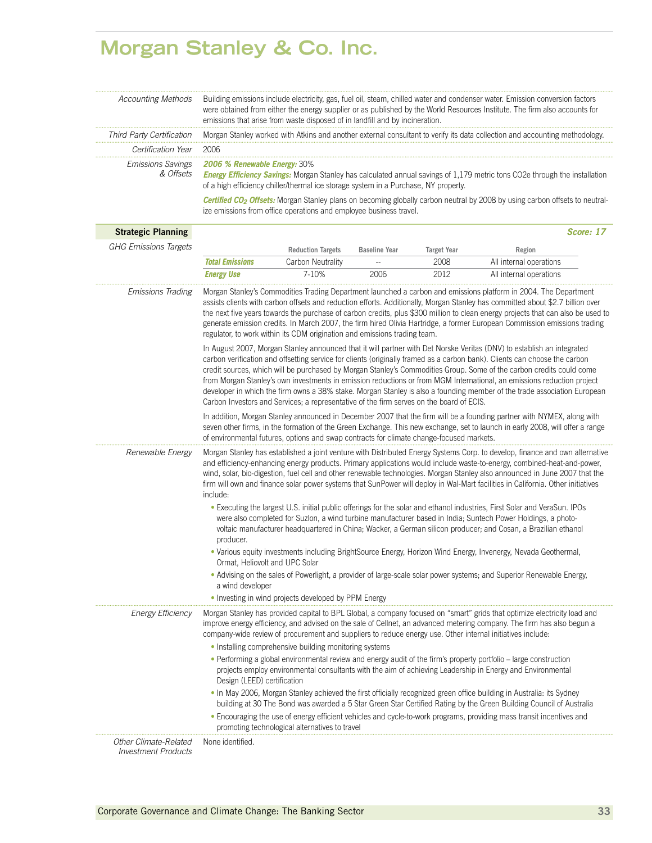### **Morgan Stanley & Co. Inc.**

| Accounting Methods                                  | Building emissions include electricity, gas, fuel oil, steam, chilled water and condenser water. Emission conversion factors<br>were obtained from either the energy supplier or as published by the World Resources Institute. The firm also accounts for<br>emissions that arise from waste disposed of in landfill and by incineration.                                                                                                                                                                                                                                                                                                                                                                                     |                                                                                          |                      |                    |                                                                                                                                                                                                                                                                                                                                                                                                                                                                                                                     |           |
|-----------------------------------------------------|--------------------------------------------------------------------------------------------------------------------------------------------------------------------------------------------------------------------------------------------------------------------------------------------------------------------------------------------------------------------------------------------------------------------------------------------------------------------------------------------------------------------------------------------------------------------------------------------------------------------------------------------------------------------------------------------------------------------------------|------------------------------------------------------------------------------------------|----------------------|--------------------|---------------------------------------------------------------------------------------------------------------------------------------------------------------------------------------------------------------------------------------------------------------------------------------------------------------------------------------------------------------------------------------------------------------------------------------------------------------------------------------------------------------------|-----------|
| Third Party Certification                           | Morgan Stanley worked with Atkins and another external consultant to verify its data collection and accounting methodology.                                                                                                                                                                                                                                                                                                                                                                                                                                                                                                                                                                                                    |                                                                                          |                      |                    |                                                                                                                                                                                                                                                                                                                                                                                                                                                                                                                     |           |
| Certification Year                                  | 2006                                                                                                                                                                                                                                                                                                                                                                                                                                                                                                                                                                                                                                                                                                                           |                                                                                          |                      |                    |                                                                                                                                                                                                                                                                                                                                                                                                                                                                                                                     |           |
| <b>Emissions Savings</b><br>& Offsets               | 2006 % Renewable Energy: 30%                                                                                                                                                                                                                                                                                                                                                                                                                                                                                                                                                                                                                                                                                                   | of a high efficiency chiller/thermal ice storage system in a Purchase, NY property.      |                      |                    | <b>Energy Efficiency Savings:</b> Morgan Stanley has calculated annual savings of 1,179 metric tons CO2e through the installation                                                                                                                                                                                                                                                                                                                                                                                   |           |
|                                                     |                                                                                                                                                                                                                                                                                                                                                                                                                                                                                                                                                                                                                                                                                                                                | ize emissions from office operations and employee business travel.                       |                      |                    | Certified CO <sub>2</sub> Offsets: Morgan Stanley plans on becoming globally carbon neutral by 2008 by using carbon offsets to neutral-                                                                                                                                                                                                                                                                                                                                                                             |           |
| <b>Strategic Planning</b>                           |                                                                                                                                                                                                                                                                                                                                                                                                                                                                                                                                                                                                                                                                                                                                |                                                                                          |                      |                    |                                                                                                                                                                                                                                                                                                                                                                                                                                                                                                                     | Score: 17 |
| <b>GHG Emissions Targets</b>                        |                                                                                                                                                                                                                                                                                                                                                                                                                                                                                                                                                                                                                                                                                                                                | <b>Reduction Targets</b>                                                                 | <b>Baseline Year</b> | <b>Target Year</b> | Region                                                                                                                                                                                                                                                                                                                                                                                                                                                                                                              |           |
|                                                     | <b>Total Emissions</b>                                                                                                                                                                                                                                                                                                                                                                                                                                                                                                                                                                                                                                                                                                         | Carbon Neutrality                                                                        |                      | 2008               | All internal operations                                                                                                                                                                                                                                                                                                                                                                                                                                                                                             |           |
|                                                     | <b>Energy Use</b>                                                                                                                                                                                                                                                                                                                                                                                                                                                                                                                                                                                                                                                                                                              | 7-10%                                                                                    | 2006                 | 2012               | All internal operations                                                                                                                                                                                                                                                                                                                                                                                                                                                                                             |           |
| Emissions Trading                                   |                                                                                                                                                                                                                                                                                                                                                                                                                                                                                                                                                                                                                                                                                                                                | regulator, to work within its CDM origination and emissions trading team.                |                      |                    | Morgan Stanley's Commodities Trading Department launched a carbon and emissions platform in 2004. The Department<br>assists clients with carbon offsets and reduction efforts. Additionally, Morgan Stanley has committed about \$2.7 billion over<br>the next five years towards the purchase of carbon credits, plus \$300 million to clean energy projects that can also be used to<br>generate emission credits. In March 2007, the firm hired Olivia Hartridge, a former European Commission emissions trading |           |
|                                                     | In August 2007, Morgan Stanley announced that it will partner with Det Norske Veritas (DNV) to establish an integrated<br>carbon verification and offsetting service for clients (originally framed as a carbon bank). Clients can choose the carbon<br>credit sources, which will be purchased by Morgan Stanley's Commodities Group. Some of the carbon credits could come<br>from Morgan Stanley's own investments in emission reductions or from MGM International, an emissions reduction project<br>developer in which the firm owns a 38% stake. Morgan Stanley is also a founding member of the trade association European<br>Carbon Investors and Services; a representative of the firm serves on the board of ECIS. |                                                                                          |                      |                    |                                                                                                                                                                                                                                                                                                                                                                                                                                                                                                                     |           |
|                                                     |                                                                                                                                                                                                                                                                                                                                                                                                                                                                                                                                                                                                                                                                                                                                | of environmental futures, options and swap contracts for climate change-focused markets. |                      |                    | In addition, Morgan Stanley announced in December 2007 that the firm will be a founding partner with NYMEX, along with<br>seven other firms, in the formation of the Green Exchange. This new exchange, set to launch in early 2008, will offer a range                                                                                                                                                                                                                                                             |           |
| Renewable Energy                                    | Morgan Stanley has established a joint venture with Distributed Energy Systems Corp. to develop, finance and own alternative<br>and efficiency-enhancing energy products. Primary applications would include waste-to-energy, combined-heat-and-power,<br>wind, solar, bio-digestion, fuel cell and other renewable technologies. Morgan Stanley also announced in June 2007 that the<br>firm will own and finance solar power systems that SunPower will deploy in Wal-Mart facilities in California. Other initiatives<br>include:                                                                                                                                                                                           |                                                                                          |                      |                    |                                                                                                                                                                                                                                                                                                                                                                                                                                                                                                                     |           |
|                                                     | . Executing the largest U.S. initial public offerings for the solar and ethanol industries, First Solar and VeraSun. IPOs<br>were also completed for Suzlon, a wind turbine manufacturer based in India; Suntech Power Holdings, a photo-<br>voltaic manufacturer headquartered in China; Wacker, a German silicon producer; and Cosan, a Brazilian ethanol<br>producer.                                                                                                                                                                                                                                                                                                                                                       |                                                                                          |                      |                    |                                                                                                                                                                                                                                                                                                                                                                                                                                                                                                                     |           |
|                                                     | . Various equity investments including BrightSource Energy, Horizon Wind Energy, Invenergy, Nevada Geothermal,<br>Ormat, Heliovolt and UPC Solar                                                                                                                                                                                                                                                                                                                                                                                                                                                                                                                                                                               |                                                                                          |                      |                    |                                                                                                                                                                                                                                                                                                                                                                                                                                                                                                                     |           |
|                                                     | . Advising on the sales of Powerlight, a provider of large-scale solar power systems; and Superior Renewable Energy,<br>a wind developer                                                                                                                                                                                                                                                                                                                                                                                                                                                                                                                                                                                       |                                                                                          |                      |                    |                                                                                                                                                                                                                                                                                                                                                                                                                                                                                                                     |           |
|                                                     |                                                                                                                                                                                                                                                                                                                                                                                                                                                                                                                                                                                                                                                                                                                                | • Investing in wind projects developed by PPM Energy                                     |                      |                    |                                                                                                                                                                                                                                                                                                                                                                                                                                                                                                                     |           |
| <b>Energy Efficiency</b>                            | Morgan Stanley has provided capital to BPL Global, a company focused on "smart" grids that optimize electricity load and<br>improve energy efficiency, and advised on the sale of Cellnet, an advanced metering company. The firm has also begun a<br>company-wide review of procurement and suppliers to reduce energy use. Other internal initiatives include:                                                                                                                                                                                                                                                                                                                                                               |                                                                                          |                      |                    |                                                                                                                                                                                                                                                                                                                                                                                                                                                                                                                     |           |
|                                                     | • Installing comprehensive building monitoring systems                                                                                                                                                                                                                                                                                                                                                                                                                                                                                                                                                                                                                                                                         |                                                                                          |                      |                    |                                                                                                                                                                                                                                                                                                                                                                                                                                                                                                                     |           |
|                                                     | • Performing a global environmental review and energy audit of the firm's property portfolio – large construction<br>projects employ environmental consultants with the aim of achieving Leadership in Energy and Environmental<br>Design (LEED) certification                                                                                                                                                                                                                                                                                                                                                                                                                                                                 |                                                                                          |                      |                    |                                                                                                                                                                                                                                                                                                                                                                                                                                                                                                                     |           |
|                                                     |                                                                                                                                                                                                                                                                                                                                                                                                                                                                                                                                                                                                                                                                                                                                |                                                                                          |                      |                    | . In May 2006, Morgan Stanley achieved the first officially recognized green office building in Australia: its Sydney<br>building at 30 The Bond was awarded a 5 Star Green Star Certified Rating by the Green Building Council of Australia                                                                                                                                                                                                                                                                        |           |
|                                                     |                                                                                                                                                                                                                                                                                                                                                                                                                                                                                                                                                                                                                                                                                                                                | promoting technological alternatives to travel                                           |                      |                    | • Encouraging the use of energy efficient vehicles and cycle-to-work programs, providing mass transit incentives and                                                                                                                                                                                                                                                                                                                                                                                                |           |
| Other Climate-Related<br><b>Investment Products</b> | None identified.                                                                                                                                                                                                                                                                                                                                                                                                                                                                                                                                                                                                                                                                                                               |                                                                                          |                      |                    |                                                                                                                                                                                                                                                                                                                                                                                                                                                                                                                     |           |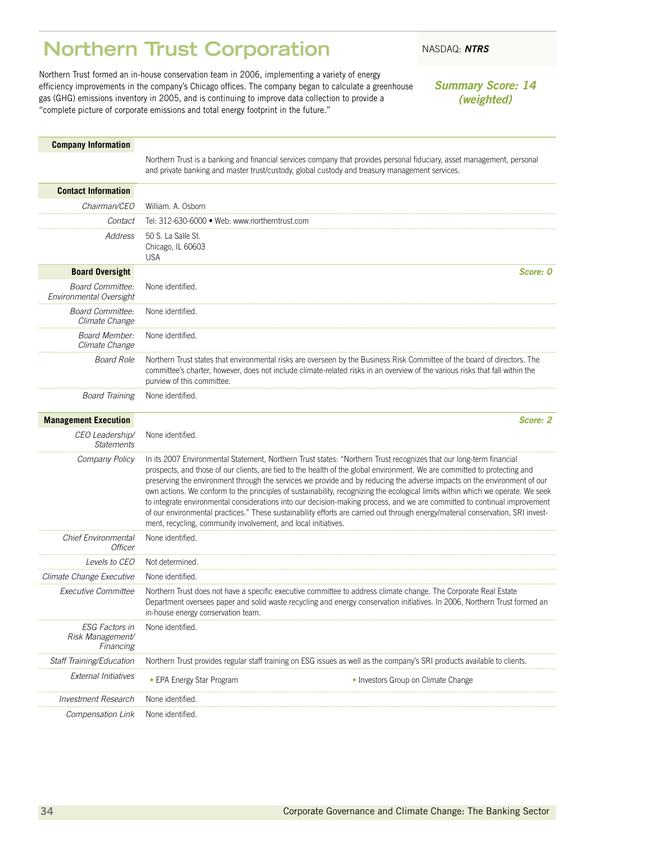### <span id="page-35-0"></span>**Northern Trust Corporation** NASDAQ: *NTRS*

Northern Trust formed an in-house conservation team in 2006, implementing a variety of energy efficiency improvements in the company's Chicago offices. The company began to calculate a greenhouse gas (GHG) emissions inventory in 2005, and is continuing to improve data collection to provide a "complete picture of corporate emissions and total energy footprint in the future."

*Summary Score: 14 (weighted)*

### **Company Information**

Northern Trust is a banking and financial services company that provides personal fiduciary, asset management, personal and private banking and master trust/custody, global custody and treasury management services.

| <b>Contact Information</b>                             |                                                                                                                                                                                                                                                                                                                                                                                                                                                                                                                                                                                                                                                                                                                                                                                                                                                   |          |
|--------------------------------------------------------|---------------------------------------------------------------------------------------------------------------------------------------------------------------------------------------------------------------------------------------------------------------------------------------------------------------------------------------------------------------------------------------------------------------------------------------------------------------------------------------------------------------------------------------------------------------------------------------------------------------------------------------------------------------------------------------------------------------------------------------------------------------------------------------------------------------------------------------------------|----------|
| Chairman/CEO                                           | William. A. Osborn                                                                                                                                                                                                                                                                                                                                                                                                                                                                                                                                                                                                                                                                                                                                                                                                                                |          |
| Contact                                                | Tel: 312-630-6000 · Web: www.northerntrust.com                                                                                                                                                                                                                                                                                                                                                                                                                                                                                                                                                                                                                                                                                                                                                                                                    |          |
| Address                                                | 50 S. La Salle St.<br>Chicago, IL 60603<br><b>USA</b>                                                                                                                                                                                                                                                                                                                                                                                                                                                                                                                                                                                                                                                                                                                                                                                             |          |
| <b>Board Oversight</b>                                 |                                                                                                                                                                                                                                                                                                                                                                                                                                                                                                                                                                                                                                                                                                                                                                                                                                                   | Score: 0 |
| <b>Board Committee:</b><br>Environmental Oversight     | None identified.                                                                                                                                                                                                                                                                                                                                                                                                                                                                                                                                                                                                                                                                                                                                                                                                                                  |          |
| <b>Board Committee:</b><br>Climate Change              | None identified.                                                                                                                                                                                                                                                                                                                                                                                                                                                                                                                                                                                                                                                                                                                                                                                                                                  |          |
| <b>Board Member:</b><br>Climate Change                 | None identified.                                                                                                                                                                                                                                                                                                                                                                                                                                                                                                                                                                                                                                                                                                                                                                                                                                  |          |
| <b>Board Role</b>                                      | Northern Trust states that environmental risks are overseen by the Business Risk Committee of the board of directors. The<br>committee's charter, however, does not include climate-related risks in an overview of the various risks that fall within the<br>purview of this committee.                                                                                                                                                                                                                                                                                                                                                                                                                                                                                                                                                          |          |
| Board Training                                         | None identified.                                                                                                                                                                                                                                                                                                                                                                                                                                                                                                                                                                                                                                                                                                                                                                                                                                  |          |
| <b>Management Execution</b>                            |                                                                                                                                                                                                                                                                                                                                                                                                                                                                                                                                                                                                                                                                                                                                                                                                                                                   | Score: 2 |
| CEO Leadership/<br><b>Statements</b>                   | None identified.                                                                                                                                                                                                                                                                                                                                                                                                                                                                                                                                                                                                                                                                                                                                                                                                                                  |          |
| Company Policy                                         | In its 2007 Environmental Statement, Northern Trust states: "Northern Trust recognizes that our long-term financial<br>prospects, and those of our clients, are tied to the health of the global environment. We are committed to protecting and<br>preserving the environment through the services we provide and by reducing the adverse impacts on the environment of our<br>own actions. We conform to the principles of sustainability, recognizing the ecological limits within which we operate. We seek<br>to integrate environmental considerations into our decision-making process, and we are committed to continual improvement<br>of our environmental practices." These sustainability efforts are carried out through energy/material conservation, SRI invest-<br>ment, recycling, community involvement, and local initiatives. |          |
| <b>Chief Environmental</b><br>Officer                  | None identified.                                                                                                                                                                                                                                                                                                                                                                                                                                                                                                                                                                                                                                                                                                                                                                                                                                  |          |
| Levels to CEO                                          | Not determined                                                                                                                                                                                                                                                                                                                                                                                                                                                                                                                                                                                                                                                                                                                                                                                                                                    |          |
| Climate Change Executive                               | None identified.                                                                                                                                                                                                                                                                                                                                                                                                                                                                                                                                                                                                                                                                                                                                                                                                                                  |          |
| Executive Committee                                    | Northern Trust does not have a specific executive committee to address climate change. The Corporate Real Estate<br>Department oversees paper and solid waste recycling and energy conservation initiatives. In 2006, Northern Trust formed an<br>in-house energy conservation team.                                                                                                                                                                                                                                                                                                                                                                                                                                                                                                                                                              |          |
| <b>ESG Factors in</b><br>Risk Management/<br>Financing | None identified.                                                                                                                                                                                                                                                                                                                                                                                                                                                                                                                                                                                                                                                                                                                                                                                                                                  |          |
| Staff Training/Education                               | Northern Trust provides regular staff training on ESG issues as well as the company's SRI products available to clients.                                                                                                                                                                                                                                                                                                                                                                                                                                                                                                                                                                                                                                                                                                                          |          |
| <b>External Initiatives</b>                            | • EPA Energy Star Program<br>• Investors Group on Climate Change                                                                                                                                                                                                                                                                                                                                                                                                                                                                                                                                                                                                                                                                                                                                                                                  |          |
| Investment Research                                    | None identified.                                                                                                                                                                                                                                                                                                                                                                                                                                                                                                                                                                                                                                                                                                                                                                                                                                  |          |
| Compensation Link                                      | None identified.                                                                                                                                                                                                                                                                                                                                                                                                                                                                                                                                                                                                                                                                                                                                                                                                                                  |          |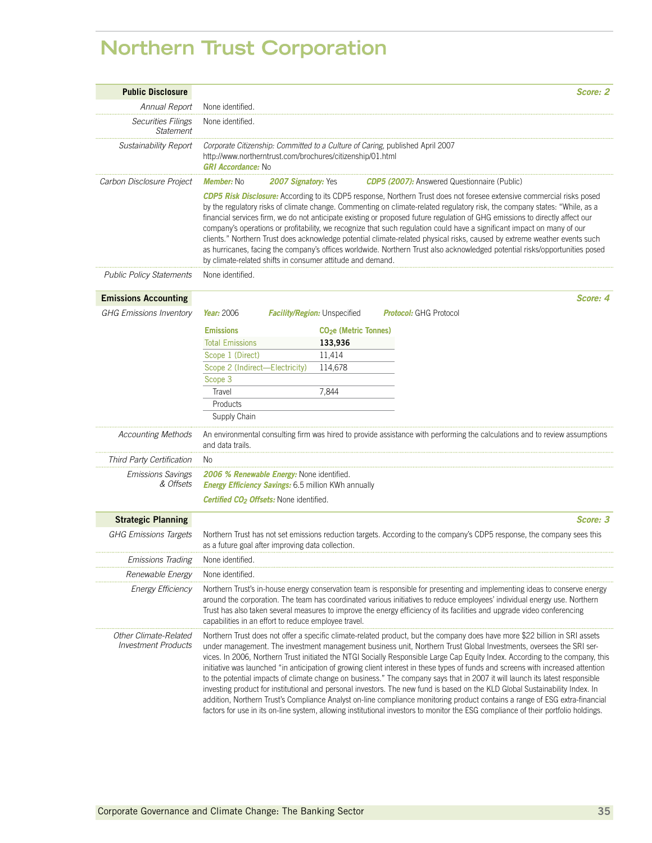# **Northern Trust Corporation**

| <b>Public Disclosure</b>                            | Score: 2                                                                                                                                                                                                                                                                                                                                                                                                                                                                                                                                                                                                                                                                                                                                                                                                                                                                                                                                                                                                                                                     |  |  |  |
|-----------------------------------------------------|--------------------------------------------------------------------------------------------------------------------------------------------------------------------------------------------------------------------------------------------------------------------------------------------------------------------------------------------------------------------------------------------------------------------------------------------------------------------------------------------------------------------------------------------------------------------------------------------------------------------------------------------------------------------------------------------------------------------------------------------------------------------------------------------------------------------------------------------------------------------------------------------------------------------------------------------------------------------------------------------------------------------------------------------------------------|--|--|--|
| Annual Report                                       | None identified.                                                                                                                                                                                                                                                                                                                                                                                                                                                                                                                                                                                                                                                                                                                                                                                                                                                                                                                                                                                                                                             |  |  |  |
| <b>Securities Filings</b><br><b>Statement</b>       | None identified.                                                                                                                                                                                                                                                                                                                                                                                                                                                                                                                                                                                                                                                                                                                                                                                                                                                                                                                                                                                                                                             |  |  |  |
| Sustainability Report                               | Corporate Citizenship: Committed to a Culture of Caring, published April 2007<br>http://www.northerntrust.com/brochures/citizenship/01.html<br><b>GRI Accordance: No</b>                                                                                                                                                                                                                                                                                                                                                                                                                                                                                                                                                                                                                                                                                                                                                                                                                                                                                     |  |  |  |
| Carbon Disclosure Project                           | <b>CDP5 (2007):</b> Answered Questionnaire (Public)<br><b>Member: No</b><br><b>2007 Signatory: Yes</b>                                                                                                                                                                                                                                                                                                                                                                                                                                                                                                                                                                                                                                                                                                                                                                                                                                                                                                                                                       |  |  |  |
|                                                     | <b>CDP5 Risk Disclosure:</b> According to its CDP5 response, Northern Trust does not foresee extensive commercial risks posed<br>by the regulatory risks of climate change. Commenting on climate-related regulatory risk, the company states: "While, as a<br>financial services firm, we do not anticipate existing or proposed future regulation of GHG emissions to directly affect our<br>company's operations or profitability, we recognize that such regulation could have a significant impact on many of our<br>clients." Northern Trust does acknowledge potential climate-related physical risks, caused by extreme weather events such<br>as hurricanes, facing the company's offices worldwide. Northern Trust also acknowledged potential risks/opportunities posed<br>by climate-related shifts in consumer attitude and demand.                                                                                                                                                                                                             |  |  |  |
| <b>Public Policy Statements</b>                     | None identified.                                                                                                                                                                                                                                                                                                                                                                                                                                                                                                                                                                                                                                                                                                                                                                                                                                                                                                                                                                                                                                             |  |  |  |
| <b>Emissions Accounting</b>                         | Score: 4                                                                                                                                                                                                                                                                                                                                                                                                                                                                                                                                                                                                                                                                                                                                                                                                                                                                                                                                                                                                                                                     |  |  |  |
| <b>GHG Emissions Inventory</b>                      | Year: 2006<br><b>Protocol:</b> GHG Protocol<br><b>Facility/Region:</b> Unspecified                                                                                                                                                                                                                                                                                                                                                                                                                                                                                                                                                                                                                                                                                                                                                                                                                                                                                                                                                                           |  |  |  |
|                                                     | <b>Emissions</b><br><b>CO<sub>2</sub>e</b> (Metric Tonnes)                                                                                                                                                                                                                                                                                                                                                                                                                                                                                                                                                                                                                                                                                                                                                                                                                                                                                                                                                                                                   |  |  |  |
|                                                     | <b>Total Emissions</b><br>133,936                                                                                                                                                                                                                                                                                                                                                                                                                                                                                                                                                                                                                                                                                                                                                                                                                                                                                                                                                                                                                            |  |  |  |
|                                                     | Scope 1 (Direct)<br>11,414                                                                                                                                                                                                                                                                                                                                                                                                                                                                                                                                                                                                                                                                                                                                                                                                                                                                                                                                                                                                                                   |  |  |  |
|                                                     | Scope 2 (Indirect-Electricity)<br>114,678                                                                                                                                                                                                                                                                                                                                                                                                                                                                                                                                                                                                                                                                                                                                                                                                                                                                                                                                                                                                                    |  |  |  |
|                                                     | Scope 3                                                                                                                                                                                                                                                                                                                                                                                                                                                                                                                                                                                                                                                                                                                                                                                                                                                                                                                                                                                                                                                      |  |  |  |
|                                                     | Travel<br>7,844                                                                                                                                                                                                                                                                                                                                                                                                                                                                                                                                                                                                                                                                                                                                                                                                                                                                                                                                                                                                                                              |  |  |  |
|                                                     | Products                                                                                                                                                                                                                                                                                                                                                                                                                                                                                                                                                                                                                                                                                                                                                                                                                                                                                                                                                                                                                                                     |  |  |  |
|                                                     | Supply Chain                                                                                                                                                                                                                                                                                                                                                                                                                                                                                                                                                                                                                                                                                                                                                                                                                                                                                                                                                                                                                                                 |  |  |  |
| <b>Accounting Methods</b>                           | An environmental consulting firm was hired to provide assistance with performing the calculations and to review assumptions<br>and data trails.                                                                                                                                                                                                                                                                                                                                                                                                                                                                                                                                                                                                                                                                                                                                                                                                                                                                                                              |  |  |  |
| Third Party Certification                           | No.                                                                                                                                                                                                                                                                                                                                                                                                                                                                                                                                                                                                                                                                                                                                                                                                                                                                                                                                                                                                                                                          |  |  |  |
| <b>Emissions Savings</b><br>& Offsets               | 2006 % Renewable Energy: None identified.<br><b>Energy Efficiency Savings:</b> 6.5 million KWh annually                                                                                                                                                                                                                                                                                                                                                                                                                                                                                                                                                                                                                                                                                                                                                                                                                                                                                                                                                      |  |  |  |
|                                                     | <b>Certified CO<sub>2</sub> Offsets:</b> None identified.                                                                                                                                                                                                                                                                                                                                                                                                                                                                                                                                                                                                                                                                                                                                                                                                                                                                                                                                                                                                    |  |  |  |
| <b>Strategic Planning</b>                           | Score: 3                                                                                                                                                                                                                                                                                                                                                                                                                                                                                                                                                                                                                                                                                                                                                                                                                                                                                                                                                                                                                                                     |  |  |  |
| <b>GHG Emissions Targets</b>                        | Northern Trust has not set emissions reduction targets. According to the company's CDP5 response, the company sees this<br>as a future goal after improving data collection.                                                                                                                                                                                                                                                                                                                                                                                                                                                                                                                                                                                                                                                                                                                                                                                                                                                                                 |  |  |  |
| <b>Emissions Trading</b>                            | None identified.                                                                                                                                                                                                                                                                                                                                                                                                                                                                                                                                                                                                                                                                                                                                                                                                                                                                                                                                                                                                                                             |  |  |  |
| Renewable Energy                                    | None identified                                                                                                                                                                                                                                                                                                                                                                                                                                                                                                                                                                                                                                                                                                                                                                                                                                                                                                                                                                                                                                              |  |  |  |
| <b>Energy Efficiency</b>                            | Northern Trust's in-house energy conservation team is responsible for presenting and implementing ideas to conserve energy<br>around the corporation. The team has coordinated various initiatives to reduce employees' individual energy use. Northern<br>Trust has also taken several measures to improve the energy efficiency of its facilities and upgrade video conferencing<br>capabilities in an effort to reduce employee travel.                                                                                                                                                                                                                                                                                                                                                                                                                                                                                                                                                                                                                   |  |  |  |
| Other Climate-Related<br><b>Investment Products</b> | Northern Trust does not offer a specific climate-related product, but the company does have more \$22 billion in SRI assets<br>under management. The investment management business unit, Northern Trust Global Investments, oversees the SRI ser-<br>vices. In 2006, Northern Trust initiated the NTGI Socially Responsible Large Cap Equity Index. According to the company, this<br>initiative was launched "in anticipation of growing client interest in these types of funds and screens with increased attention<br>to the potential impacts of climate change on business." The company says that in 2007 it will launch its latest responsible<br>investing product for institutional and personal investors. The new fund is based on the KLD Global Sustainability Index. In<br>addition, Northern Trust's Compliance Analyst on-line compliance monitoring product contains a range of ESG extra-financial<br>factors for use in its on-line system, allowing institutional investors to monitor the ESG compliance of their portfolio holdings. |  |  |  |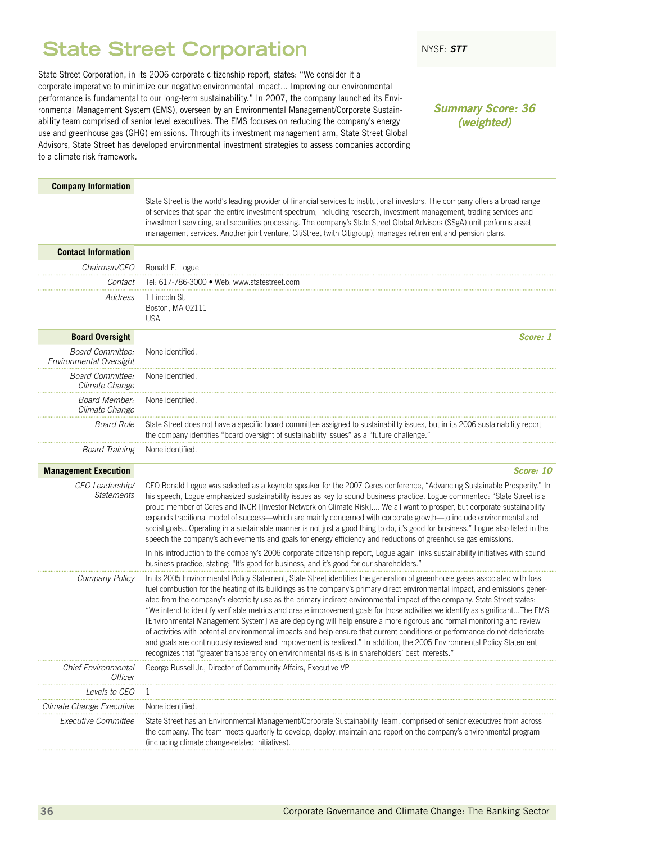### <span id="page-37-0"></span>**State Street Corporation** NYSE: STT

State Street Corporation, in its 2006 corporate citizenship report, states: "We consider it a corporate imperative to minimize our negative environmental impact... Improving our environmental performance is fundamental to our long-term sustainability." In 2007, the company launched its Environmental Management System (EMS), overseen by an Environmental Management/Corporate Sustainability team comprised of senior level executives. The EMS focuses on reducing the company's energy use and greenhouse gas (GHG) emissions. Through its investment management arm, State Street Global Advisors, State Street has developed environmental investment strategies to assess companies according to a climate risk framework.

### *Summary Score: 36 (weighted)*

#### **Company Information**

State Street is the world's leading provider of financial services to institutional investors. The company offers a broad range of services that span the entire investment spectrum, including research, investment management, trading services and investment servicing, and securities processing. The company's State Street Global Advisors (SSgA) unit performs asset management services. Another joint venture, CitiStreet (with Citigroup), manages retirement and pension plans.

| <b>Contact Information</b>                         |                                                                                                                                                                                                                                                                                                                                                                                                                                                                                                                                                                                                                                                                                                                                                                                                                                                                                                                                                                                                                   |
|----------------------------------------------------|-------------------------------------------------------------------------------------------------------------------------------------------------------------------------------------------------------------------------------------------------------------------------------------------------------------------------------------------------------------------------------------------------------------------------------------------------------------------------------------------------------------------------------------------------------------------------------------------------------------------------------------------------------------------------------------------------------------------------------------------------------------------------------------------------------------------------------------------------------------------------------------------------------------------------------------------------------------------------------------------------------------------|
| Chairman/CEO                                       | Ronald E. Logue                                                                                                                                                                                                                                                                                                                                                                                                                                                                                                                                                                                                                                                                                                                                                                                                                                                                                                                                                                                                   |
| Contact                                            | Tel: 617-786-3000 · Web: www.statestreet.com                                                                                                                                                                                                                                                                                                                                                                                                                                                                                                                                                                                                                                                                                                                                                                                                                                                                                                                                                                      |
| Address                                            | 1 Lincoln St.<br>Boston, MA 02111<br><b>USA</b>                                                                                                                                                                                                                                                                                                                                                                                                                                                                                                                                                                                                                                                                                                                                                                                                                                                                                                                                                                   |
| <b>Board Oversight</b>                             | Score: 1                                                                                                                                                                                                                                                                                                                                                                                                                                                                                                                                                                                                                                                                                                                                                                                                                                                                                                                                                                                                          |
| <b>Board Committee:</b><br>Environmental Oversight | None identified.                                                                                                                                                                                                                                                                                                                                                                                                                                                                                                                                                                                                                                                                                                                                                                                                                                                                                                                                                                                                  |
| <b>Board Committee:</b><br>Climate Change          | None identified.                                                                                                                                                                                                                                                                                                                                                                                                                                                                                                                                                                                                                                                                                                                                                                                                                                                                                                                                                                                                  |
| Board Member:<br>Climate Change                    | None identified.                                                                                                                                                                                                                                                                                                                                                                                                                                                                                                                                                                                                                                                                                                                                                                                                                                                                                                                                                                                                  |
| <b>Board Role</b>                                  | State Street does not have a specific board committee assigned to sustainability issues, but in its 2006 sustainability report<br>the company identifies "board oversight of sustainability issues" as a "future challenge."                                                                                                                                                                                                                                                                                                                                                                                                                                                                                                                                                                                                                                                                                                                                                                                      |
| <b>Board Training</b>                              | None identified.                                                                                                                                                                                                                                                                                                                                                                                                                                                                                                                                                                                                                                                                                                                                                                                                                                                                                                                                                                                                  |
| <b>Management Execution</b>                        | Score: 10                                                                                                                                                                                                                                                                                                                                                                                                                                                                                                                                                                                                                                                                                                                                                                                                                                                                                                                                                                                                         |
| CEO Leadership/<br><b>Statements</b>               | CEO Ronald Logue was selected as a keynote speaker for the 2007 Ceres conference, "Advancing Sustainable Prosperity." In<br>his speech, Logue emphasized sustainability issues as key to sound business practice. Logue commented: "State Street is a<br>proud member of Ceres and INCR [Investor Network on Climate Risk] We all want to prosper, but corporate sustainability<br>expands traditional model of success-which are mainly concerned with corporate growth-to include environmental and<br>social goalsOperating in a sustainable manner is not just a good thing to do, it's good for business." Logue also listed in the<br>speech the company's achievements and goals for energy efficiency and reductions of greenhouse gas emissions.                                                                                                                                                                                                                                                         |
|                                                    | In his introduction to the company's 2006 corporate citizenship report, Logue again links sustainability initiatives with sound<br>business practice, stating: "It's good for business, and it's good for our shareholders."                                                                                                                                                                                                                                                                                                                                                                                                                                                                                                                                                                                                                                                                                                                                                                                      |
| Company Policy                                     | In its 2005 Environmental Policy Statement, State Street identifies the generation of greenhouse gases associated with fossil<br>fuel combustion for the heating of its buildings as the company's primary direct environmental impact, and emissions gener-<br>ated from the company's electricity use as the primary indirect environmental impact of the company. State Street states:<br>"We intend to identify verifiable metrics and create improvement goals for those activities we identify as significantThe EMS<br>[Environmental Management System] we are deploying will help ensure a more rigorous and formal monitoring and review<br>of activities with potential environmental impacts and help ensure that current conditions or performance do not deteriorate<br>and goals are continuously reviewed and improvement is realized." In addition, the 2005 Environmental Policy Statement<br>recognizes that "greater transparency on environmental risks is in shareholders' best interests." |
| Chief Environmental<br><b>Officer</b>              | George Russell Jr., Director of Community Affairs, Executive VP                                                                                                                                                                                                                                                                                                                                                                                                                                                                                                                                                                                                                                                                                                                                                                                                                                                                                                                                                   |
| Levels to CEO                                      | $\mathbf{1}$                                                                                                                                                                                                                                                                                                                                                                                                                                                                                                                                                                                                                                                                                                                                                                                                                                                                                                                                                                                                      |
| Climate Change Executive                           | None identified.                                                                                                                                                                                                                                                                                                                                                                                                                                                                                                                                                                                                                                                                                                                                                                                                                                                                                                                                                                                                  |
| Executive Committee                                | State Street has an Environmental Management/Corporate Sustainability Team, comprised of senior executives from across<br>the company. The team meets quarterly to develop, deploy, maintain and report on the company's environmental program<br>(including climate change-related initiatives).                                                                                                                                                                                                                                                                                                                                                                                                                                                                                                                                                                                                                                                                                                                 |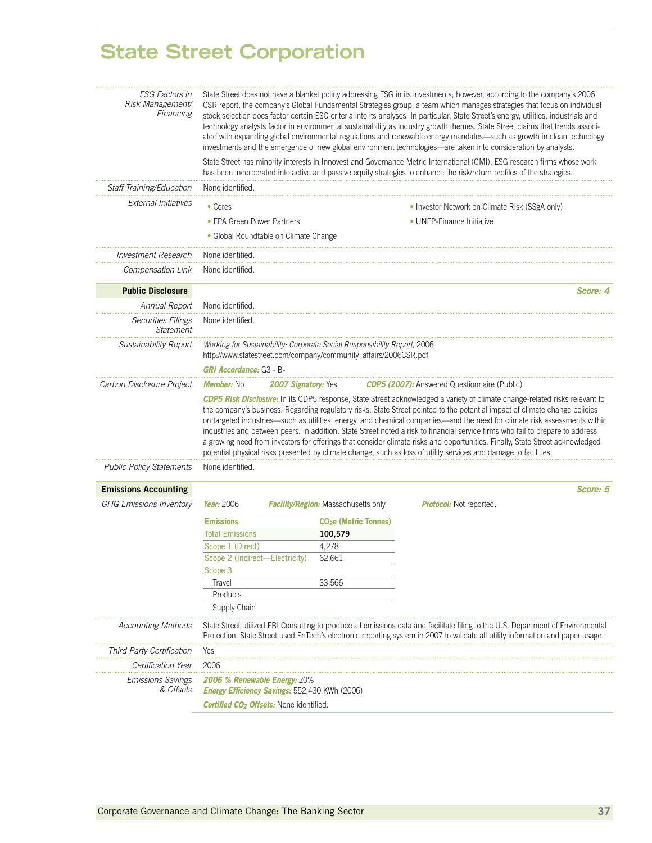### **State Street Corporation**

| <b>ESG Factors in</b><br>Risk Management/<br>Financing        |                                                                                                                                              |                                            | State Street does not have a blanket policy addressing ESG in its investments; however, according to the company's 2006<br>CSR report, the company's Global Fundamental Strategies group, a team which manages strategies that focus on individual<br>stock selection does factor certain ESG criteria into its analyses. In particular, State Street's energy, utilities, industrials and<br>technology analysts factor in environmental sustainability as industry growth themes. State Street claims that trends associ-<br>ated with expanding global environmental regulations and renewable energy mandates—such as growth in clean technology<br>investments and the emergence of new global environment technologies—are taken into consideration by analysts. |          |
|---------------------------------------------------------------|----------------------------------------------------------------------------------------------------------------------------------------------|--------------------------------------------|------------------------------------------------------------------------------------------------------------------------------------------------------------------------------------------------------------------------------------------------------------------------------------------------------------------------------------------------------------------------------------------------------------------------------------------------------------------------------------------------------------------------------------------------------------------------------------------------------------------------------------------------------------------------------------------------------------------------------------------------------------------------|----------|
|                                                               |                                                                                                                                              |                                            | State Street has minority interests in Innovest and Governance Metric International (GMI), ESG research firms whose work<br>has been incorporated into active and passive equity strategies to enhance the risk/return profiles of the strategies.                                                                                                                                                                                                                                                                                                                                                                                                                                                                                                                     |          |
| Staff Training/Education                                      | None identified.                                                                                                                             |                                            |                                                                                                                                                                                                                                                                                                                                                                                                                                                                                                                                                                                                                                                                                                                                                                        |          |
| <b>External Initiatives</b>                                   | • Ceres                                                                                                                                      |                                            | • Investor Network on Climate Risk (SSgA only)                                                                                                                                                                                                                                                                                                                                                                                                                                                                                                                                                                                                                                                                                                                         |          |
|                                                               | • EPA Green Power Partners                                                                                                                   |                                            | • UNEP-Finance Initiative                                                                                                                                                                                                                                                                                                                                                                                                                                                                                                                                                                                                                                                                                                                                              |          |
|                                                               | • Global Roundtable on Climate Change                                                                                                        |                                            |                                                                                                                                                                                                                                                                                                                                                                                                                                                                                                                                                                                                                                                                                                                                                                        |          |
| <b>Investment Research</b>                                    | None identified                                                                                                                              |                                            |                                                                                                                                                                                                                                                                                                                                                                                                                                                                                                                                                                                                                                                                                                                                                                        |          |
| Compensation Link                                             | None identified.                                                                                                                             |                                            |                                                                                                                                                                                                                                                                                                                                                                                                                                                                                                                                                                                                                                                                                                                                                                        |          |
| <b>Public Disclosure</b>                                      |                                                                                                                                              |                                            |                                                                                                                                                                                                                                                                                                                                                                                                                                                                                                                                                                                                                                                                                                                                                                        | Score: 4 |
| Annual Report                                                 | None identified.                                                                                                                             |                                            |                                                                                                                                                                                                                                                                                                                                                                                                                                                                                                                                                                                                                                                                                                                                                                        |          |
| <b>Securities Filings</b><br><b>Statement</b>                 | None identified.                                                                                                                             |                                            |                                                                                                                                                                                                                                                                                                                                                                                                                                                                                                                                                                                                                                                                                                                                                                        |          |
| <b>Sustainability Report</b>                                  | Working for Sustainability: Corporate Social Responsibility Report, 2006<br>http://www.statestreet.com/company/community_affairs/2006CSR.pdf |                                            |                                                                                                                                                                                                                                                                                                                                                                                                                                                                                                                                                                                                                                                                                                                                                                        |          |
|                                                               | <b>GRI Accordance: G3 - B-</b>                                                                                                               |                                            |                                                                                                                                                                                                                                                                                                                                                                                                                                                                                                                                                                                                                                                                                                                                                                        |          |
|                                                               |                                                                                                                                              |                                            |                                                                                                                                                                                                                                                                                                                                                                                                                                                                                                                                                                                                                                                                                                                                                                        |          |
| Carbon Disclosure Project                                     | <b>Member:</b> No                                                                                                                            | <b>2007 Signatory: Yes</b>                 | <b>CDP5 (2007):</b> Answered Questionnaire (Public)<br>CDP5 Risk Disclosure: In its CDP5 response, State Street acknowledged a variety of climate change-related risks relevant to                                                                                                                                                                                                                                                                                                                                                                                                                                                                                                                                                                                     |          |
|                                                               |                                                                                                                                              |                                            | the company's business. Regarding regulatory risks, State Street pointed to the potential impact of climate change policies<br>on targeted industries—such as utilities, energy, and chemical companies—and the need for climate risk assessments within<br>industries and between peers. In addition, State Street noted a risk to financial service firms who fail to prepare to address<br>a growing need from investors for offerings that consider climate risks and opportunities. Finally, State Street acknowledged<br>potential physical risks presented by climate change, such as loss of utility services and damage to facilities.                                                                                                                        |          |
| <b>Public Policy Statements</b>                               | None identified.                                                                                                                             |                                            |                                                                                                                                                                                                                                                                                                                                                                                                                                                                                                                                                                                                                                                                                                                                                                        |          |
|                                                               |                                                                                                                                              |                                            |                                                                                                                                                                                                                                                                                                                                                                                                                                                                                                                                                                                                                                                                                                                                                                        | Score: 5 |
| <b>Emissions Accounting</b><br><b>GHG Emissions Inventory</b> | Year: 2006                                                                                                                                   | <b>Facility/Region:</b> Massachusetts only | <b>Protocol:</b> Not reported.                                                                                                                                                                                                                                                                                                                                                                                                                                                                                                                                                                                                                                                                                                                                         |          |
|                                                               |                                                                                                                                              |                                            |                                                                                                                                                                                                                                                                                                                                                                                                                                                                                                                                                                                                                                                                                                                                                                        |          |
|                                                               | <b>Emissions</b>                                                                                                                             | <b>CO<sub>2</sub>e</b> (Metric Tonnes)     |                                                                                                                                                                                                                                                                                                                                                                                                                                                                                                                                                                                                                                                                                                                                                                        |          |
|                                                               | <b>Total Emissions</b>                                                                                                                       | 100,579                                    |                                                                                                                                                                                                                                                                                                                                                                                                                                                                                                                                                                                                                                                                                                                                                                        |          |
|                                                               | Scope 1 (Direct)                                                                                                                             | 4,278                                      |                                                                                                                                                                                                                                                                                                                                                                                                                                                                                                                                                                                                                                                                                                                                                                        |          |
|                                                               | Scope 2 (Indirect-Electricity)<br>Scope 3                                                                                                    | 62,661                                     |                                                                                                                                                                                                                                                                                                                                                                                                                                                                                                                                                                                                                                                                                                                                                                        |          |
|                                                               | Travel                                                                                                                                       | 33,566                                     |                                                                                                                                                                                                                                                                                                                                                                                                                                                                                                                                                                                                                                                                                                                                                                        |          |
|                                                               | Products                                                                                                                                     |                                            |                                                                                                                                                                                                                                                                                                                                                                                                                                                                                                                                                                                                                                                                                                                                                                        |          |
|                                                               | Supply Chain                                                                                                                                 |                                            |                                                                                                                                                                                                                                                                                                                                                                                                                                                                                                                                                                                                                                                                                                                                                                        |          |
| <b>Accounting Methods</b>                                     |                                                                                                                                              |                                            | State Street utilized EBI Consulting to produce all emissions data and facilitate filing to the U.S. Department of Environmental<br>Protection. State Street used EnTech's electronic reporting system in 2007 to validate all utility information and paper usage.                                                                                                                                                                                                                                                                                                                                                                                                                                                                                                    |          |
| Third Party Certification                                     | Yes                                                                                                                                          |                                            |                                                                                                                                                                                                                                                                                                                                                                                                                                                                                                                                                                                                                                                                                                                                                                        |          |
| Certification Year                                            | 2006                                                                                                                                         |                                            |                                                                                                                                                                                                                                                                                                                                                                                                                                                                                                                                                                                                                                                                                                                                                                        |          |
| <b>Emissions Savings</b><br>& Offsets                         | <b>2006 % Renewable Energy: 20%</b><br>Energy Efficiency Savings: 552,430 KWh (2006)                                                         |                                            |                                                                                                                                                                                                                                                                                                                                                                                                                                                                                                                                                                                                                                                                                                                                                                        |          |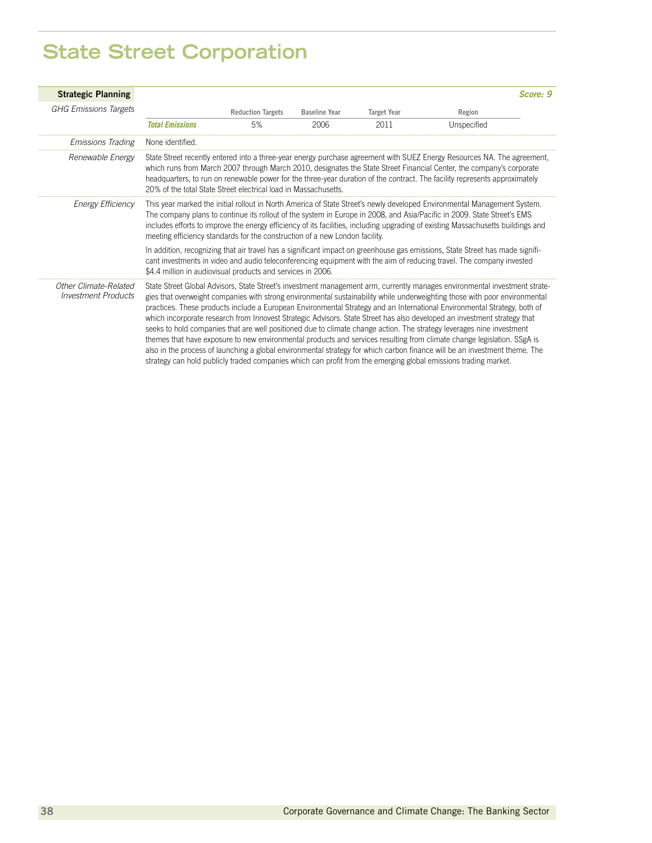# **State Street Corporation**

| <b>Strategic Planning</b>                           |                                                                             |                          |                      |                    |                                                                                                                                                                                                                                                                                                                                                                                                                                                                                                                                                                                                                                                                                                                                                                                                                                                                                                                                                                                                                       | Score: 9 |
|-----------------------------------------------------|-----------------------------------------------------------------------------|--------------------------|----------------------|--------------------|-----------------------------------------------------------------------------------------------------------------------------------------------------------------------------------------------------------------------------------------------------------------------------------------------------------------------------------------------------------------------------------------------------------------------------------------------------------------------------------------------------------------------------------------------------------------------------------------------------------------------------------------------------------------------------------------------------------------------------------------------------------------------------------------------------------------------------------------------------------------------------------------------------------------------------------------------------------------------------------------------------------------------|----------|
| <b>GHG Emissions Targets</b>                        |                                                                             | <b>Reduction Targets</b> | <b>Baseline Year</b> | <b>Target Year</b> | Region                                                                                                                                                                                                                                                                                                                                                                                                                                                                                                                                                                                                                                                                                                                                                                                                                                                                                                                                                                                                                |          |
|                                                     | <b>Total Emissions</b>                                                      | 5%                       | 2006                 | 2011               | Unspecified                                                                                                                                                                                                                                                                                                                                                                                                                                                                                                                                                                                                                                                                                                                                                                                                                                                                                                                                                                                                           |          |
| <i><b>Emissions Trading</b></i>                     | None identified.                                                            |                          |                      |                    |                                                                                                                                                                                                                                                                                                                                                                                                                                                                                                                                                                                                                                                                                                                                                                                                                                                                                                                                                                                                                       |          |
| Renewable Energy                                    | 20% of the total State Street electrical load in Massachusetts.             |                          |                      |                    | State Street recently entered into a three-year energy purchase agreement with SUEZ Energy Resources NA. The agreement,<br>which runs from March 2007 through March 2010, designates the State Street Financial Center, the company's corporate<br>headquarters, to run on renewable power for the three-year duration of the contract. The facility represents approximately                                                                                                                                                                                                                                                                                                                                                                                                                                                                                                                                                                                                                                         |          |
| Energy Efficiency                                   | meeting efficiency standards for the construction of a new London facility. |                          |                      |                    | This year marked the initial rollout in North America of State Street's newly developed Environmental Management System.<br>The company plans to continue its rollout of the system in Europe in 2008, and Asia/Pacific in 2009. State Street's EMS<br>includes efforts to improve the energy efficiency of its facilities, including upgrading of existing Massachusetts buildings and                                                                                                                                                                                                                                                                                                                                                                                                                                                                                                                                                                                                                               |          |
|                                                     | \$4.4 million in audiovisual products and services in 2006.                 |                          |                      |                    | In addition, recognizing that air travel has a significant impact on greenhouse gas emissions, State Street has made signifi-<br>cant investments in video and audio teleconferencing equipment with the aim of reducing travel. The company invested                                                                                                                                                                                                                                                                                                                                                                                                                                                                                                                                                                                                                                                                                                                                                                 |          |
| Other Climate-Related<br><b>Investment Products</b> |                                                                             |                          |                      |                    | State Street Global Advisors, State Street's investment management arm, currently manages environmental investment strate-<br>gies that overweight companies with strong environmental sustainability while underweighting those with poor environmental<br>practices. These products include a European Environmental Strategy and an International Environmental Strategy, both of<br>which incorporate research from Innovest Strategic Advisors. State Street has also developed an investment strategy that<br>seeks to hold companies that are well positioned due to climate change action. The strategy leverages nine investment<br>themes that have exposure to new environmental products and services resulting from climate change legislation. SSgA is<br>also in the process of launching a global environmental strategy for which carbon finance will be an investment theme. The<br>strategy can hold publicly traded companies which can profit from the emerging global emissions trading market. |          |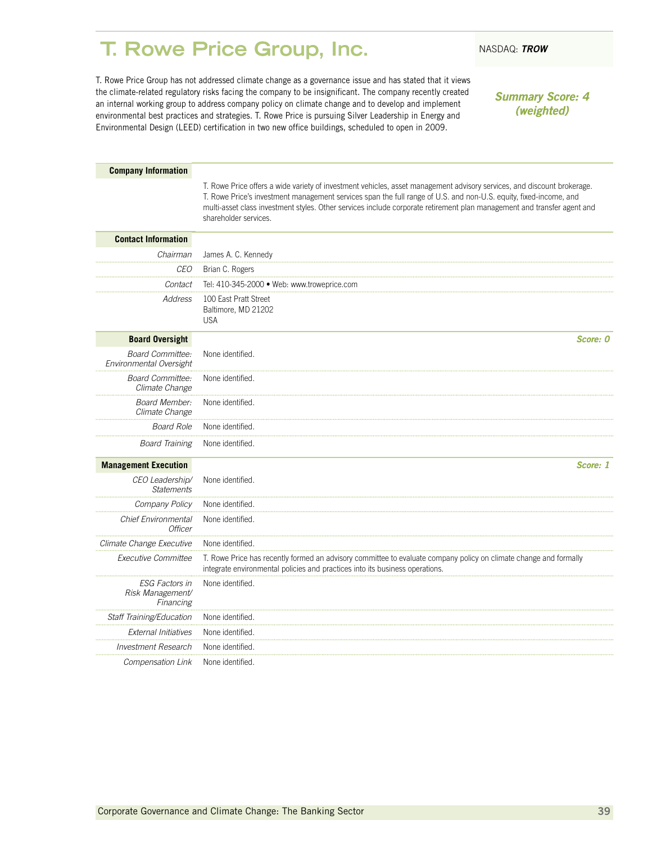### <span id="page-40-0"></span>**T. Rowe Price Group, Inc.** NASDAQ: TROW

T. Rowe Price Group has not addressed climate change as a governance issue and has stated that it views the climate-related regulatory risks facing the company to be insignificant. The company recently created an internal working group to address company policy on climate change and to develop and implement environmental best practices and strategies. T. Rowe Price is pursuing Silver Leadership in Energy and Environmental Design (LEED) certification in two new office buildings, scheduled to open in 2009.

*Summary Score: 4 (weighted)*

| <b>Company Information</b>                             |                                                                                                                                                                                                                                                                                                                                                                                                  |
|--------------------------------------------------------|--------------------------------------------------------------------------------------------------------------------------------------------------------------------------------------------------------------------------------------------------------------------------------------------------------------------------------------------------------------------------------------------------|
|                                                        | T. Rowe Price offers a wide variety of investment vehicles, asset management advisory services, and discount brokerage.<br>T. Rowe Price's investment management services span the full range of U.S. and non-U.S. equity, fixed-income, and<br>multi-asset class investment styles. Other services include corporate retirement plan management and transfer agent and<br>shareholder services. |
| <b>Contact Information</b>                             |                                                                                                                                                                                                                                                                                                                                                                                                  |
| Chairman                                               | James A. C. Kennedy                                                                                                                                                                                                                                                                                                                                                                              |
| CEO                                                    | Brian C. Rogers                                                                                                                                                                                                                                                                                                                                                                                  |
| Contact                                                | Tel: 410-345-2000 · Web: www.troweprice.com                                                                                                                                                                                                                                                                                                                                                      |
| Address                                                | 100 East Pratt Street<br>Baltimore, MD 21202<br><b>USA</b>                                                                                                                                                                                                                                                                                                                                       |
| <b>Board Oversight</b>                                 | Score: 0                                                                                                                                                                                                                                                                                                                                                                                         |
| <b>Board Committee:</b><br>Environmental Oversight     | None identified.                                                                                                                                                                                                                                                                                                                                                                                 |
| <b>Board Committee:</b><br>Climate Change              | None identified.                                                                                                                                                                                                                                                                                                                                                                                 |
| <b>Board Member:</b><br>Climate Change                 | None identified.                                                                                                                                                                                                                                                                                                                                                                                 |
| <b>Board Role</b>                                      | None identified.                                                                                                                                                                                                                                                                                                                                                                                 |
| <b>Board Training</b>                                  | None identified.                                                                                                                                                                                                                                                                                                                                                                                 |
| <b>Management Execution</b>                            | Score: 1                                                                                                                                                                                                                                                                                                                                                                                         |
| CEO Leadership/<br><b>Statements</b>                   | None identified.                                                                                                                                                                                                                                                                                                                                                                                 |
| Company Policy                                         | None identified.                                                                                                                                                                                                                                                                                                                                                                                 |
| <b>Chief Environmental</b><br><b>Officer</b>           | None identified.                                                                                                                                                                                                                                                                                                                                                                                 |
| Climate Change Executive                               | None identified.                                                                                                                                                                                                                                                                                                                                                                                 |
| Executive Committee                                    | T. Rowe Price has recently formed an advisory committee to evaluate company policy on climate change and formally<br>integrate environmental policies and practices into its business operations.                                                                                                                                                                                                |
| <b>ESG Factors in</b><br>Risk Management/<br>Financing | None identified.                                                                                                                                                                                                                                                                                                                                                                                 |
| Staff Training/Education                               | None identified.                                                                                                                                                                                                                                                                                                                                                                                 |
| <b>External Initiatives</b>                            | None identified.                                                                                                                                                                                                                                                                                                                                                                                 |
| <b>Investment Research</b>                             | None identified.                                                                                                                                                                                                                                                                                                                                                                                 |
| Compensation Link                                      | None identified.                                                                                                                                                                                                                                                                                                                                                                                 |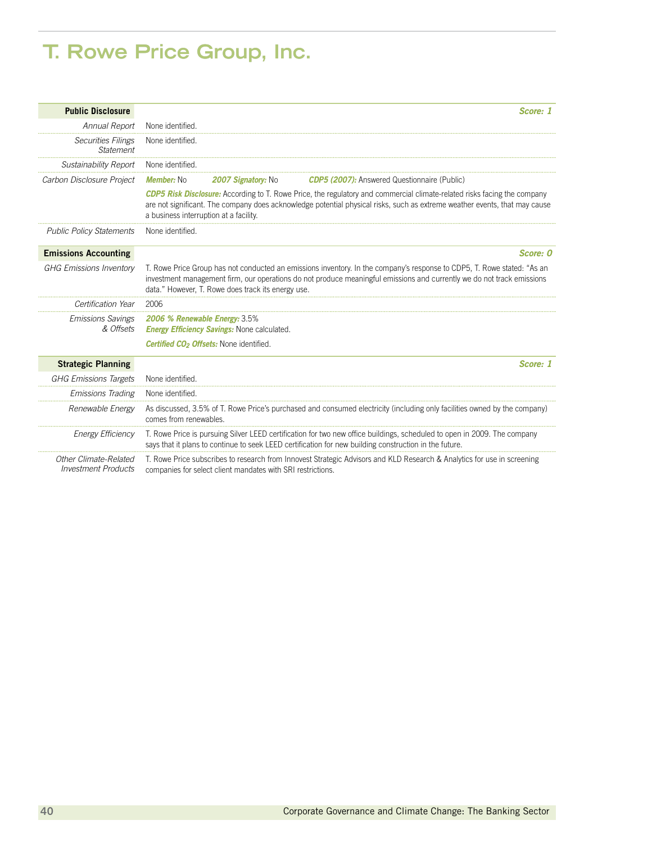### **T. Rowe Price Group, Inc.**

| <b>Public Disclosure</b>                            | Score: 1                                                                                                                                                                                                                                                                                                |
|-----------------------------------------------------|---------------------------------------------------------------------------------------------------------------------------------------------------------------------------------------------------------------------------------------------------------------------------------------------------------|
| Annual Report                                       | None identified.                                                                                                                                                                                                                                                                                        |
| <b>Securities Filings</b><br>Statement              | None identified.                                                                                                                                                                                                                                                                                        |
| Sustainability Report                               | None identified                                                                                                                                                                                                                                                                                         |
| Carbon Disclosure Project                           | 2007 Signatory: No<br><b>CDP5 (2007):</b> Answered Questionnaire (Public)<br>Member: No                                                                                                                                                                                                                 |
|                                                     | <b>CDP5 Risk Disclosure:</b> According to T. Rowe Price, the regulatory and commercial climate-related risks facing the company<br>are not significant. The company does acknowledge potential physical risks, such as extreme weather events, that may cause<br>a business interruption at a facility. |
| <b>Public Policy Statements</b>                     | None identified.                                                                                                                                                                                                                                                                                        |
| <b>Emissions Accounting</b>                         | Score: 0                                                                                                                                                                                                                                                                                                |
| <b>GHG Emissions Inventory</b>                      | T. Rowe Price Group has not conducted an emissions inventory. In the company's response to CDP5, T. Rowe stated: "As an<br>investment management firm, our operations do not produce meaningful emissions and currently we do not track emissions<br>data." However, T. Rowe does track its energy use. |
| Certification Year                                  | 2006                                                                                                                                                                                                                                                                                                    |
| <b>Emissions Savings</b><br>& Offsets               | 2006 % Renewable Energy: 3.5%<br><b>Energy Efficiency Savings: None calculated.</b>                                                                                                                                                                                                                     |
|                                                     | <b>Certified CO<sub>2</sub> Offsets:</b> None identified.                                                                                                                                                                                                                                               |
| <b>Strategic Planning</b>                           | Score: 1                                                                                                                                                                                                                                                                                                |
| <b>GHG Emissions Targets</b>                        | None identified.                                                                                                                                                                                                                                                                                        |
| <b>Emissions Trading</b>                            | None identified                                                                                                                                                                                                                                                                                         |
| Renewable Energy                                    | As discussed, 3.5% of T. Rowe Price's purchased and consumed electricity (including only facilities owned by the company)<br>comes from renewables.                                                                                                                                                     |
| <b>Energy Efficiency</b>                            | T. Rowe Price is pursuing Silver LEED certification for two new office buildings, scheduled to open in 2009. The company<br>says that it plans to continue to seek LEED certification for new building construction in the future.                                                                      |
| Other Climate-Related<br><b>Investment Products</b> | T. Rowe Price subscribes to research from Innovest Strategic Advisors and KLD Research & Analytics for use in screening<br>companies for select client mandates with SRI restrictions.                                                                                                                  |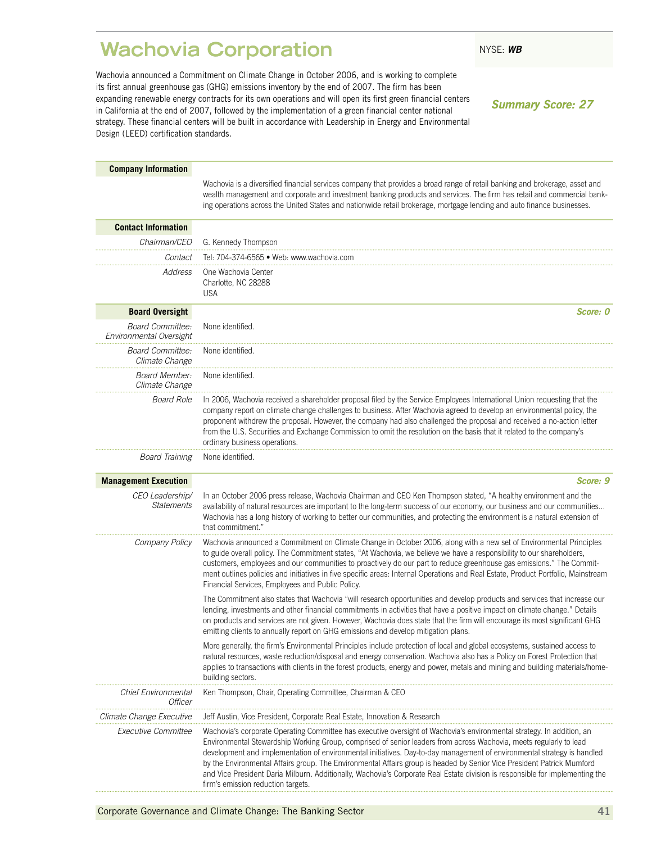### <span id="page-42-0"></span>**Wachovia Corporation** NYSE: WB

Wachovia announced a Commitment on Climate Change in October 2006, and is working to complete its first annual greenhouse gas (GHG) emissions inventory by the end of 2007. The firm has been expanding renewable energy contracts for its own operations and will open its first green financial centers in California at the end of 2007, followed by the implementation of a green financial center national strategy. These financial centers will be built in accordance with Leadership in Energy and Environmental Design (LEED) certification standards.

*Summary Score: 27*

| <b>Company Information</b>                         |                                                                                                                                                                                                                                                                                                                                                                                                                                                                                                                                                                                                                                                                          |
|----------------------------------------------------|--------------------------------------------------------------------------------------------------------------------------------------------------------------------------------------------------------------------------------------------------------------------------------------------------------------------------------------------------------------------------------------------------------------------------------------------------------------------------------------------------------------------------------------------------------------------------------------------------------------------------------------------------------------------------|
|                                                    | Wachovia is a diversified financial services company that provides a broad range of retail banking and brokerage, asset and<br>wealth management and corporate and investment banking products and services. The firm has retail and commercial bank-<br>ing operations across the United States and nationwide retail brokerage, mortgage lending and auto finance businesses.                                                                                                                                                                                                                                                                                          |
| <b>Contact Information</b>                         |                                                                                                                                                                                                                                                                                                                                                                                                                                                                                                                                                                                                                                                                          |
| Chairman/CEO                                       | G. Kennedy Thompson                                                                                                                                                                                                                                                                                                                                                                                                                                                                                                                                                                                                                                                      |
| Contact                                            | Tel: 704-374-6565 · Web: www.wachovia.com                                                                                                                                                                                                                                                                                                                                                                                                                                                                                                                                                                                                                                |
| Address                                            | One Wachovia Center<br>Charlotte, NC 28288<br><b>USA</b>                                                                                                                                                                                                                                                                                                                                                                                                                                                                                                                                                                                                                 |
| <b>Board Oversight</b>                             | Score: 0                                                                                                                                                                                                                                                                                                                                                                                                                                                                                                                                                                                                                                                                 |
| <b>Board Committee:</b><br>Environmental Oversight | None identified.                                                                                                                                                                                                                                                                                                                                                                                                                                                                                                                                                                                                                                                         |
| Board Committee:<br>Climate Change                 | None identified.                                                                                                                                                                                                                                                                                                                                                                                                                                                                                                                                                                                                                                                         |
| Board Member:<br>Climate Change                    | None identified.                                                                                                                                                                                                                                                                                                                                                                                                                                                                                                                                                                                                                                                         |
| <b>Board Role</b>                                  | In 2006, Wachovia received a shareholder proposal filed by the Service Employees International Union requesting that the<br>company report on climate change challenges to business. After Wachovia agreed to develop an environmental policy, the<br>proponent withdrew the proposal. However, the company had also challenged the proposal and received a no-action letter<br>from the U.S. Securities and Exchange Commission to omit the resolution on the basis that it related to the company's<br>ordinary business operations.                                                                                                                                   |
| <b>Board Training</b>                              | None identified.                                                                                                                                                                                                                                                                                                                                                                                                                                                                                                                                                                                                                                                         |
| <b>Management Execution</b>                        | Score: 9                                                                                                                                                                                                                                                                                                                                                                                                                                                                                                                                                                                                                                                                 |
| CEO Leadership/<br><b>Statements</b>               | In an October 2006 press release, Wachovia Chairman and CEO Ken Thompson stated, "A healthy environment and the<br>availability of natural resources are important to the long-term success of our economy, our business and our communities<br>Wachovia has a long history of working to better our communities, and protecting the environment is a natural extension of<br>that commitment."                                                                                                                                                                                                                                                                          |
| Company Policy                                     | Wachovia announced a Commitment on Climate Change in October 2006, along with a new set of Environmental Principles<br>to guide overall policy. The Commitment states, "At Wachovia, we believe we have a responsibility to our shareholders,<br>customers, employees and our communities to proactively do our part to reduce greenhouse gas emissions." The Commit-<br>ment outlines policies and initiatives in five specific areas: Internal Operations and Real Estate, Product Portfolio, Mainstream<br>Financial Services, Employees and Public Policy.                                                                                                           |
|                                                    | The Commitment also states that Wachovia "will research opportunities and develop products and services that increase our<br>lending, investments and other financial commitments in activities that have a positive impact on climate change." Details<br>on products and services are not given. However, Wachovia does state that the firm will encourage its most significant GHG<br>emitting clients to annually report on GHG emissions and develop mitigation plans.                                                                                                                                                                                              |
|                                                    | More generally, the firm's Environmental Principles include protection of local and global ecosystems, sustained access to<br>natural resources, waste reduction/disposal and energy conservation. Wachovia also has a Policy on Forest Protection that<br>applies to transactions with clients in the forest products, energy and power, metals and mining and building materials/home-<br>building sectors.                                                                                                                                                                                                                                                            |
| <b>Chief Environmental</b><br>Officer              | Ken Thompson, Chair, Operating Committee, Chairman & CEO                                                                                                                                                                                                                                                                                                                                                                                                                                                                                                                                                                                                                 |
| Climate Change Executive                           | Jeff Austin, Vice President, Corporate Real Estate, Innovation & Research                                                                                                                                                                                                                                                                                                                                                                                                                                                                                                                                                                                                |
| Executive Committee                                | Wachovia's corporate Operating Committee has executive oversight of Wachovia's environmental strategy. In addition, an<br>Environmental Stewardship Working Group, comprised of senior leaders from across Wachovia, meets regularly to lead<br>development and implementation of environmental initiatives. Day-to-day management of environmental strategy is handled<br>by the Environmental Affairs group. The Environmental Affairs group is headed by Senior Vice President Patrick Mumford<br>and Vice President Daria Milburn. Additionally, Wachovia's Corporate Real Estate division is responsible for implementing the<br>firm's emission reduction targets. |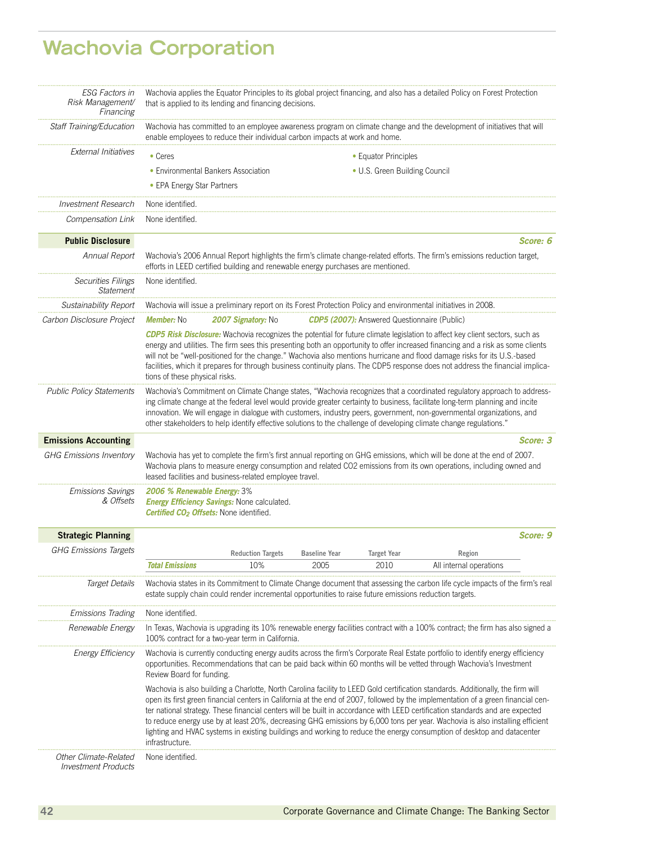# **Wachovia Corporation**

| <b>ESG Factors in</b><br>Risk Management/<br>Financing | Wachovia applies the Equator Principles to its global project financing, and also has a detailed Policy on Forest Protection<br>that is applied to its lending and financing decisions. |                                                                                                         |                      |                                                     |                                                                                                                                                                                                                                                                                                                                                                                                                                                                                                                                                                                                                                                                  |          |
|--------------------------------------------------------|-----------------------------------------------------------------------------------------------------------------------------------------------------------------------------------------|---------------------------------------------------------------------------------------------------------|----------------------|-----------------------------------------------------|------------------------------------------------------------------------------------------------------------------------------------------------------------------------------------------------------------------------------------------------------------------------------------------------------------------------------------------------------------------------------------------------------------------------------------------------------------------------------------------------------------------------------------------------------------------------------------------------------------------------------------------------------------------|----------|
| Staff Training/Education                               |                                                                                                                                                                                         | enable employees to reduce their individual carbon impacts at work and home.                            |                      |                                                     | Wachovia has committed to an employee awareness program on climate change and the development of initiatives that will                                                                                                                                                                                                                                                                                                                                                                                                                                                                                                                                           |          |
| External Initiatives                                   | • Ceres                                                                                                                                                                                 |                                                                                                         |                      | • Equator Principles                                |                                                                                                                                                                                                                                                                                                                                                                                                                                                                                                                                                                                                                                                                  |          |
|                                                        | • Environmental Bankers Association                                                                                                                                                     |                                                                                                         |                      | • U.S. Green Building Council                       |                                                                                                                                                                                                                                                                                                                                                                                                                                                                                                                                                                                                                                                                  |          |
|                                                        | • EPA Energy Star Partners                                                                                                                                                              |                                                                                                         |                      |                                                     |                                                                                                                                                                                                                                                                                                                                                                                                                                                                                                                                                                                                                                                                  |          |
| Investment Research                                    | None identified.                                                                                                                                                                        |                                                                                                         |                      |                                                     |                                                                                                                                                                                                                                                                                                                                                                                                                                                                                                                                                                                                                                                                  |          |
| Compensation Link                                      | None identified.                                                                                                                                                                        |                                                                                                         |                      |                                                     |                                                                                                                                                                                                                                                                                                                                                                                                                                                                                                                                                                                                                                                                  |          |
| <b>Public Disclosure</b>                               |                                                                                                                                                                                         |                                                                                                         |                      |                                                     |                                                                                                                                                                                                                                                                                                                                                                                                                                                                                                                                                                                                                                                                  | Score: 6 |
| Annual Report                                          |                                                                                                                                                                                         | efforts in LEED certified building and renewable energy purchases are mentioned.                        |                      |                                                     | Wachovia's 2006 Annual Report highlights the firm's climate change-related efforts. The firm's emissions reduction target,                                                                                                                                                                                                                                                                                                                                                                                                                                                                                                                                       |          |
| <b>Securities Filings</b><br><b>Statement</b>          | None identified.                                                                                                                                                                        |                                                                                                         |                      |                                                     |                                                                                                                                                                                                                                                                                                                                                                                                                                                                                                                                                                                                                                                                  |          |
| Sustainability Report                                  |                                                                                                                                                                                         |                                                                                                         |                      |                                                     | Wachovia will issue a preliminary report on its Forest Protection Policy and environmental initiatives in 2008.                                                                                                                                                                                                                                                                                                                                                                                                                                                                                                                                                  |          |
| Carbon Disclosure Project                              | <b>Member: No</b>                                                                                                                                                                       | 2007 Signatory: No                                                                                      |                      | <b>CDP5 (2007):</b> Answered Questionnaire (Public) |                                                                                                                                                                                                                                                                                                                                                                                                                                                                                                                                                                                                                                                                  |          |
|                                                        | tions of these physical risks.                                                                                                                                                          |                                                                                                         |                      |                                                     | <b>CDP5 Risk Disclosure:</b> Wachovia recognizes the potential for future climate legislation to affect key client sectors, such as<br>energy and utilities. The firm sees this presenting both an opportunity to offer increased financing and a risk as some clients<br>will not be "well-positioned for the change." Wachovia also mentions hurricane and flood damage risks for its U.S.-based<br>facilities, which it prepares for through business continuity plans. The CDP5 response does not address the financial implica-                                                                                                                             |          |
| <b>Public Policy Statements</b>                        |                                                                                                                                                                                         |                                                                                                         |                      |                                                     | Wachovia's Commitment on Climate Change states, "Wachovia recognizes that a coordinated regulatory approach to address-<br>ing climate change at the federal level would provide greater certainty to business, facilitate long-term planning and incite<br>innovation. We will engage in dialogue with customers, industry peers, government, non-governmental organizations, and<br>other stakeholders to help identify effective solutions to the challenge of developing climate change regulations."                                                                                                                                                        |          |
| <b>Emissions Accounting</b>                            |                                                                                                                                                                                         |                                                                                                         |                      |                                                     |                                                                                                                                                                                                                                                                                                                                                                                                                                                                                                                                                                                                                                                                  | Score: 3 |
| <b>GHG Emissions Inventory</b>                         |                                                                                                                                                                                         | leased facilities and business-related employee travel.                                                 |                      |                                                     | Wachovia has yet to complete the firm's first annual reporting on GHG emissions, which will be done at the end of 2007.<br>Wachovia plans to measure energy consumption and related CO2 emissions from its own operations, including owned and                                                                                                                                                                                                                                                                                                                                                                                                                   |          |
| <i><b>Emissions Savings</b></i><br>& Offsets           | 2006 % Renewable Energy: 3%<br>Certified CO <sub>2</sub> Offsets: None identified.                                                                                                      | <b>Energy Efficiency Savings: None calculated.</b>                                                      |                      |                                                     |                                                                                                                                                                                                                                                                                                                                                                                                                                                                                                                                                                                                                                                                  |          |
| <b>Strategic Planning</b>                              |                                                                                                                                                                                         |                                                                                                         |                      |                                                     |                                                                                                                                                                                                                                                                                                                                                                                                                                                                                                                                                                                                                                                                  | Score: 9 |
| <b>GHG Emissions Targets</b>                           |                                                                                                                                                                                         | <b>Reduction Targets</b>                                                                                | <b>Baseline Year</b> | <b>Target Year</b>                                  | Region                                                                                                                                                                                                                                                                                                                                                                                                                                                                                                                                                                                                                                                           |          |
|                                                        | Total Emissions                                                                                                                                                                         | 10%                                                                                                     | 2005                 | 2010                                                | All internal operations                                                                                                                                                                                                                                                                                                                                                                                                                                                                                                                                                                                                                                          |          |
| Target Details                                         |                                                                                                                                                                                         | estate supply chain could render incremental opportunities to raise future emissions reduction targets. |                      |                                                     | Wachovia states in its Commitment to Climate Change document that assessing the carbon life cycle impacts of the firm's real                                                                                                                                                                                                                                                                                                                                                                                                                                                                                                                                     |          |
| <i><b>Emissions Trading</b></i>                        | None identified.                                                                                                                                                                        |                                                                                                         |                      |                                                     |                                                                                                                                                                                                                                                                                                                                                                                                                                                                                                                                                                                                                                                                  |          |
| Renewable Energy                                       |                                                                                                                                                                                         | 100% contract for a two-year term in California.                                                        |                      |                                                     | In Texas, Wachovia is upgrading its 10% renewable energy facilities contract with a 100% contract; the firm has also signed a                                                                                                                                                                                                                                                                                                                                                                                                                                                                                                                                    |          |
| <b>Energy Efficiency</b>                               | Review Board for funding.                                                                                                                                                               |                                                                                                         |                      |                                                     | Wachovia is currently conducting energy audits across the firm's Corporate Real Estate portfolio to identify energy efficiency<br>opportunities. Recommendations that can be paid back within 60 months will be vetted through Wachovia's Investment                                                                                                                                                                                                                                                                                                                                                                                                             |          |
|                                                        | infrastructure.                                                                                                                                                                         |                                                                                                         |                      |                                                     | Wachovia is also building a Charlotte, North Carolina facility to LEED Gold certification standards. Additionally, the firm will<br>open its first green financial centers in California at the end of 2007, followed by the implementation of a green financial cen-<br>ter national strategy. These financial centers will be built in accordance with LEED certification standards and are expected<br>to reduce energy use by at least 20%, decreasing GHG emissions by 6,000 tons per year. Wachovia is also installing efficient<br>lighting and HVAC systems in existing buildings and working to reduce the energy consumption of desktop and datacenter |          |
| Other Climate-Related<br><b>Investment Products</b>    | None identified.                                                                                                                                                                        |                                                                                                         |                      |                                                     |                                                                                                                                                                                                                                                                                                                                                                                                                                                                                                                                                                                                                                                                  |          |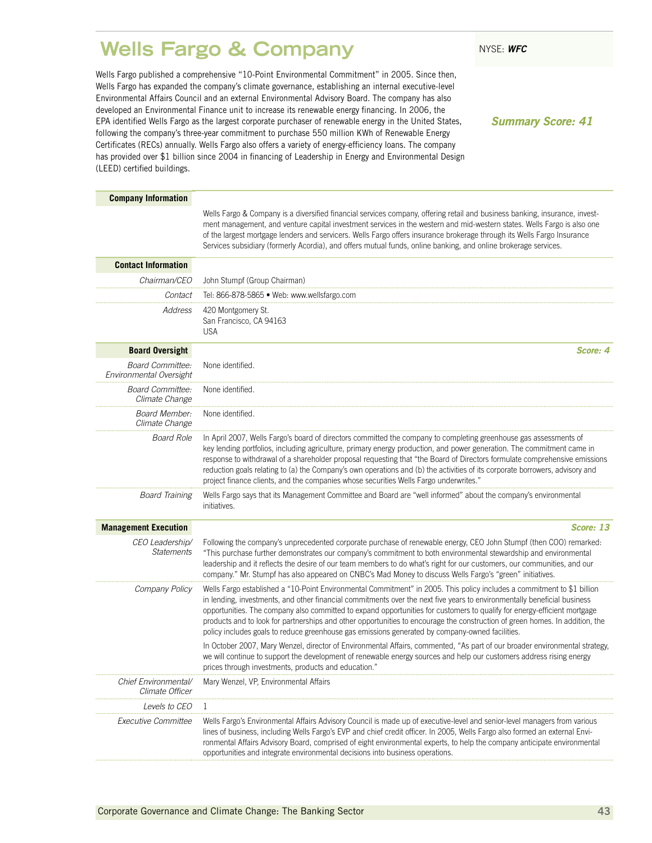### <span id="page-44-0"></span>**Wells Fargo & Company** NYSE: WFC

Wells Fargo published a comprehensive "10-Point Environmental Commitment" in 2005. Since then, Wells Fargo has expanded the company's climate governance, establishing an internal executive-level Environmental Affairs Council and an external Environmental Advisory Board. The company has also developed an Environmental Finance unit to increase its renewable energy financing. In 2006, the EPA identified Wells Fargo as the largest corporate purchaser of renewable energy in the United States, following the company's three-year commitment to purchase 550 million KWh of Renewable Energy Certificates (RECs) annually. Wells Fargo also offers a variety of energy-efficiency loans. The company has provided over \$1 billion since 2004 in financing of Leadership in Energy and Environmental Design (LEED) certified buildings.

*Summary Score: 41*

| <b>Company Information</b>                         |                                                                                                                                                                                                                                                                                                                                                                                                                                                                                                                                                                                                                    |
|----------------------------------------------------|--------------------------------------------------------------------------------------------------------------------------------------------------------------------------------------------------------------------------------------------------------------------------------------------------------------------------------------------------------------------------------------------------------------------------------------------------------------------------------------------------------------------------------------------------------------------------------------------------------------------|
|                                                    | Wells Fargo & Company is a diversified financial services company, offering retail and business banking, insurance, invest-<br>ment management, and venture capital investment services in the western and mid-western states. Wells Fargo is also one<br>of the largest mortgage lenders and servicers. Wells Fargo offers insurance brokerage through its Wells Fargo Insurance<br>Services subsidiary (formerly Acordia), and offers mutual funds, online banking, and online brokerage services.                                                                                                               |
| <b>Contact Information</b>                         |                                                                                                                                                                                                                                                                                                                                                                                                                                                                                                                                                                                                                    |
| Chairman/CEO                                       | John Stumpf (Group Chairman)                                                                                                                                                                                                                                                                                                                                                                                                                                                                                                                                                                                       |
| Contact                                            | Tel: 866-878-5865 • Web: www.wellsfargo.com                                                                                                                                                                                                                                                                                                                                                                                                                                                                                                                                                                        |
| Address                                            | 420 Montgomery St.<br>San Francisco, CA 94163<br><b>USA</b>                                                                                                                                                                                                                                                                                                                                                                                                                                                                                                                                                        |
| <b>Board Oversight</b>                             | Score: 4                                                                                                                                                                                                                                                                                                                                                                                                                                                                                                                                                                                                           |
| <b>Board Committee:</b><br>Environmental Oversight | None identified.                                                                                                                                                                                                                                                                                                                                                                                                                                                                                                                                                                                                   |
| Board Committee:<br>Climate Change                 | None identified.                                                                                                                                                                                                                                                                                                                                                                                                                                                                                                                                                                                                   |
| Board Member:<br>Climate Change                    | None identified.                                                                                                                                                                                                                                                                                                                                                                                                                                                                                                                                                                                                   |
| <b>Board Role</b>                                  | In April 2007, Wells Fargo's board of directors committed the company to completing greenhouse gas assessments of<br>key lending portfolios, including agriculture, primary energy production, and power generation. The commitment came in<br>response to withdrawal of a shareholder proposal requesting that "the Board of Directors formulate comprehensive emissions<br>reduction goals relating to (a) the Company's own operations and (b) the activities of its corporate borrowers, advisory and<br>project finance clients, and the companies whose securities Wells Fargo underwrites."                 |
| <b>Board Training</b>                              | Wells Fargo says that its Management Committee and Board are "well informed" about the company's environmental<br>initiatives.                                                                                                                                                                                                                                                                                                                                                                                                                                                                                     |
| <b>Management Execution</b>                        | Score: 13                                                                                                                                                                                                                                                                                                                                                                                                                                                                                                                                                                                                          |
| CEO Leadership/<br><b>Statements</b>               | Following the company's unprecedented corporate purchase of renewable energy, CEO John Stumpf (then COO) remarked:<br>"This purchase further demonstrates our company's commitment to both environmental stewardship and environmental<br>leadership and it reflects the desire of our team members to do what's right for our customers, our communities, and our<br>company." Mr. Stumpf has also appeared on CNBC's Mad Money to discuss Wells Fargo's "green" initiatives.                                                                                                                                     |
| Company Policy                                     | Wells Fargo established a "10-Point Environmental Commitment" in 2005. This policy includes a commitment to \$1 billion<br>in lending, investments, and other financial commitments over the next five years to environmentally beneficial business<br>opportunities. The company also committed to expand opportunities for customers to qualify for energy-efficient mortgage<br>products and to look for partnerships and other opportunities to encourage the construction of green homes. In addition, the<br>policy includes goals to reduce greenhouse gas emissions generated by company-owned facilities. |
|                                                    | In October 2007, Mary Wenzel, director of Environmental Affairs, commented, "As part of our broader environmental strategy,<br>we will continue to support the development of renewable energy sources and help our customers address rising energy<br>prices through investments, products and education."                                                                                                                                                                                                                                                                                                        |
| Chief Environmental/<br>Climate Officer            | Mary Wenzel, VP, Environmental Affairs                                                                                                                                                                                                                                                                                                                                                                                                                                                                                                                                                                             |
| <i>Levels to CEO</i>                               |                                                                                                                                                                                                                                                                                                                                                                                                                                                                                                                                                                                                                    |
| Executive Committee                                | Wells Fargo's Environmental Affairs Advisory Council is made up of executive-level and senior-level managers from various<br>lines of business, including Wells Fargo's EVP and chief credit officer. In 2005, Wells Fargo also formed an external Envi-<br>ronmental Affairs Advisory Board, comprised of eight environmental experts, to help the company anticipate environmental<br>opportunities and integrate environmental decisions into business operations.                                                                                                                                              |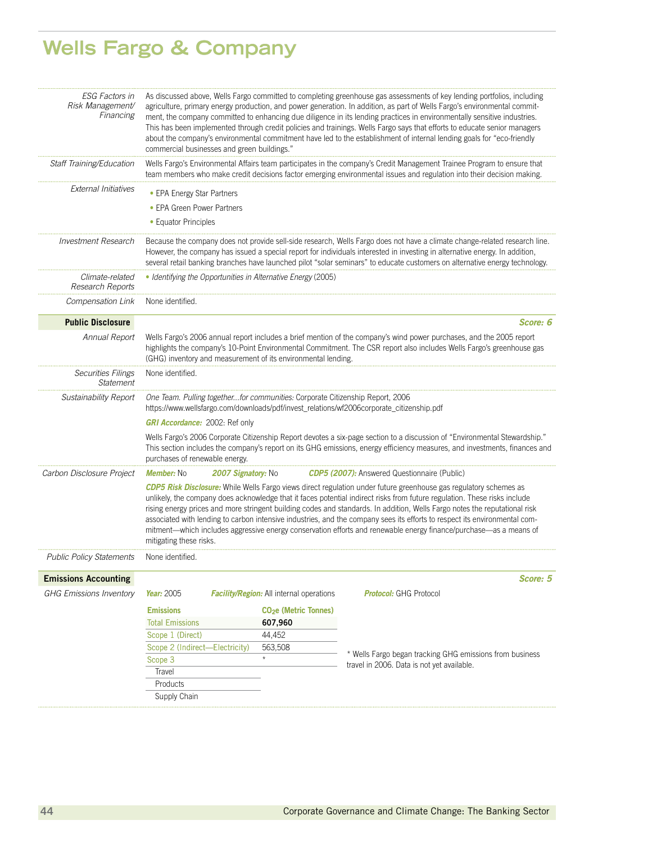# **Wells Fargo & Company**

| <b>ESG Factors in</b><br>Risk Management/<br>Financing | As discussed above, Wells Fargo committed to completing greenhouse gas assessments of key lending portfolios, including<br>agriculture, primary energy production, and power generation. In addition, as part of Wells Fargo's environmental commit-<br>ment, the company committed to enhancing due diligence in its lending practices in environmentally sensitive industries.<br>This has been implemented through credit policies and trainings. Wells Fargo says that efforts to educate senior managers<br>about the company's environmental commitment have led to the establishment of internal lending goals for "eco-friendly<br>commercial businesses and green buildings." |                                                 |                                                                                                                                                                                                                                                                                                                                                                                                                                                                                                                                                                                                                                        |  |  |
|--------------------------------------------------------|----------------------------------------------------------------------------------------------------------------------------------------------------------------------------------------------------------------------------------------------------------------------------------------------------------------------------------------------------------------------------------------------------------------------------------------------------------------------------------------------------------------------------------------------------------------------------------------------------------------------------------------------------------------------------------------|-------------------------------------------------|----------------------------------------------------------------------------------------------------------------------------------------------------------------------------------------------------------------------------------------------------------------------------------------------------------------------------------------------------------------------------------------------------------------------------------------------------------------------------------------------------------------------------------------------------------------------------------------------------------------------------------------|--|--|
| Staff Training/Education                               |                                                                                                                                                                                                                                                                                                                                                                                                                                                                                                                                                                                                                                                                                        |                                                 | Wells Fargo's Environmental Affairs team participates in the company's Credit Management Trainee Program to ensure that<br>team members who make credit decisions factor emerging environmental issues and regulation into their decision making.                                                                                                                                                                                                                                                                                                                                                                                      |  |  |
| External Initiatives                                   | • EPA Energy Star Partners                                                                                                                                                                                                                                                                                                                                                                                                                                                                                                                                                                                                                                                             |                                                 |                                                                                                                                                                                                                                                                                                                                                                                                                                                                                                                                                                                                                                        |  |  |
|                                                        | • EPA Green Power Partners                                                                                                                                                                                                                                                                                                                                                                                                                                                                                                                                                                                                                                                             |                                                 |                                                                                                                                                                                                                                                                                                                                                                                                                                                                                                                                                                                                                                        |  |  |
|                                                        | • Equator Principles                                                                                                                                                                                                                                                                                                                                                                                                                                                                                                                                                                                                                                                                   |                                                 |                                                                                                                                                                                                                                                                                                                                                                                                                                                                                                                                                                                                                                        |  |  |
| <b>Investment Research</b>                             | Because the company does not provide sell-side research, Wells Fargo does not have a climate change-related research line.<br>However, the company has issued a special report for individuals interested in investing in alternative energy. In addition,<br>several retail banking branches have launched pilot "solar seminars" to educate customers on alternative energy technology.                                                                                                                                                                                                                                                                                              |                                                 |                                                                                                                                                                                                                                                                                                                                                                                                                                                                                                                                                                                                                                        |  |  |
| Climate-related<br>Research Reports                    | • Identifying the Opportunities in Alternative Energy (2005)                                                                                                                                                                                                                                                                                                                                                                                                                                                                                                                                                                                                                           |                                                 |                                                                                                                                                                                                                                                                                                                                                                                                                                                                                                                                                                                                                                        |  |  |
| Compensation Link                                      | None identified.                                                                                                                                                                                                                                                                                                                                                                                                                                                                                                                                                                                                                                                                       |                                                 |                                                                                                                                                                                                                                                                                                                                                                                                                                                                                                                                                                                                                                        |  |  |
| <b>Public Disclosure</b>                               |                                                                                                                                                                                                                                                                                                                                                                                                                                                                                                                                                                                                                                                                                        |                                                 | Score: 6                                                                                                                                                                                                                                                                                                                                                                                                                                                                                                                                                                                                                               |  |  |
| Annual Report                                          | Wells Fargo's 2006 annual report includes a brief mention of the company's wind power purchases, and the 2005 report<br>highlights the company's 10-Point Environmental Commitment. The CSR report also includes Wells Fargo's greenhouse gas<br>(GHG) inventory and measurement of its environmental lending.                                                                                                                                                                                                                                                                                                                                                                         |                                                 |                                                                                                                                                                                                                                                                                                                                                                                                                                                                                                                                                                                                                                        |  |  |
| <b>Securities Filings</b><br><b>Statement</b>          | None identified.                                                                                                                                                                                                                                                                                                                                                                                                                                                                                                                                                                                                                                                                       |                                                 |                                                                                                                                                                                                                                                                                                                                                                                                                                                                                                                                                                                                                                        |  |  |
| Sustainability Report                                  | One Team. Pulling togetherfor communities: Corporate Citizenship Report, 2006<br>https://www.wellsfargo.com/downloads/pdf/invest_relations/wf2006corporate_citizenship.pdf                                                                                                                                                                                                                                                                                                                                                                                                                                                                                                             |                                                 |                                                                                                                                                                                                                                                                                                                                                                                                                                                                                                                                                                                                                                        |  |  |
|                                                        | <b>GRI Accordance:</b> 2002: Ref only                                                                                                                                                                                                                                                                                                                                                                                                                                                                                                                                                                                                                                                  |                                                 |                                                                                                                                                                                                                                                                                                                                                                                                                                                                                                                                                                                                                                        |  |  |
|                                                        | purchases of renewable energy.                                                                                                                                                                                                                                                                                                                                                                                                                                                                                                                                                                                                                                                         |                                                 | Wells Fargo's 2006 Corporate Citizenship Report devotes a six-page section to a discussion of "Environmental Stewardship."<br>This section includes the company's report on its GHG emissions, energy efficiency measures, and investments, finances and                                                                                                                                                                                                                                                                                                                                                                               |  |  |
| Carbon Disclosure Project                              | <b>Member: No</b><br>2007 Signatory: No                                                                                                                                                                                                                                                                                                                                                                                                                                                                                                                                                                                                                                                |                                                 | <b>CDP5 (2007):</b> Answered Questionnaire (Public)                                                                                                                                                                                                                                                                                                                                                                                                                                                                                                                                                                                    |  |  |
|                                                        | mitigating these risks.                                                                                                                                                                                                                                                                                                                                                                                                                                                                                                                                                                                                                                                                |                                                 | <b>CDP5 Risk Disclosure:</b> While Wells Fargo views direct regulation under future greenhouse gas regulatory schemes as<br>unlikely, the company does acknowledge that it faces potential indirect risks from future regulation. These risks include<br>rising energy prices and more stringent building codes and standards. In addition, Wells Fargo notes the reputational risk<br>associated with lending to carbon intensive industries, and the company sees its efforts to respect its environmental com-<br>mitment-which includes aggressive energy conservation efforts and renewable energy finance/purchase-as a means of |  |  |
| <b>Public Policy Statements</b>                        | None identified.                                                                                                                                                                                                                                                                                                                                                                                                                                                                                                                                                                                                                                                                       |                                                 |                                                                                                                                                                                                                                                                                                                                                                                                                                                                                                                                                                                                                                        |  |  |
| <b>Emissions Accounting</b>                            |                                                                                                                                                                                                                                                                                                                                                                                                                                                                                                                                                                                                                                                                                        |                                                 | Score: 5                                                                                                                                                                                                                                                                                                                                                                                                                                                                                                                                                                                                                               |  |  |
| <b>GHG Emissions Inventory</b>                         | Year: 2005                                                                                                                                                                                                                                                                                                                                                                                                                                                                                                                                                                                                                                                                             | <b>Facility/Region:</b> All internal operations | <b>Protocol:</b> GHG Protocol                                                                                                                                                                                                                                                                                                                                                                                                                                                                                                                                                                                                          |  |  |
|                                                        | <b>Emissions</b>                                                                                                                                                                                                                                                                                                                                                                                                                                                                                                                                                                                                                                                                       | CO <sub>2</sub> e (Metric Tonnes)               |                                                                                                                                                                                                                                                                                                                                                                                                                                                                                                                                                                                                                                        |  |  |
|                                                        | <b>Total Emissions</b>                                                                                                                                                                                                                                                                                                                                                                                                                                                                                                                                                                                                                                                                 | 607,960                                         |                                                                                                                                                                                                                                                                                                                                                                                                                                                                                                                                                                                                                                        |  |  |
|                                                        | Scope 1 (Direct)                                                                                                                                                                                                                                                                                                                                                                                                                                                                                                                                                                                                                                                                       | 44,452                                          |                                                                                                                                                                                                                                                                                                                                                                                                                                                                                                                                                                                                                                        |  |  |
|                                                        | Scope 2 (Indirect-Electricity)                                                                                                                                                                                                                                                                                                                                                                                                                                                                                                                                                                                                                                                         | 563,508                                         |                                                                                                                                                                                                                                                                                                                                                                                                                                                                                                                                                                                                                                        |  |  |
|                                                        | Scope 3                                                                                                                                                                                                                                                                                                                                                                                                                                                                                                                                                                                                                                                                                | $^\star$                                        | * Wells Fargo began tracking GHG emissions from business<br>travel in 2006. Data is not yet available.                                                                                                                                                                                                                                                                                                                                                                                                                                                                                                                                 |  |  |
|                                                        | Travel                                                                                                                                                                                                                                                                                                                                                                                                                                                                                                                                                                                                                                                                                 |                                                 |                                                                                                                                                                                                                                                                                                                                                                                                                                                                                                                                                                                                                                        |  |  |
|                                                        | Products                                                                                                                                                                                                                                                                                                                                                                                                                                                                                                                                                                                                                                                                               |                                                 |                                                                                                                                                                                                                                                                                                                                                                                                                                                                                                                                                                                                                                        |  |  |
|                                                        | Supply Chain                                                                                                                                                                                                                                                                                                                                                                                                                                                                                                                                                                                                                                                                           |                                                 |                                                                                                                                                                                                                                                                                                                                                                                                                                                                                                                                                                                                                                        |  |  |